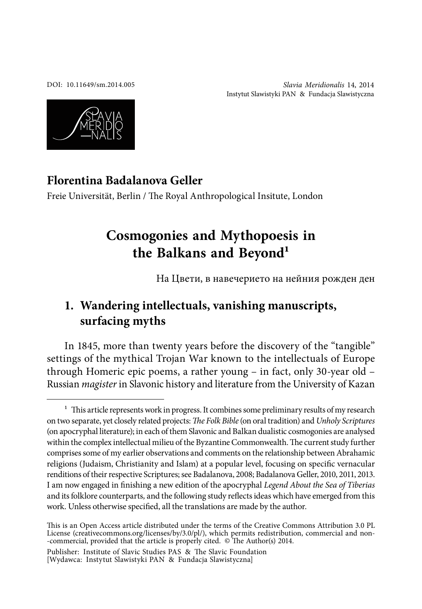DOI: [10.11649/sm.2014.005](http://dx.doi.org/10.11649/sm.2014.005)

Slavia Meridionalis 14, 2014 Instytut Slawistyki PAN & Fundacja Slawistyczna



### **Florentina Badalanova Geller**

Freie Universität, Berlin / The Royal Anthropological Insitute, London

# **Cosmogonies and Mythopoesis in the Balkans and Beyond1**

На Цвети, в навечерието на нейния рожден ден

## **1. Wandering intellectuals, vanishing manuscripts, surfacing myths**

In 1845, more than twenty years before the discovery of the "tangible" settings of the mythical Trojan War known to the intellectuals of Europe through Homeric epic poems, a rather young – in fact, only 30-year old – Russian magister in Slavonic history and literature from the University of Kazan

Publisher: Institute of Slavic Studies PAS & The Slavic Foundation [Wydawca: Instytut Slawistyki PAN & Fundacja Slawistyczna]

 $1$  This article represents work in progress. It combines some preliminary results of my research on two separate, yet closely related projects: The Folk Bible (on oral tradition) and Unholy Scriptures (on apocryphal literature); in each of them Slavonic and Balkan dualistic cosmogonies are analysed within the complex intellectual milieu of the Byzantine Commonwealth. The current study further comprises some of my earlier observations and comments on the relationship between Abrahamic religions (Judaism, Christianity and Islam) at a popular level, focusing on specific vernacular renditions of their respective Scriptures; see Badalanova, 2008; Badalanova Geller, 2010, 2011, 2013. I am now engaged in finishing a new edition of the apocryphal Legend About the Sea of Tiberias and its folklore counterparts, and the following study relects ideas which have emerged from this work. Unless otherwise specified, all the translations are made by the author.

This is an Open Access article distributed under the terms of the Creative Commons Attribution 3.0 PL License [\(creativecommons.org/licenses/by/3.0/pl/\)](http://creativecommons.org/licenses/by/3.0/pl/), which permits redistribution, commercial and non--commercial, provided that the article is properly cited.  $\circ$  The Author(s) 2014.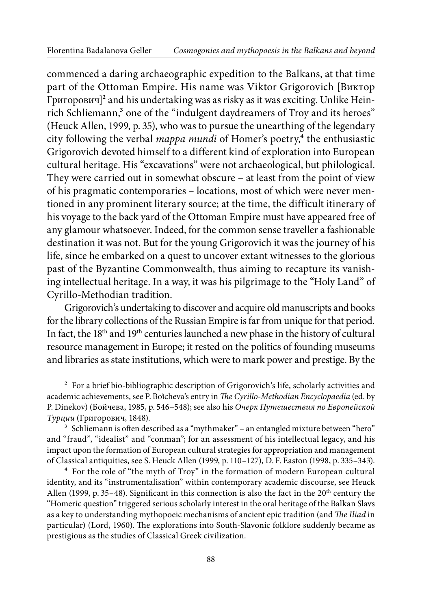commenced a daring archaeographic expedition to the Balkans, at that time part of the Ottoman Empire. His name was Viktor Grigorovich [Виктор Григорович]2 and his undertaking was as risky as it was exciting. Unlike Heinrich Schliemann,<sup>3</sup> one of the "indulgent daydreamers of Troy and its heroes" (Heuck Allen, 1999, p. 35), who was to pursue the unearthing of the legendary city following the verbal *mappa mundi* of Homer's poetry,<sup>4</sup> the enthusiastic Grigorovich devoted himself to a different kind of exploration into European cultural heritage. His "excavations" were not archaeological, but philological. They were carried out in somewhat obscure – at least from the point of view of his pragmatic contemporaries – locations, most of which were never mentioned in any prominent literary source; at the time, the difficult itinerary of his voyage to the back yard of the Ottoman Empire must have appeared free of any glamour whatsoever. Indeed, for the common sense traveller a fashionable destination it was not. But for the young Grigorovich it was the journey of his life, since he embarked on a quest to uncover extant witnesses to the glorious past of the Byzantine Commonwealth, thus aiming to recapture its vanishing intellectual heritage. In a way, it was his pilgrimage to the "Holy Land" of Cyrillo-Methodian tradition.

Grigorovich's undertaking to discover and acquire old manuscripts and books for the library collections of the Russian Empire is far from unique for that period. In fact, the 18th and 19th centuries launched a new phase in the history of cultural resource management in Europe; it rested on the politics of founding museums and libraries as state institutions, which were to mark power and prestige. By the

 $2$  For a brief bio-bibliographic description of Grigorovich's life, scholarly activities and academic achievements, see P. Boĭcheva's entry in The Cyrillo-Methodian Encyclopaedia (ed. by P. Dinekov) (Бойчева, 1985, p. 546–548); see also his Очерк Путешествия по Европейской Турции (Григорович, 1848).

<sup>&</sup>lt;sup>3</sup> Schliemann is often described as a "mythmaker" – an entangled mixture between "hero" and "fraud", "idealist" and "conman"; for an assessment of his intellectual legacy, and his impact upon the formation of European cultural strategies for appropriation and management of Classical antiquities, see S. Heuck Allen (1999, p. 110–127), D. F. Easton (1998, p. 335–343).

<sup>4</sup> For the role of "the myth of Troy" in the formation of modern European cultural identity, and its "instrumentalisation" within contemporary academic discourse, see Heuck Allen (1999, p. 35–48). Significant in this connection is also the fact in the  $20<sup>th</sup>$  century the "Homeric question" triggered serious scholarly interest in the oral heritage of the Balkan Slavs as a key to understanding mythopoeic mechanisms of ancient epic tradition (and The Iliad in particular) (Lord, 1960). The explorations into South-Slavonic folklore suddenly became as prestigious as the studies of Classical Greek civilization.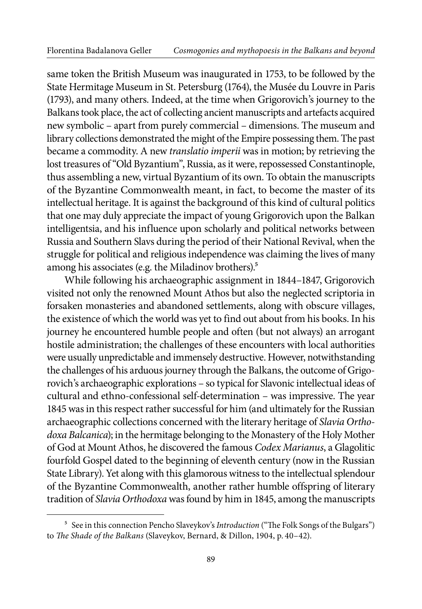same token the British Museum was inaugurated in 1753, to be followed by the State Hermitage Museum in St. Petersburg (1764), the Musée du Louvre in Paris (1793), and many others. Indeed, at the time when Grigorovich's journey to the Balkans took place, the act of collecting ancient manuscripts and artefacts acquired new symbolic – apart from purely commercial – dimensions. The museum and library collections demonstrated the might of the Empire possessing them. The past became a commodity. A new translatio imperii was in motion; by retrieving the lost treasures of "Old Byzantium", Russia, as it were, repossessed Constantinople, thus assembling a new, virtual Byzantium of its own. To obtain the manuscripts of the Byzantine Commonwealth meant, in fact, to become the master of its intellectual heritage. It is against the background of this kind of cultural politics that one may duly appreciate the impact of young Grigorovich upon the Balkan intelligentsia, and his influence upon scholarly and political networks between Russia and Southern Slavs during the period of their National Revival, when the struggle for political and religious independence was claiming the lives of many among his associates (e.g. the Miladinov brothers).5

While following his archaeographic assignment in 1844–1847, Grigorovich visited not only the renowned Mount Athos but also the neglected scriptoria in forsaken monasteries and abandoned settlements, along with obscure villages, the existence of which the world was yet to find out about from his books. In his journey he encountered humble people and often (but not always) an arrogant hostile administration; the challenges of these encounters with local authorities were usually unpredictable and immensely destructive. However, notwithstanding the challenges of his arduous journey through the Balkans, the outcome of Grigorovich's archaeographic explorations – so typical for Slavonic intellectual ideas of cultural and ethno-confessional self-determination – was impressive. The year 1845 was in this respect rather successful for him (and ultimately for the Russian archaeographic collections concerned with the literary heritage of Slavia Orthodoxa Balcanica); in the hermitage belonging to the Monastery of the Holy Mother of God at Mount Athos, he discovered the famous Codex Marianus, a Glagolitic fourfold Gospel dated to the beginning of eleventh century (now in the Russian State Library). Yet along with this glamorous witness to the intellectual splendour of the Byzantine Commonwealth, another rather humble offspring of literary tradition of Slavia Orthodoxa was found by him in 1845, among the manuscripts

<sup>&</sup>lt;sup>5</sup> See in this connection Pencho Slaveykov's Introduction ("The Folk Songs of the Bulgars") to The Shade of the Balkans (Slaveykov, Bernard, & Dillon, 1904, p. 40-42).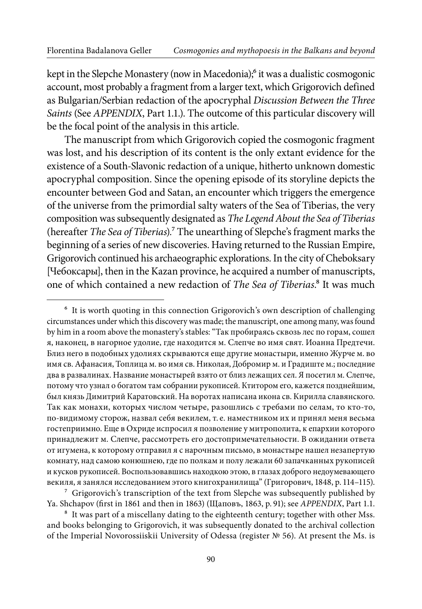kept in the Slepche Monastery (now in Macedonia);<sup>6</sup> it was a dualistic cosmogonic account, most probably a fragment from a larger text, which Grigorovich defined as Bulgarian/Serbian redaction of the apocryphal Discussion Between the Three Saints (See APPENDIX, Part 1.1.). The outcome of this particular discovery will be the focal point of the analysis in this article.

The manuscript from which Grigorovich copied the cosmogonic fragment was lost, and his description of its content is the only extant evidence for the existence of a South-Slavonic redaction of a unique, hitherto unknown domestic apocryphal composition. Since the opening episode of its storyline depicts the encounter between God and Satan, an encounter which triggers the emergence of the universe from the primordial salty waters of the Sea of Tiberias, the very composition was subsequently designated as The Legend About the Sea of Tiberias (hereafter The Sea of Tiberias).<sup>7</sup> The unearthing of Slepche's fragment marks the beginning of a series of new discoveries. Having returned to the Russian Empire, Grigorovich continued his archaeographic explorations. In the city of Cheboksary [Чебоксары], then in the Kazan province, he acquired a number of manuscripts, one of which contained a new redaction of The Sea of Tiberias.<sup>8</sup> It was much

 $7$  Grigorovich's transcription of the text from Slepche was subsequently published by Ya. Shchapov (first in 1861 and then in 1863) (Щаповъ, 1863, p. 91); see APPENDIX, Part 1.1.

<sup>8</sup> It was part of a miscellany dating to the eighteenth century; together with other Mss. and books belonging to Grigorovich, it was subsequently donated to the archival collection of the Imperial Novorossiiskii University of Odessa (register № 56). At present the Ms. is

<sup>&</sup>lt;sup>6</sup> It is worth quoting in this connection Grigorovich's own description of challenging circumstances under which this discovery was made; the manuscript, one among many, was found by him in a room above the monastery's stables: "Так пробираясь сквозь лес по горам, сошел я, наконец, в нагорное удолие, где находится м. Слепче во имя свят. Иоанна Предтечи. Близ него в подобных удолиях скрываются еще другие монастыри, именно Журче м. во имя св. Афанасия, Топлица м. во имя св. Николая, Добромир м. и Градиште м.; последние два в развалинах. Название монастырей взято от близ лежащих сел. Я посетил м. Слепче, потому что узнал о богатом там собрании рукописей. Ктитором его, кажется позднейшим, был князь Димитрий Каратовский. На воротах написана икона св. Кирилла славянского. Так как монахи, которых числом четыре, разошлись с требами по селам, то кто-то, по-видимому сторож, назвал себя векилем, т. е. наместником их и принял меня весьма гостеприимно. Еще в Охриде испросил я позволение у митрополита, к епархии которого принадлежит м. Слепче, рассмотреть его достопримечательности. В ожидании ответа от игумена, к которому отправил я с нарочным письмо, в монастыре нашел незапертую комнату, над самою конюшнею, где по полкам и полу лежали 60 запачканных рукописей и кусков рукописей. Воспользовавшись находкою этою, в глазах доброго недоумевающего векиля, я занялся исследованием этого книгохранилища" (Григорович, 1848, p. 114–115).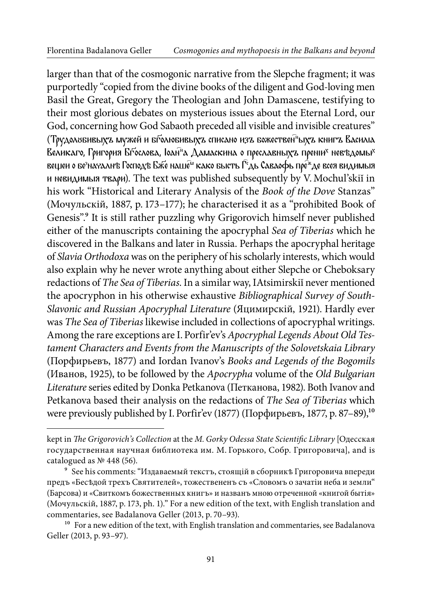larger than that of the cosmogonic narrative from the Slepche fragment; it was purportedly "copied from the divine books of the diligent and God-loving men Basil the Great, Gregory the Theologian and John Damascene, testifying to their most glorious debates on mysterious issues about the Eternal Lord, our God, concerning how God Sabaoth preceded all visible and invisible creatures" (Трудолобивыхъ мужей и бголюбивыхъ списано изъ божествен<sup>а</sup>ыхъ книгъ Василіа Великаго, Григория Бѓослова, Іоан<sup>а</sup>а Дамаскина о преславныхъ преніи<sup>х</sup> невъдомы<sup>х</sup> вещеи о безначалнъ Господъ Бже наше<sup>м</sup> како бысть Г<sup>е</sup>дь Саваофь пре<sup>ж</sup>де всея видимыя и невидимыя твари). The text was published subsequently by V. Mochul'skiĭ in his work "Historical and Literary Analysis of the Book of the Dove Stanzas" (Мочульскiй, 1887, p. 173–177); he characterised it as a "prohibited Book of Genesis".<sup>9</sup> It is still rather puzzling why Grigorovich himself never published either of the manuscripts containing the apocryphal Sea of Tiberias which he discovered in the Balkans and later in Russia. Perhaps the apocryphal heritage of Slavia Orthodoxa was on the periphery of his scholarly interests, which would also explain why he never wrote anything about either Slepche or Cheboksary redactions of The Sea of Tiberias. In a similar way, IAtsimirskiı never mentioned the apocryphon in his otherwise exhaustive Bibliographical Survey of South-Slavonic and Russian Apocryphal Literature (Яцимирскiй, 1921). Hardly ever was The Sea of Tiberias likewise included in collections of apocryphal writings. Among the rare exceptions are I. Porfir'ev's Apocryphal Legends About Old Testament Characters and Events from the Manuscripts of the Solovetskaia Library (Порфирьевъ, 1877) and Iordan Ivanov's Books and Legends of the Bogomils (Иванов, 1925), to be followed by the Apocrypha volume of the Old Bulgarian Literature series edited by Donka Petkanova (Петканова, 1982). Both Ivanov and Petkanova based their analysis on the redactions of The Sea of Tiberias which were previously published by I. Porfir'ev (1877) (Порфирьевъ, 1877, p. 87–89),<sup>10</sup>

kept in The Grigorovich's Collection at the M. Gorky Odessa State Scientific Library [Одесская государственная научная библиотека им. М. Горького, Собр. Григоровича], and is catalogued as № 448 (56).

<sup>9</sup> See his comments: "Издаваемый текстъ, стоящiй в сборникѣ Григоровича впереди предъ «Бесѣдой трехъ Святителей», тожествененъ съ «Словомъ о зачатiи неба и земли" (Барсова) и «Свиткомъ божественных книгъ» и названъ мною отреченной «книгой бытiя» (Мочульскiй, 1887, p. 173, ph. 1)." For a new edition of the text, with English translation and commentaries, see Badalanova Geller (2013, p. 70–93).

 $10<sup>10</sup>$  For a new edition of the text, with English translation and commentaries, see Badalanova Geller (2013, p. 93–97).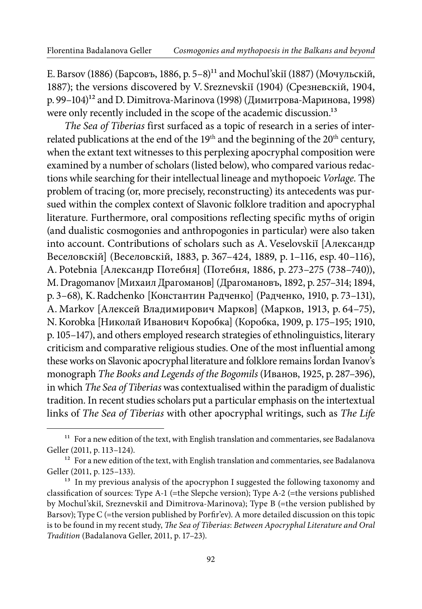Е. Barsov (1886) (Барсовъ, 1886, p. 5–8)11 and Mochul'skiĭ (1887) (Мочульскiй, 1887); the versions discovered by V. Sreznevskiĭ (1904) (Срезневскiй, 1904, р. 99-104)<sup>12</sup> and D. Dimitrova-Marinova (1998) (Димитрова-Маринова, 1998) were only recently included in the scope of the academic discussion.<sup>13</sup>

The Sea of Tiberias first surfaced as a topic of research in a series of interrelated publications at the end of the 19<sup>th</sup> and the beginning of the 20<sup>th</sup> century, when the extant text witnesses to this perplexing apocryphal composition were examined by a number of scholars (listed below), who compared various redactions while searching for their intellectual lineage and mythopoeic Vorlage. The problem of tracing (or, more precisely, reconstructing) its antecedents was pursued within the complex context of Slavonic folklore tradition and apocryphal literature. Furthermore, oral compositions reflecting specific myths of origin (and dualistic cosmogonies and anthropogonies in particular) were also taken into account. Contributions of scholars such as A. Veselovskiĭ [Александр Веселовскiй] (Веселовскiй, 1883, p. 367–424, 1889, p. 1–116, esp. 40–116), A. Potebnia [Александр Потебня] (Потебня, 1886, p. 273–275 (738–740)), M. Dragomanov [Михаил Драгоманов] (Драгомановъ, 1892, p. 257–314; 1894, p. 3–68), K. Radchenko [Константин Радченко] (Радченко, 1910, p. 73–131), A. Markov [Алексей Владимирович Марков] (Марков, 1913, p. 64–75), N. Korobka [Николай Иванович Коробкa] (Коробка, 1909, p. 175–195; 1910, p. 105–147), and others employed research strategies of ethnolinguistics, literary criticism and comparative religious studies. One of the most influential among these works on Slavonic apocryphal literature and folklore remains Ĭordan Ivanov's monograph The Books and Legends of the Bogomils (Иванов, 1925, p. 287–396), in which The Sea of Tiberias was contextualised within the paradigm of dualistic tradition. In recent studies scholars put a particular emphasis on the intertextual links of The Sea of Tiberias with other apocryphal writings, such as The Life

<sup>&</sup>lt;sup>11</sup> For a new edition of the text, with English translation and commentaries, see Badalanova Geller (2011, p. 113–124).

<sup>&</sup>lt;sup>12</sup> For a new edition of the text, with English translation and commentaries, see Badalanova Geller (2011, p. 125–133).

<sup>&</sup>lt;sup>13</sup> In my previous analysis of the apocryphon I suggested the following taxonomy and classification of sources: Type A-1 (=the Slepche version); Type A-2 (=the versions published by Mochul'skiĭ, Sreznevskiĭ and Dimitrova-Marinova); Type B (=the version published by Barsov); Type C (=the version published by Porir'ev). A more detailed discussion on this topic is to be found in my recent study, The Sea of Tiberias: Between Apocryphal Literature and Oral Tradition (Badalanova Geller, 2011, p. 17–23).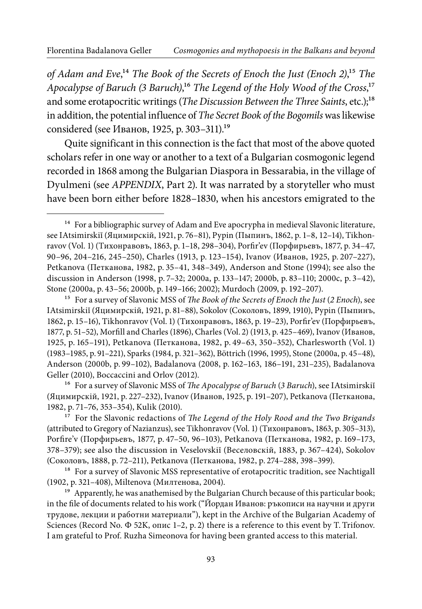of Adam and Eve,<sup>14</sup> The Book of the Secrets of Enoch the Just (Enoch 2),<sup>15</sup> The Apocalypse of Baruch (3 Baruch),<sup>16</sup> The Legend of the Holy Wood of the Cross,<sup>17</sup> and some erotapocritic writings (The Discussion Between the Three Saints, etc.);<sup>18</sup> in addition, the potential influence of The Secret Book of the Bogomils was likewise considered (see Иванов, 1925, p. 303–311).19

Quite significant in this connection is the fact that most of the above quoted scholars refer in one way or another to a text of a Bulgarian cosmogonic legend recorded in 1868 among the Bulgarian Diaspora in Bessarabia, in the village of Dyulmeni (see APPENDIX, Part 2). It was narrated by a storyteller who must have been born either before 1828–1830, when his ancestors emigrated to the

<sup>16</sup> For a survey of Slavonic MSS of *The Apocalypse of Baruch* (3 Baruch), see IAtsimirskii (Яцимирскiй, 1921, p. 227–232), Ivanov (Иванов, 1925, p. 191–207), Petkanovа (Петканова, 1982, p. 71–76, 353–354), Kulik (2010).

<sup>17</sup> For the Slavonic redactions of *The Legend of the Holy Rood and the Two Brigands* (attributed to Gregory of Nazianzus), see Tikhonravov (Vol. 1) (Тихонравовъ, 1863, p. 305–313), Porire'v (Порфирьевъ, 1877, p. 47–50, 96–103), Petkanova (Петканова, 1982, p. 169–173, 378–379); see also the discussion in Veselovskiĭ (Веселовскiй, 1883, p. 367–424), Sokolov (Соколовъ, 1888, p. 72–211), Petkanova (Петканова, 1982, p. 274–288, 398–399).

<sup>18</sup> For a survey of Slavonic MSS representative of erotapocritic tradition, see Nachtigall (1902, p. 321–408), Miltenova (Милтенова, 2004).

<sup>19</sup> Apparently, he was anathemised by the Bulgarian Church because of this particular book; in the ile of documents related to his work ("Йордан Иванов: ръкописи на научни и други трудове, лекции и работни материали"), kept in the Archive of the Bulgarian Academy of Sciences (Record No.  $\Phi$  52K, опис 1–2, p. 2) there is a reference to this event by T. Trifonov. I am grateful to Prof. Ruzha Simeonova for having been granted access to this material.

<sup>&</sup>lt;sup>14</sup> For a bibliographic survey of Adam and Eve apocrypha in medieval Slavonic literature, see IAtsimirskiĭ (Яцимирскiй, 1921, p. 76–81), Pypin (Пыпинъ, 1862, p. 1–8, 12–14), Tikhonravov (Vol. 1) (Тихонравовъ, 1863, p. 1–18, 298–304), Porir'ev (Порфирьевъ, 1877, p. 34–47, 90–96, 204–216, 245–250), Charles (1913, p. 123–154), Ivanov (Иванов, 1925, p. 207–227), Petkanova (Петканова, 1982, p. 35–41, 348–349), Anderson and Stone (1994); see also the discussion in Anderson (1998, p. 7–32; 2000a, p. 133–147; 2000b, p. 83–110; 2000c, p. 3–42), Stone (2000a, p. 43–56; 2000b, p. 149–166; 2002); Murdoch (2009, p. 192–207).

<sup>&</sup>lt;sup>15</sup> For a survey of Slavonic MSS of The Book of the Secrets of Enoch the Just (2 Enoch), see IAtsimirskiĭ (Яцимирскiй, 1921, p. 81–88), Sokolov (Соколовъ, 1899, 1910), Pypin (Пыпинъ, 1862, p. 15–16), Tikhonravov (Vol. 1) (Тихонравовъ, 1863, p. 19–23), Porir'ev (Порфирьевъ, 1877, p. 51–52), Morill and Charles (1896), Charles (Vol. 2) (1913, p. 425–469), Ivanov (Иванов, 1925, p. 165–191), Petkanova (Петканова, 1982, p. 49–63, 350–352), Charlesworth (Vol. 1) (1983–1985, p. 91–221), Sparks (1984, p. 321–362), Böttrich (1996, 1995), Stone (2000a, p. 45–48), Anderson (2000b, p. 99–102), Badalanova (2008, p. 162–163, 186–191, 231–235), Badalanova Geller (2010), Boccaccini and Orlov (2012).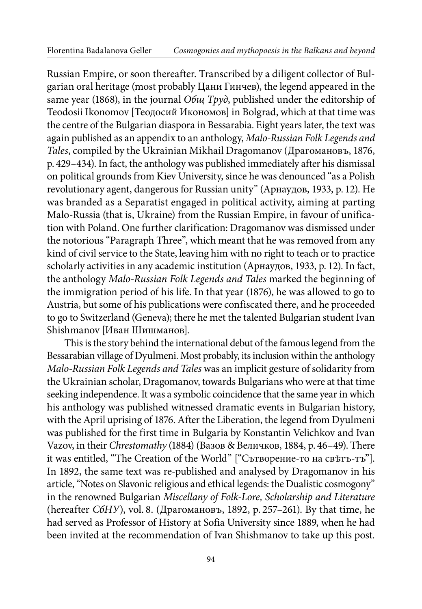Russian Empire, or soon thereafter. Transcribed by a diligent collector of Bulgarian oral heritage (most probably Цани Гинчев), the legend appeared in the same year (1868), in the journal *Obul Tpyd*, published under the editorship of Teodosii Ikonomov [Теодосий Икономов] in Bolgrad, which at that time was the centre of the Bulgarian diaspora in Bessarabia. Eight years later, the text was again published as an appendix to an anthology, Malo-Russian Folk Legends and Tales, compiled by the Ukrainian Mikhail Dragomanov (Драгомановъ, 1876, p. 429–434). In fact, the anthology was published immediately after his dismissal on political grounds from Kiev University, since he was denounced "as a Polish revolutionary agent, dangerous for Russian unity" (Арнаудов, 1933, p. 12). He was branded as a Separatist engaged in political activity, aiming at parting Malo-Russia (that is, Ukraine) from the Russian Empire, in favour of unification with Poland. One further clarification: Dragomanov was dismissed under the notorious "Paragraph Three", which meant that he was removed from any kind of civil service to the State, leaving him with no right to teach or to practice scholarly activities in any academic institution (Арнаудов, 1933, p. 12). In fact, the anthology Malo-Russian Folk Legends and Tales marked the beginning of the immigration period of his life. In that year (1876), he was allowed to go to Austria, but some of his publications were confiscated there, and he proceeded to go to Switzerland (Geneva); there he met the talented Bulgarian student Ivan Shishmanov [Иван Шишманов].

This is the story behind the international debut of the famous legend from the Bessarabian village of Dyulmeni. Most probably, its inclusion within the anthology Malo-Russian Folk Legends and Tales was an implicit gesture of solidarity from the Ukrainian scholar, Dragomanov, towards Bulgarians who were at that time seeking independence. It was a symbolic coincidence that the same year in which his anthology was published witnessed dramatic events in Bulgarian history, with the April uprising of 1876. After the Liberation, the legend from Dyulmeni was published for the first time in Bulgaria by Konstantin Velichkov and Ivan Vazov, in their Chrestomathy (1884) (Вазов & Величков, 1884, p. 46–49). There it was entitled, "The Creation of the World" ["Сътворение-то на свѣтъ-тъ"]. In 1892, the same text was re-published and analysed by Dragomanov in his article, "Notes on Slavonic religious and ethical legends: the Dualistic cosmogony" in the renowned Bulgarian Miscellany of Folk-Lore, Scholarship and Literature (hereafter СбНУ), vol. 8. (Драгомановъ, 1892, p. 257–261). By that time, he had served as Professor of History at Sofia University since 1889, when he had been invited at the recommendation of Ivan Shishmanov to take up this post.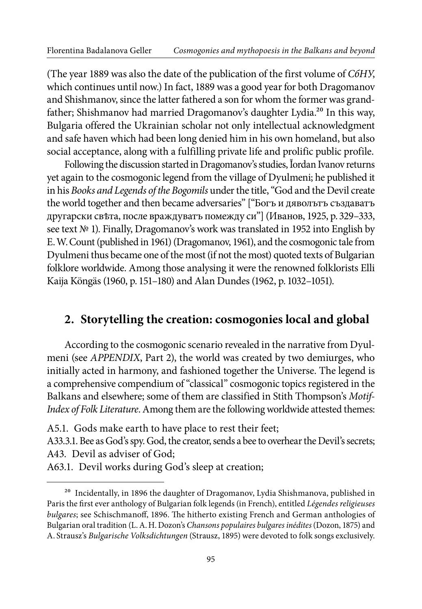(The year 1889 was also the date of the publication of the first volume of СбНУ, which continues until now.) In fact, 1889 was a good year for both Dragomanov and Shishmanov, since the latter fathered a son for whom the former was grandfather; Shishmanov had married Dragomanov's daughter Lydia.<sup>20</sup> In this way, Bulgaria offered the Ukrainian scholar not only intellectual acknowledgment and safe haven which had been long denied him in his own homeland, but also social acceptance, along with a fulfilling private life and prolific public profile.

Following the discussion started in Dragomanov's studies, Ĭordan Ivanov returns yet again to the cosmogonic legend from the village of Dyulmeni; he published it in his Books and Legends of the Bogomils under the title, "God and the Devil create the world together and then became adversaries" ["Богъ и дяволътъ създаватъ другарски свѣта, после враждуватъ помежду си"] (Иванов, 1925, p. 329–333, see text № 1). Finally, Dragomanov's work was translated in 1952 into English by E. W. Count (published in 1961) (Dragomanov, 1961), and the cosmogonic tale from Dyulmeni thus became one of the most (if not the most) quoted texts of Bulgarian folklore worldwide. Among those analysing it were the renowned folklorists Elli Kaija Köngäs (1960, p. 151–180) and Alan Dundes (1962, p. 1032–1051).

#### **2. Storytelling the creation: cosmogonies local and global**

According to the cosmogonic scenario revealed in the narrative from Dyulmeni (see APPENDIX, Part 2), the world was created by two demiurges, who initially acted in harmony, and fashioned together the Universe. The legend is a comprehensive compendium of "classical" cosmogonic topics registered in the Balkans and elsewhere; some of them are classified in Stith Thompson's Motif-Index of Folk Literature. Among them are the following worldwide attested themes:

A5.1. Gods make earth to have place to rest their feet;

A33.3.1. Bee as God's spy. God, the creator, sends a bee to overhear the Devil's secrets; A43. Devil as adviser of God;

A63.1. Devil works during God's sleep at creation;

 $^{20}\,$  Incidentally, in 1896 the daughter of Dragomanov, Lydia Shishmanova, published in Paris the irst ever anthology of Bulgarian folk legends (in French), entitled Légendes religieuses bulgares; see Schischmanoff, 1896. The hitherto existing French and German anthologies of Bulgarian oral tradition (L. A. H. Dozon's Chansons populaires bulgares inédites (Dozon, 1875) and A. Strausz's Bulgarische Volksdichtungen (Strausz, 1895) were devoted to folk songs exclusively.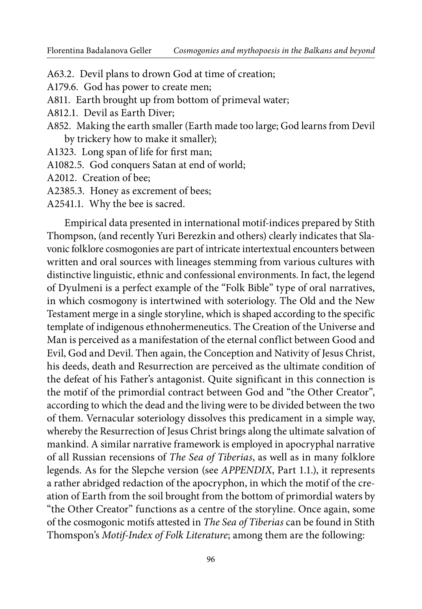- A63.2. Devil plans to drown God at time of creation;
- A179.6. God has power to create men;
- A811. Earth brought up from bottom of primeval water;
- A812.1. Devil as Earth Diver;
- A852. Making the earth smaller (Earth made too large; God learns from Devil by trickery how to make it smaller);
- A1323. Long span of life for first man;
- A1082.5. God conquers Satan at end of world;
- A2012. Creation of bee;
- A2385.3. Honey as excrement of bees;
- A2541.1. Why the bee is sacred.

Empirical data presented in international motifindices prepared by Stith Thompson, (and recently Yuri Berezkin and others) clearly indicates that Slavonic folklore cosmogonies are part of intricate intertextual encounters between written and oral sources with lineages stemming from various cultures with distinctive linguistic, ethnic and confessional environments. In fact, the legend of Dyulmeni is a perfect example of the "Folk Bible" type of oral narratives, in which cosmogony is intertwined with soteriology. The Old and the New Testament merge in a single storyline, which is shaped according to the specific template of indigenous ethnohermeneutics. The Creation of the Universe and Man is perceived as a manifestation of the eternal conflict between Good and Evil, God and Devil. Then again, the Conception and Nativity of Jesus Christ, his deeds, death and Resurrection are perceived as the ultimate condition of the defeat of his Father's antagonist. Quite significant in this connection is the motif of the primordial contract between God and "the Other Creator", according to which the dead and the living were to be divided between the two of them. Vernacular soteriology dissolves this predicament in a simple way, whereby the Resurrection of Jesus Christ brings along the ultimate salvation of mankind. A similar narrative framework is employed in apocryphal narrative of all Russian recensions of The Sea of Tiberias, as well as in many folklore legends. As for the Slepche version (see APPENDIX, Part 1.1.), it represents a rather abridged redaction of the apocryphon, in which the motif of the creation of Earth from the soil brought from the bottom of primordial waters by "the Other Creator" functions as a centre of the storyline. Once again, some of the cosmogonic motifs attested in The Sea of Tiberias can be found in Stith Thomspon's Motif-Index of Folk Literature; among them are the following: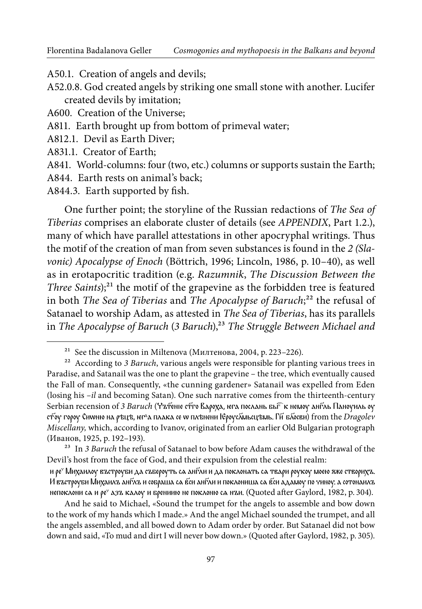A50.1. Creation of angels and devils;

A52.0.8. God created angels by striking one small stone with another. Lucifer created devils by imitation;

A600. Creation of the Universe;

A811. Earth brought up from bottom of primeval water;

A812.1. Devil as Earth Diver;

A831.1. Creator of Earth;

A841. World-columns: four (two, etc.) columns or supports sustain the Earth;

A844. Earth rests on animal's back;

A844.3. Earth supported by fish.

One further point; the storyline of the Russian redactions of The Sea of Tiberias comprises an elaborate cluster of details (see APPENDIX, Part 1.2.), many of which have parallel attestations in other apocryphal writings. Thus the motif of the creation of man from seven substances is found in the 2 (Slavonic) Apocalypse of Enoch (Böttrich, 1996; Lincoln, 1986, p. 10–40), as well as in erotapocritic tradition (e.g. Razumnik, The Discussion Between the Three Saints);<sup>21</sup> the motif of the grapevine as the forbidden tree is featured in both The Sea of Tiberias and The Apocalypse of Baruch; $^{22}$  the refusal of Satanael to worship Adam, as attested in The Sea of Tiberias, has its parallels in The Apocalypse of Baruch  $(3$  Baruch),<sup>23</sup> The Struggle Between Michael and

<sup>23</sup> In 3 Baruch the refusal of Satanael to bow before Adam causes the withdrawal of the Devil's host from the face of God, and their expulsion from the celestial realm:

и ре<sup>,</sup> Михаилоу въстроуби да събероуть са анг⁄ли и да поклонать са твари роукоу моею яже створихъ. И въстроуби Михаилъ англъ и собраша са вси англи и поклониша са вси адамоу по чиноу. а сотонаилъ непоклони са и ρе° азъ калоу и брениию не поклоню са нъи. (Quoted after Gaylord, 1982, p. 304).

And he said to Michael, «Sound the trumpet for the angels to assemble and bow down to the work of my hands which I made.» And the angel Michael sounded the trumpet, and all the angels assembled, and all bowed down to Adam order by order. But Satanael did not bow down and said, «To mud and dirt I will never bow down.» (Quoted ater Gaylord, 1982, p. 305).

<sup>&</sup>lt;sup>21</sup> See the discussion in Miltenova (Милтенова, 2004, p. 223–226).

 $22$  According to 3 Baruch, various angels were responsible for planting various trees in Paradise, and Satanail was the one to plant the grapevine – the tree, which eventually caused the Fall of man. Consequently, «the cunning gardener» Satanail was expelled from Eden (losing his  $-i\ell$  and becoming Satan). One such narrative comes from the thirteenth-century Serbian recension of 3 Baruch (Чътеніе ст҃го Вароха, юга послань бы©к немоу англь Паноуиль оу стоу гороу Сиwню на рѣцѣ, ѥг<sup>а</sup>а плака се w плѣнени Ѥроус⊼мьсцѣмь. Ги҃ блосви) from the Dragolev Miscellany, which, according to Ivanov, originated from an earlier Old Bulgarian protograph (Иванов, 1925, p. 192–193).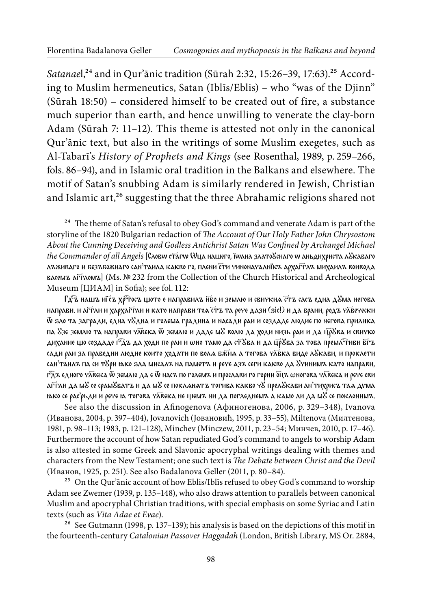Satanael,<sup>24</sup> and in Qur'ānic tradition (Sūrah 2:32, 15:26-39, 17:63).<sup>25</sup> According to Muslim hermeneutics, Satan (Iblīs/Eblis) – who "was of the Djinn" (Sūrah 18:50) – considered himself to be created out of fire, a substance much superior than earth, and hence unwilling to venerate the clay-born Adam (Sūrah 7: 11–12). This theme is attested not only in the canonical Qur'ānic text, but also in the writings of some Muslim exegetes, such as AlTabarī's History of Prophets and Kings (see Rosenthal, 1989, p. 259–266, fols. 86–94), and in Islamic oral tradition in the Balkans and elsewhere. The motif of Satan's snubbing Adam is similarly rendered in Jewish, Christian and Islamic art,<sup>26</sup> suggesting that the three Abrahamic religions shared not

Гд $\widehat{\mathcal{A}}$ ъ нашъ иї̃съ хр $\widehat{\mathcal{A}}$ тосъ щото е направилъ н $\widehat{\mathcal{B}}$ ю и землю и свичкиа стъ сасъ една д $\mathcal{S}$ ма негова направи. и аГѓли и хархаГѓли и като направи тоа с̄тъ та рече дази (sic!) и да брани, родъ ч⊼вечески ѿ ѕло та загради, една чꙋдна и голема градина и насади раи и создаде людие по негова прилика па №зе землю та направи ч⊼века ѿ землю и даде м& волю да ходи низь раи и да ц̄рӮва и свичко дихание що создаде г^дъ да ходи по раи и ωно тамо да с₸Хва и да ц͡рХва за това премл͡∾нви бī∙ъ сади раи за праведни людие които ходати по вола бжи́а а тогова чλ̄вка виде лӮкави, и проклети сан'таилъ па си т&ри юко ѕла мисалъ на паметъ и рече азъ сеги какво да &чинимъ като направи, г $\mathfrak{F}$ дъ едного ч $\bar{\lambda}$ века Ѿ землю да е Ѿ насъ по големъ и прослави го горни бцъ ωногова ч $\bar{\lambda}$ века и рече сви аГrли да мど се срамУватъ и да мУ се покланатъ тогива какво чУ прелУкави ан'тихрисъ таа дvма њко се рас'рьди и рече ѣ тогова ч $\bar{\lambda}$ века не щемъ ни да погледнемъ а камо ли да м $\mathcal S$  се поклонимъ.

See also the discussion in Afinogenova (Афиногенова, 2006, р. 329–348), Ivanova (Иванова, 2004, p. 397–404), Jovanovich (Joвановић, 1995, p. 33–55), Miltenova (Милтенова, 1981, p. 98–113; 1983, p. 121–128), Minchev (Minczew, 2011, p. 23–54; Минчев, 2010, p. 17–46). Furthermore the account of how Satan repudiated God's command to angels to worship Adam is also attested in some Greek and Slavonic apocryphal writings dealing with themes and characters from the New Testament; one such text is The Debate between Christ and the Devil (Иванов, 1925, p. 251). See also Badalanova Geller (2011, p. 80–84).

<sup>25</sup> On the Qur'ānic account of how Eblis/Iblīs refused to obey God's command to worship Adam see Zwemer (1939, p. 135–148), who also draws attention to parallels between canonical Muslim and apocryphal Christian traditions, with special emphasis on some Syriac and Latin texts (such as Vita Adae et Evae).

 $26$  See Gutmann (1998, p. 137–139); his analysis is based on the depictions of this motif in the fourteenth-century Catalonian Passover Haggadah (London, British Library, MS Or. 2884,

 $24$  The theme of Satan's refusal to obey God's command and venerate Adam is part of the storyline of the 1820 Bulgarian redaction of The Account of Our Holy Father John Chrysostom About the Cunning Deceiving and Godless Antichrist Satan Was Confined by Archangel Michael the Commander of all Angels [Словw стагw Wца нашего, їwана злато&снаго w аньоихриста л&каваго лъживаго и безъбожнаго сан'таила какво го, плени сти чиноначалнїкъ архаітлъ михаилъ воивода васемъ аг⊤ломъ] (Ms. № 232 from the Collection of the Church Historical and Archeological Museum [ЦИАМ] in Sofia); see fol. 112: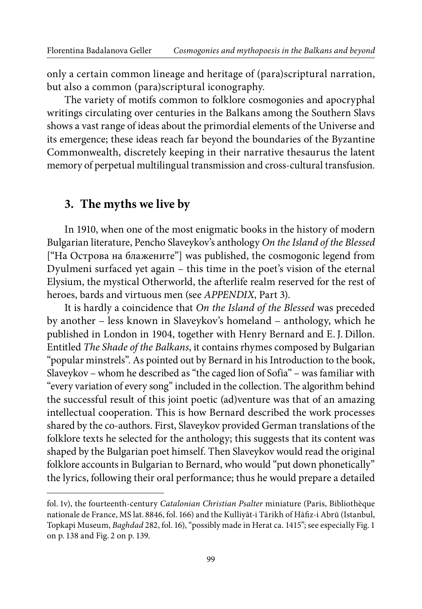only a certain common lineage and heritage of (para)scriptural narration, but also a common (para)scriptural iconography.

The variety of motifs common to folklore cosmogonies and apocryphal writings circulating over centuries in the Balkans among the Southern Slavs shows a vast range of ideas about the primordial elements of the Universe and its emergence; these ideas reach far beyond the boundaries of the Byzantine Commonwealth, discretely keeping in their narrative thesaurus the latent memory of perpetual multilingual transmission and cross-cultural transfusion.

#### **3. The myths we live by**

In 1910, when one of the most enigmatic books in the history of modern Bulgarian literature, Pencho Slaveykov's anthology On the Island of the Blessed ["На Острова на блажените"] was published, the cosmogonic legend from Dyulmeni surfaced yet again – this time in the poet's vision of the eternal Elysium, the mystical Otherworld, the afterlife realm reserved for the rest of heroes, bards and virtuous men (see APPENDIX, Part 3).

It is hardly a coincidence that On the Island of the Blessed was preceded by another – less known in Slaveykov's homeland – anthology, which he published in London in 1904, together with Henry Bernard and E. J. Dillon. Entitled The Shade of the Balkans, it contains rhymes composed by Bulgarian "popular minstrels". As pointed out by Bernard in his Introduction to the book, Slaveykov – whom he described as "the caged lion of Sofia" – was familiar with "every variation of every song" included in the collection. The algorithm behind the successful result of this joint poetic (ad)venture was that of an amazing intellectual cooperation. This is how Bernard described the work processes shared by the co-authors. First, Slaveykov provided German translations of the folklore texts he selected for the anthology; this suggests that its content was shaped by the Bulgarian poet himself. Then Slaveykov would read the original folklore accounts in Bulgarian to Bernard, who would "put down phonetically" the lyrics, following their oral performance; thus he would prepare a detailed

fol. 1v), the fourteenth-century Catalonian Christian Psalter miniature (Paris, Bibliothèque nationale de France, MS lat. 8846, fol. 166) and the Kulliyāt-i Tārikh of Hāfiz-i Abrū (Istanbul, Topkapi Museum, Baghdad 282, fol. 16), "possibly made in Herat ca. 1415"; see especially Fig. 1 on p. 138 and Fig. 2 on p. 139.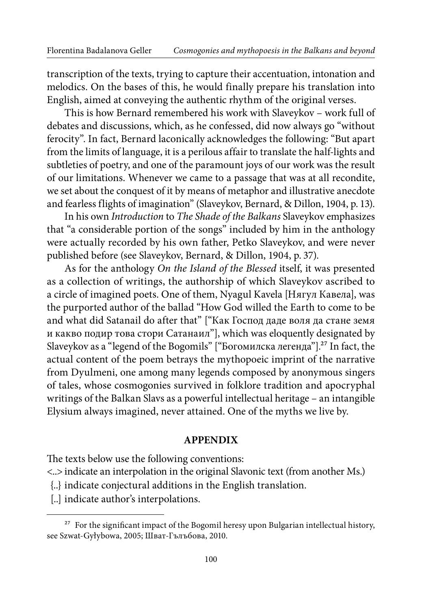transcription of the texts, trying to capture their accentuation, intonation and melodics. On the bases of this, he would finally prepare his translation into English, aimed at conveying the authentic rhythm of the original verses.

This is how Bernard remembered his work with Slaveykov – work full of debates and discussions, which, as he confessed, did now always go "without ferocity". In fact, Bernard laconically acknowledges the following: "But apart from the limits of language, it is a perilous affair to translate the half-lights and subtleties of poetry, and one of the paramount joys of our work was the result of our limitations. Whenever we came to a passage that was at all recondite, we set about the conquest of it by means of metaphor and illustrative anecdote and fearless flights of imagination" (Slaveykov, Bernard, & Dillon, 1904, p. 13).

In his own Introduction to The Shade of the Balkans Slaveykov emphasizes that "a considerable portion of the songs" included by him in the anthology were actually recorded by his own father, Petko Slaveykov, and were never published before (see Slaveykov, Bernard, & Dillon, 1904, p. 37).

As for the anthology On the Island of the Blessed itself, it was presented as a collection of writings, the authorship of which Slaveykov ascribed to a circle of imagined poets. One of them, Nyagul Kavela [Нягул Кавела], was the purported author of the ballad "How God willed the Earth to come to be and what did Satanail do after that" ["Как Господ даде воля да стане земя и какво подир това стори Сатанаил"], which was eloquently designated by Slaveykov as a "legend of the Bogomils" ["Богомилска легенда"].27 In fact, the actual content of the poem betrays the mythopoeic imprint of the narrative from Dyulmeni, one among many legends composed by anonymous singers of tales, whose cosmogonies survived in folklore tradition and apocryphal writings of the Balkan Slavs as a powerful intellectual heritage – an intangible Elysium always imagined, never attained. One of the myths we live by.

#### **APPENDIX**

he texts below use the following conventions:

<..> indicate an interpolation in the original Slavonic text (from another Ms.)

- {..} indicate conjectural additions in the English translation.
- [..] indicate author's interpolations.

 $^{27}$  For the significant impact of the Bogomil heresy upon Bulgarian intellectual history, see Szwat-Gyłybowa, 2005; Шват-Гълъбова, 2010.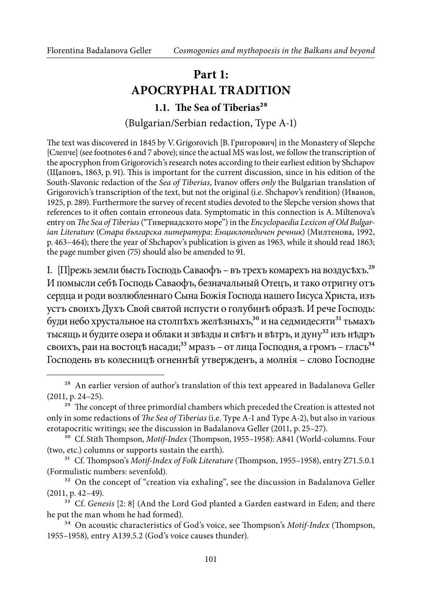### **Part 1: APOCRYPHAL TRADITION**

#### **1.1.** The Sea of Tiberias<sup>28</sup>

(Bulgarian/Serbian redaction, Type A-1)

he text was discovered in 1845 by V. Grigorovich [В. Григорович] in the Monastery of Slepche [Слепче] (see footnotes 6 and 7 above); since the actual MS was lost, we follow the transcription of the apocryphon from Grigorovich's research notes according to their earliest edition by Shchapov (Щаповъ, 1863, p. 91). his is important for the current discussion, since in his edition of the South-Slavonic redaction of the Sea of Tiberias, Ivanov offers only the Bulgarian translation of Grigorovich's transcription of the text, but not the original (i.e. Shchapov's rendition) (Иванов, 1925, p. 289). Furthermore the survey of recent studies devoted to the Slepche version shows that references to it oten contain erroneous data. Symptomatic in this connection is A. Miltenova's entry on The Sea of Tiberias ("Тивериадското море") in the Encyclopaedia Lexicon of Old Bulgarian Literature (Стара българска литература: Енциклопедичен речник) (Милтенова, 1992, p. 463–464); there the year of Shchapov's publication is given as 1963, while it should read 1863; the page number given (75) should also be amended to 91.

I. [П]режь земли бысть Господь Саваофъ – въ трехъ комарехъ на воздусѣхъ.29 И помысли себѣ Господь Саваофъ, безначальный Отецъ, и тако отригну отъ сердца и роди возлюбленнаго Сына Божiя Господа нашего Iисуса Христа, изъ устъ своихъ Духъ Свой святой испусти о голубинѣ образѣ. И рече Господь: буди небо хрустальное на столпъхъ желъзныхъ,<sup>30</sup> и на седмидесяти<sup>31</sup> тьмахъ тысящь и будите озера и облаки и звѣзды и свѣтъ и вѣтръ, и дуну<sup>32</sup> изъ нѣдръ своихъ, раи на востоцъ насади;<sup>33</sup> мразъ – от лица Господня, а громъ – гласъ<sup>34</sup> Господень въ колесницѣ огненнѣй утвержденъ, а молнiя – слово Господне

<sup>&</sup>lt;sup>28</sup> An earlier version of author's translation of this text appeared in Badalanova Geller (2011, p. 24–25).

<sup>&</sup>lt;sup>29</sup> The concept of three primordial chambers which preceded the Creation is attested not only in some redactions of The Sea of Tiberias (i.e. Type A-1 and Type A-2), but also in various erotapocritic writings; see the discussion in Badalanova Geller (2011, p. 25–27).

<sup>&</sup>lt;sup>30</sup> Cf. Stith Thompson, Motif-Index (Thompson, 1955–1958): A841 (World-columns. Four (two, etc.) columns or supports sustain the earth).

<sup>&</sup>lt;sup>31</sup> Cf. Thompson's Motif-Index of Folk Literature (Thompson, 1955–1958), entry Z71.5.0.1 (Formulistic numbers: sevenfold).

<sup>&</sup>lt;sup>32</sup> On the concept of "creation via exhaling", see the discussion in Badalanova Geller (2011, p. 42–49).

<sup>&</sup>lt;sup>33</sup> Cf. Genesis [2: 8] (And the Lord God planted a Garden eastward in Eden; and there he put the man whom he had formed).

<sup>&</sup>lt;sup>34</sup> On acoustic characteristics of God's voice, see Thompson's Motif-Index (Thompson, 1955–1958), entry A139.5.2 (God's voice causes thunder).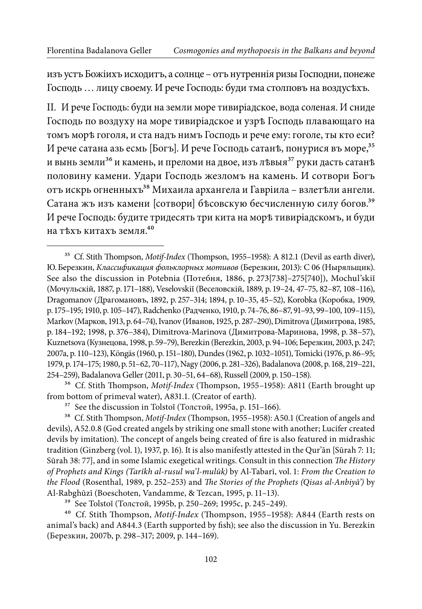изъ устъ Божiихъ исходитъ, а солнце – отъ нутреннiя ризы Господни, понеже Господь … лицу своему. И рече Господь: буди тма столповъ на воздусѣхъ.

II. И рече Господь: буди на земли море тивирiадское, вода соленая. И сниде Господь по воздуху на море тивирiадское и узрѣ Господь плавающаго на томъ морѣ гоголя, и ста надъ нимъ Господь и рече ему: гоголе, ты кто еси? И рече сатана азь есмь [Богъ]. И рече Господь сатанъ, понурися въ море, 35 и вынь земли<sup>36</sup> и камень, и преломи на двое, изъ лъвыя<sup>37</sup> руки дасть сатанъ половину камени. Удари Господь жезломъ на камень. И сотвори Богъ отъ искрь огненныхъ<sup>38</sup> Михаила архангела и Гавріила – взлетѣли ангели. Сатана жъ изъ камени [сотвори] бѣсовскую бесчисленную силу богов.39 И рече Господь: будите тридесять три кита на морѣ тивирiадскомъ, и буди на тѣхъ китахъ земля.40

<sup>&</sup>lt;sup>35</sup> Cf. Stith Thompson, Motif-Index (Thompson, 1955–1958): A 812.1 (Devil as earth diver), Ю. Березкин, Классификация фольклорных мотивов (Березкин, 2013): C 06 (Ныряльщик). See also the discussion in Potebnia (Потебня, 1886, p. 273[738]–275[740]), Mochul'skiĭ (Мочульскiй, 1887, p. 171–188), Veselovskiĭ (Веселовскiй, 1889, p. 19–24, 47–75, 82–87, 108–116), Dragomanov (Драгомановъ, 1892, p. 257–314; 1894, p. 10–35, 45–52), Korobka (Коробка, 1909, p. 175–195; 1910, p. 105–147), Radchenko (Радченко, 1910, p. 74–76, 86–87, 91–93, 99–100, 109–115), Markov (Марков, 1913, p. 64–74), Ivanov (Иванов, 1925, p. 287–290), Dimitrova (Димитрова, 1985, p. 184-192; 1998, p. 376-384), Dimitrova-Marinova (Димитрова-Маринова, 1998, p. 38-57), Kuznetsova (Кузнецова, 1998, p. 59–79), Berezkin (Berezkin, 2003, p. 94–106; Березкин, 2003, p. 247; 2007a, p. 110–123), Köngäs (1960, p. 151–180), Dundes (1962, p. 1032–1051), Tomicki (1976, p. 86–95; 1979, p. 174–175; 1980, p. 51–62, 70–117), Nagy (2006, p. 281–326), Badalanova (2008, p. 168, 219–221, 254–259), Badalanova Geller (2011, p. 30–51, 64–68), Russell (2009, p. 150–158).

<sup>&</sup>lt;sup>36</sup> Cf. Stith Thompson, Motif-Index (Thompson, 1955-1958): A811 (Earth brought up from bottom of primeval water), A831.1. (Creator of earth).

<sup>&</sup>lt;sup>37</sup> See the discussion in Tolstoĭ (Толстой, 1995a, p. 151-166).

<sup>&</sup>lt;sup>38</sup> Cf. Stith Thompson, *Motif-Index* (Thompson, 1955–1958): A50.1 (Creation of angels and devils), A52.0.8 (God created angels by striking one small stone with another; Lucifer created devils by imitation). The concept of angels being created of fire is also featured in midrashic tradition (Ginzberg (vol. 1), 1937, p. 16). It is also manifestly attested in the Qur'ān [Sūrah 7: 11; Sūrah 38: 77], and in some Islamic exegetical writings. Consult in this connection The History of Prophets and Kings (Tarīkh al-rusul wa'l-mulūk) by AlTabarī, vol. 1: From the Creation to the Flood (Rosenthal, 1989, p. 252–253) and The Stories of the Prophets (Qisas al-Anbiyā') by Al-Rabghūzī (Boeschoten, Vandamme, & Tezcan, 1995, p. 11-13).

<sup>39</sup> See Tolstoĭ (Толстой, 1995b, p. 250–269; 1995c, p. 245–249).

<sup>&</sup>lt;sup>40</sup> Cf. Stith Thompson, Motif-Index (Thompson, 1955-1958): A844 (Earth rests on animal's back) and A844.3 (Earth supported by ish); see also the discussion in Yu. Berezkin (Березкин, 2007b, p. 298–317; 2009, p. 144–169).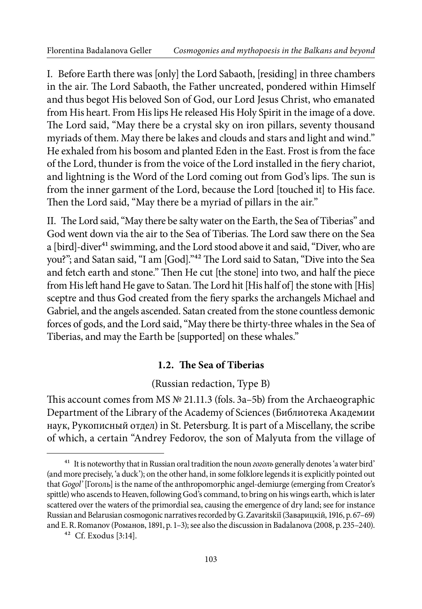I. Before Earth there was [only] the Lord Sabaoth, [residing] in three chambers in the air. The Lord Sabaoth, the Father uncreated, pondered within Himself and thus begot His beloved Son of God, our Lord Jesus Christ, who emanated from His heart. From His lips He released His Holy Spirit in the image of a dove. The Lord said, "May there be a crystal sky on iron pillars, seventy thousand myriads of them. May there be lakes and clouds and stars and light and wind." He exhaled from his bosom and planted Eden in the East. Frost is from the face of the Lord, thunder is from the voice of the Lord installed in the fiery chariot, and lightning is the Word of the Lord coming out from God's lips. The sun is from the inner garment of the Lord, because the Lord [touched it] to His face. Then the Lord said, "May there be a myriad of pillars in the air."

II. The Lord said, "May there be salty water on the Earth, the Sea of Tiberias" and God went down via the air to the Sea of Tiberias. The Lord saw there on the Sea a [bird]-diver<sup>41</sup> swimming, and the Lord stood above it and said, "Diver, who are you?"; and Satan said, "I am [God]."<sup>42</sup> The Lord said to Satan, "Dive into the Sea and fetch earth and stone." Then He cut [the stone] into two, and half the piece from His left hand He gave to Satan. The Lord hit [His half of] the stone with [His] sceptre and thus God created from the iery sparks the archangels Michael and Gabriel, and the angels ascended. Satan created from the stone countless demonic forces of gods, and the Lord said, "May there be thirty-three whales in the Sea of Tiberias, and may the Earth be [supported] on these whales."

#### **1.2. he Sea of Tiberias**

### (Russian redaction, Type B)

his account comes from MS № 21.11.3 (fols. 3a–5b) from the Archaeographic Department of the Library of the Academy of Sciences (Библиотека Академии наук, Рукописный отдел) in St. Petersburg. It is part of a Miscellany, the scribe of which, a certain "Andrey Fedorov, the son of Malyuta from the village of

<sup>&</sup>lt;sup>41</sup> It is noteworthy that in Russian oral tradition the noun *2020*7b generally denotes 'a water bird' (and more precisely, 'a duck'); on the other hand, in some folklore legends it is explicitly pointed out that Gogol' [Гоголь] is the name of the anthropomorphic angel-demiurge (emerging from Creator's spittle) who ascends to Heaven, following God's command, to bring on his wings earth, which is later scattered over the waters of the primordial sea, causing the emergence of dry land; see for instance Russian and Belarusian cosmogonic narratives recorded by G. Zavaritskiĭ (Заварицкiй, 1916, p. 67–69) and E. R. Romanov (Романов, 1891, p. 1–3); see also the discussion in Badalanova (2008, p. 235–240).

<sup>42</sup> Cf. Exodus [3:14].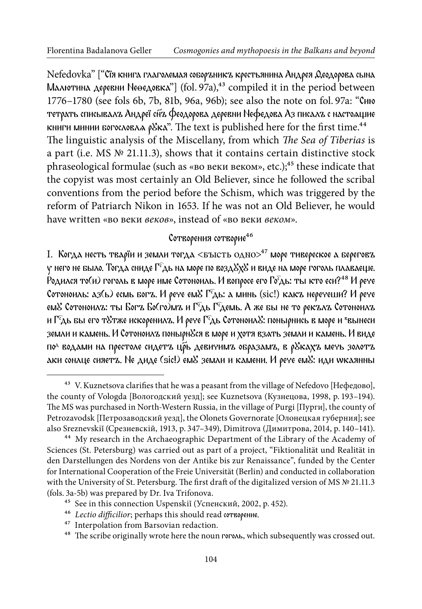Nefedovka" ["Сїя книга глаголемая соборъникъ крестьянина Андрея Деодорова сына Малютина деревни Не $\Theta$ едовка"] (fol. 97a),<sup>43</sup> compiled it in the period between 1776–1780 (see fols 6b, 7b, 81b, 96a, 96b); see also the note on fol. 97a: "Сию тетрать списывалъ Андреї сн҃ъ Феодорова деревни Нефедова Аз писалъ с настоащие книги минии богословла р $\κ$ . The text is published here for the first time.<sup>44</sup> The linguistic analysis of the Miscellany, from which The Sea of Tiberias is a part (i.e. MS № 21.11.3), shows that it contains certain distinctive stock phraseological formulae (such as «во веки веком», etc.);<sup>45</sup> these indicate that the copyist was most certainly an Old Believer, since he followed the scribal conventions from the period before the Schism, which was triggered by the reform of Patriarch Nikon in 1653. If he was not an Old Believer, he would have written «во веки веков», instead of «во веки веком».

#### Сотворения сотворие<sup>46</sup>

I. Когда несть тварїи и земли тогда <бысть одно $>^{47}$  море тивереское а береговъ  $\gamma$  него не было. Тогда сниде  $\widehat{\Gamma^c}$ дь на море по возд $\mathcal{S}\chi\mathcal{S}$  и виде на море гоголь плаваеще. Родился то(и) гоголь в море име Сотоноиль. И вопросе его Го<sup>с</sup>дь: ты кто еси?<sup>48</sup> И рече Сотоноиль:  $a3(b)$  есмь богъ. И рече ем $S \Gamma<sup>c</sup>$ дь: а минь (sic!) какъ неречеши? И рече ем $\mathcal S$  Сотоноилъ: ты Богъ Бо(го)мъ и Гедь Гедемь. А же бы не то рекълъ Сотоноилъ и Г<sup>с</sup>дь бы его тУтже искоренилъ. И рече Г<sup>с</sup>дь СотоноилУ: понырнись в море и <sup>в</sup>вынеси земли и камень. И Сотоноилъ понырн&ся в море и хотя взать земли и камень. И виде по<sup>л</sup> водами на престоле сидетъ цр̃ь девичимъ образамъ, в рYкахъ мечь золотъ аки сонлце сияетъ. Не диде (sic!) ем& земли и камени. И рече ем&: иди wкаянны

<sup>&</sup>lt;sup>43</sup> V. Kuznetsova clarifies that he was a peasant from the village of Nefedovo [Нефедово], the county of Vologda [Вологодский уезд]; see Kuznetsova (Кузнецова, 1998, p. 193–194). he MS was purchased in NorthWestern Russia, in the village of Purgi [Пурги], the county of Petrozavodsk [Петрозаводский уезд], the Olonets Governorate [Олонецкая губерния]; see also Sreznevskiĭ (Срезневскiй, 1913, p. 347–349), Dimitrova (Димитрова, 2014, p. 140–141).

<sup>&</sup>lt;sup>44</sup> My research in the Archaeographic Department of the Library of the Academy of Sciences (St. Petersburg) was carried out as part of a project, "Fiktionalität und Realität in den Darstellungen des Nordens von der Antike bis zur Renaissance", funded by the Center for International Cooperation of the Freie Universität (Berlin) and conducted in collaboration with the University of St. Petersburg. The first draft of the digitalized version of MS  $\mathbb{N}^{\circ}$  21.11.3 (fols. 3a-5b) was prepared by Dr. Iva Trifonova.

<sup>45</sup> See in this connection Uspenskiĭ (Успенский, 2002, p. 452).

<sup>&</sup>lt;sup>46</sup> Lectio difficilior; perhaps this should read сотворение.

<sup>47</sup> Interpolation from Barsovian redaction.

 $^{48}\,$  The scribe originally wrote here the noun гоголь, which subsequently was crossed out.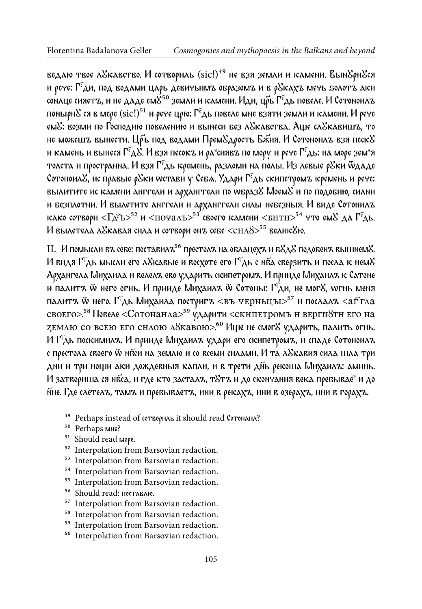ведаю твое л&кавство. И сотвориль (sic!)<sup>49</sup> не взя земли и камени. Вын&рн&ся и рече:  $\Gamma$ <sup>c</sup>ди, под водами царь девичьимъ образомъ и в р $\delta$ кахъ мечь ѕолотъ аки сонлце сияетъ, и не даде ем $\mathcal{S}^{50}$  земли и камени. Иди, цръ Г $^c$ дь повеле. И Сотоноилъ понырн $\mathcal S$  ся в мере  $(\mathrm{sic!})^{51}$  и рече црю:  $\Gamma^c$ дь повеле мне взяти земли и камени. И рече емУ: возми по Господию повелению и вынеси без лУкавства. Аще слУкавишъ, то не можешъ вынести. Цръ под водами Прем $\mathcal{S}_{\mathcal{A}}$ рость Бжия. И Сотоноилъ взя песк $\mathcal{S}% _{\mathcal{A}}$ и камень и вынеся Г $^{\rm c}$ дХ. И взя песокъ и ра $^{\rm s}$ сиявъ по мору и рече Г $^{\rm c}$ дь: на море зем^я толста и пространна. И взя Г<sup>с</sup>дь кремень, разломи на полы. Из левые р&ки ѿдаде Сотоноил $\mathcal{S}$ , ис правые р $\mathcal{S}$ ки wстави у Себа. Удари  $\Gamma^c$ дь скипетромъ кремень и рече: вылитите ис камени анггели и арханггели по wбраз& Моем& и по подобию, силни и безплотни. И вьілетите анггели и арханггели сильі небезньія. И виде Сотонилъ како сотвори  $\langle \Gamma\rangle$ с $\rangle^{52}$  и  $\langle \Gamma\rangle$ почалъ $\langle \rangle^{53'}$ своего камени  $\langle \Gamma\rangle^{54}$  что ем $\chi$  да Г $\langle \Gamma\rangle$ ь. И вылетела л&кавая сила и сотвори онъ себе <снл $8$ ><sup>55</sup> велик&ю.

II. И помысли въ себе: поставилъ<sup>56</sup> престолъ на облацехъ и бХдХ подобенъ вышнемХ. И видя  $\Gamma$ едь мысли его л $\mathcal S$ кавые и восхоте его  $\Gamma$ едь с нба сверзить и посла к нем $\mathcal S$ Архангела Михаила и велелъ ево ударить скипетромъ. И прииде Михаилъ к Сатоне и палитъ  $\tilde{w}$  него огнь. И прииде Михаилъ  $\tilde{w}$  Сотоны: Г $\tilde{c}$ ди, не мог $\tilde{s}$ , wгнь меня палитъ ѿ него. Г $\epsilon$ дь Михаила постригъ <въ черньцъ1>57 и послалъ <аг  $\epsilon$ тла своего>.<sup>58</sup> Повеле <Сотонанла><sup>59</sup> ударити <скнпетромъ н верги8тн его на zемлю со всею его снлою л8кавою>.<sup>60</sup> Ище не смог<sup>у</sup> ударить, палить огнь. И Гс͡дь поскимилъ. И прииде Михаилъ удари его скипетромъ, и спаде Сотоноилъ с престола своего ѿ нбси на землю и со всеми силами. И та л&кавия сила шла три дни и три нощи аки дождевныя капли, и в трети діяь рекоша Михаилъ: аминь. И затвориша ся нбса, и где кто засталъ, тУтъ и до скончания века пребывае<sup>т</sup> и до н҃не. Где слетелъ, тамъ и пребьіваетъ, ини в рекахъ, ини в озерахъ, ини в горахъ.

- 54 Interpolation from Barsovian redaction.
- <sup>55</sup> Interpolation from Barsovian redaction.
- 56 Should read: поставлю.

- 58 Interpolation from Barsovian redaction.
- 59 Interpolation from Barsovian redaction.
- $^{60}$  Interpolation from Barsovian redaction.

<sup>49</sup> Perhaps instead of сотвориль it should read Сотонаил?

<sup>50</sup> Perhaps мне?

<sup>51</sup> Should read море.

<sup>52</sup> Interpolation from Barsovian redaction.

<sup>&</sup>lt;sup>53</sup> Interpolation from Barsovian redaction.

 $^{57}\,$  Interpolation from Barsovian redaction.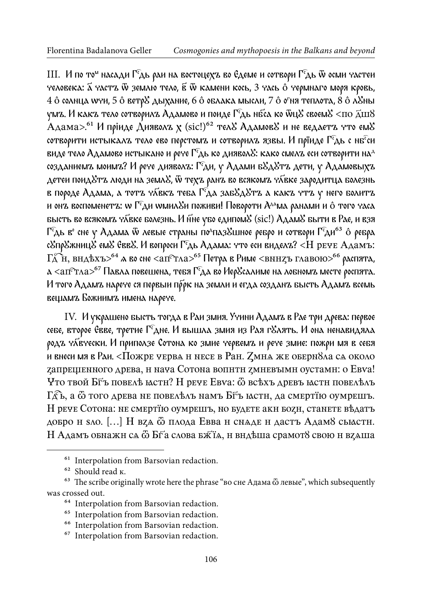III. И по то<sup>м</sup> насади Г<sup>е</sup>дь раи на востоцехъ во Едеме и сотвори Г<sup>е</sup>дь ѿ осми частеи человека:  $\tilde{\mathbf{a}}$  частъ  $\tilde{\mathbf{w}}$  землю тело,  $\tilde{\mathbf{g}}$   $\tilde{\mathbf{w}}$  камени кось, 3 чась  $\hat{\mathbf{o}}$  чермнаго моря кровь, 4 ô солнца wyи, 5 ô ветр $8$  дыхание, 6 ô облака мысли, 7 ô о'ня теплота, 8 ô л $8$ ны умъ. И какъ тело сотворилъ Адамово и поиде  $\Gamma$ а нбса ко ѿц $\mathcal S$  своем $\mathcal S$  <по  $\vec{\text{A}}$ ш $\mathcal S$  $A_{\rm A}$ ама $>$ .<sup>61</sup> И пріиде  $A_{\rm A}$ ияволъ х (sic!)<sup>62</sup> тел $8$  Адамов $8$  и не ведаетъ что ем $8$ сотворити истыкалъ тело ево перстомъ и сотворилъ язвы. И прїиде Г<sup>е</sup>дь с нб<sup>е</sup>си виде тело Адамово истыкано и рече  $\Gamma$ едь ко диявол $\mathcal{E}$ : како смел $\mathbf{z}$  еси сотворити на $^\mathrm{A}$ созданиемъ моимъ? И рече дияволъ: Г<sup>с</sup>ди, у Адами б&д&тъ дети, у Адамовыхъ детеи поид $\&$ тъ люди на земл $\&$ , ѿ техъ ранъ во всякомъ ч $\bar{\lambda}$ вке зародитца болезнь в породе Адама, а тотъ ч $\bar{\lambda}$ вкъ теба Г $\epsilon$ да заб $\bar{\lambda}$ д $\bar{\lambda}$ тъ а какъ чтъ у него болитъ и онъ воспоменетъ: w  $\Gamma^{\epsilon}$ ди wмил $\delta$ и поживи! Повороти  $A^{\text{AA}}$ ма ранами и ô того часа бысть во всякомъ члеке болезнь. И нне убо едипом<sup>у</sup> (sic!) АдамУ быти в Рае, и взя Г<sup>с</sup>дь в° сне у Адама ѿ левые страны по<sup>д</sup>пазХшное ребро и сотвори Г<sup>с</sup>ди<sup>63</sup> ô ребра с&пр&жниц& ем& Евв&. И вопроси Г<sup>с</sup>дь Адама: что еси виделъ? <Н рече Адамъ:  $\Gamma_{\!A}^{\!\!\!\!\!\!\!\!\times\, \times}$ н, внд $\pm$ хъ $>^{64}$  а во сне  $<$ ап $^{\rm c}\tau$ ла $>^{65}$  Петра в Риме  $<$ внн $z$ ъ главою $>^{66}$  распята,  $\alpha$  <ап $\epsilon$ тла $>$ <sup>67</sup> Павла повешена, тебя Г $\epsilon$ да во Иер $\mathcal{S}$ салиме на лобномъ месте роспята. И того Адамъ нарече ся первыи пррк на земли и егда созданъ бысть Адамъ всемь вещамъ Божиимъ имена нарече.

ІV. И украшено бьість тогда в Раи змия. Учини Адамъ в Рае три древа: первое себе, второе Евве, третие Г<sup>е</sup>дне. И вышла змия из Рая г&лять. И она ненавидяла родъ чл҃вчески. И приползе Сотона ко змие червемъ и рече змие: пожри мя в себя и внеси мя в Раи. <Пожре черва н несе в Ран.  $Z$ мна же оберн $8\land a$  са около запрещенного древа, и нача Сотона вопити змиевыми оустами: о Евѵа! Что твой Біъ повеле настн? Н рече Евуа: ѿ всехъ древъ настн повельлъ  $\Gamma_{\!A}^{\mathcal{E}}$ ь, а  $\ddot{\omega}$  того древа не повелелъ намъ Б $\ddot{\tau}$ ъ кастн, да смертїю оумрешъ. И рече Сотона: не смертїю оумрешъ, но будете аки бози, станете вѣдатъ добро и ѕло. [...] Н вза ѿ плода Евва и снаде и дасть Адам8 сыасти. Н Адамъ обнажн са ѿ Бґа слова бжїа, н вндѣша срамот8 свою н вдаша

<sup>&</sup>lt;sup>61</sup> Interpolation from Barsovian redaction.

<sup>&</sup>lt;sup>62</sup> Should read к.

<sup>&</sup>lt;sup>63</sup> The scribe originally wrote here the phrase "во сне Адама  $\ddot{\omega}$  левые", which subsequently was crossed out.

 $^{64}$  Interpolation from Barsovian redaction.

<sup>&</sup>lt;sup>65</sup> Interpolation from Barsovian redaction.

<sup>66</sup> Interpolation from Barsovian redaction.

<sup>67</sup> Interpolation from Barsovian redaction.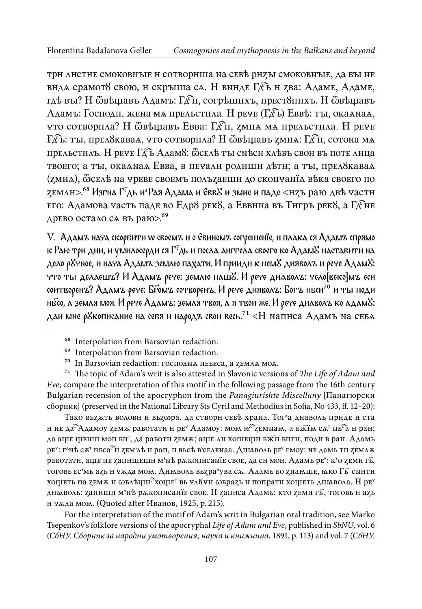трн листне смоковные и сотворнша на себе риды смоковные, да бы не внда срамот8 свою, н скрыша са. Н вниде Гдъ и тва: Адаме, Адаме, гдѣ вы? Н ѿвѣщавъ Адамъ: Гден, согрѣшнхъ, прест8пнхъ. Н ѿвѣщавъ Адамъ: Господн, жена ма прельстнла. Н рече (Гдб) Еввѣ: ты, окалнаа, что сотворнла? Н ѿвѣщавъ Евва: Гден, дмна ма прельстнла. Н рече Гдба: ты, прел8каваа, что сотворнла? Н ѿвѣщавъ дмна: Гдн, сотона ма прельстнаъ. Н рече Гдъ Адам8: Ѿселѣ ты снѣсн хлѣбъ свои въ поте лнца твоего; а ты, окалнал Евва, в печалн родншн детн; а ты, прел8кавал (дмна), ѿселѣ на чреве своемъ полъдаешн до скончанїа вѣка своего по  $\chi$ емлн $>$ .<sup>68</sup> Изгна Г $\epsilon$ дь из Рая Адама и Евв $\chi$  и змие и паде  $<$ н $\chi$ ъ раю двѣ частн его: Адамова часть паде во Едр8 рек8, а Еввнна въ Тнгръ рек8, а Г $\mathcal{\widehat{E}}$ не древо остало са въ раю>.<sup>69</sup>

V. Адамъ нача скорбити ѡ своемъ и о Евиномъ согрешенїе, и плака ся Адамъ спрямо к Раю три дни, и умилосерди ся  $\Gamma^c$ дь и посла анггела своего ко Адам $\mathcal S$  наставити на дело р&чное, и нача Адамъ землю пахати. И прииди к нем& дияволъ и рече Адам&: что тьі делаешъ? И Адамъ рече: землю пашꙋ. И рече диѧволъ: чело[веко]мъ еси соитворенъ? Адамъ рече: Бґомъ сотворенъ. И рече дияволъ: Богъ нбси<sup>70</sup> и ты поди нбсо, а земля моя. И рече Адамъ: земля твоя, а я твои же. И рече диаволъ ко адам&: даи мне р $\mathcal S$ кописание на себя и народъ свои весь.<sup>71</sup> <H напнса Адамъ на себя

Тако вьзжть волови и вьз∞ра, да створи себѣ храна. Тог^а днаволь приде и ста н не да $\widehat{ }$ Адамоу zем $\pi$  работатн н ре $^{\text{v}}$  Адамоу: мою н $\widehat{ }$ е $\widehat{ }$ zемнаю, а бж $\widehat{ }$ но с $\pi^{\text{v}}$  нб $\widehat{ }$ а н ран; да а<mark>цге шешн мон бн<sup>т</sup>, да работн zемѫ; а</mark>ще лн хошещн бж́н бнтн, подн в ран. Адамь ре<sup>ч</sup>: г^нѣ сѫ™ нбса<sup>с</sup>̀н zем'лѣ н ран, н вьсѣ в'селенаа. Дныволь ре<sup>ч</sup> емоу: не дамь тн zемлѫ работатн, аще не запншешн м'нѣ рѫкопнсанїе свое, да сн мон. Адамь ре": к<sup>т</sup>о земн гѣ́, тоговь ес'мь аzь н чѫда мою. Дныволь вьzра^ува сѫ. Адамь бо zнающе, юко Гь ⊂ннтн хощеть на zемѫ н  $\omega$ влѣщн $^{\mathbb{C}}$ хоще $^{\mathbb{T}}$  вь члѣ́чн  $\omega$ враzь н попратн хощеть дн $\kappa$ вола. Н ре $^{\mathbb{F}}$ дныволь: запншн м'нѣ рѫкопнсанїе свое. Н запнса Адамь: кто земн гь̄, тоговь н азь и чѫда моя. (Quoted ater Иванов, 1925, p. 215).

For the interpretation of the motif of Adam's writ in Bulgarian oral tradition, see Marko Tsepenkov's folklore versions of the apocryphal Life of Adam and Eve, published in SbNU, vol. 6 (СбНУ. Сборник за народни умотворения, наука и книжнина, 1891, p. 113) and vol. 7 (СбНУ.

<sup>68</sup> Interpolation from Barsovian redaction.

<sup>69</sup> Interpolation from Barsovian redaction.

<sup>&</sup>lt;sup>70</sup> In Barsovian redaction: господна небеса, а zемла моа.

 $71$  The topic of Adam's writ is also attested in Slavonic versions of The Life of Adam and Eve; compare the interpretation of this motif in the following passage from the 16th century Bulgarian recension of the apocryphon from the Panagiurishte Miscellany [Панагюрски сборник] (preserved in the National Library Sts Cyril and Methodius in Soia, No 433, f. 12–20):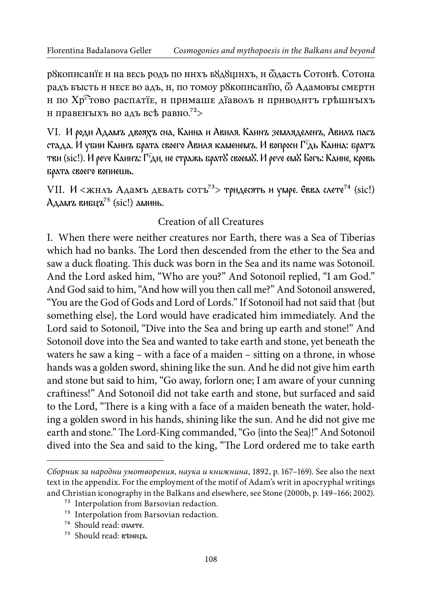р8 кописанїе и на весь родъ по нихъ б8д8щихъ, и ёдасть Сотонъ. Сотона радъ бысть н несе во адъ, н, по томоу р8копнсанїю,  $\ddot{\omega}$  Адамовы смертн и по Хр<sup>с</sup>͡тово распѧтїе, и примаше дїаволъ и приводитъ грѣшныхъ и правеныхъ во адъ всѣ равно.<sup>72</sup>>

VІ. И роди Адамъ двояхъ сна, Каина и Aвиля. Каинъ земляделенъ, Авилъ пасъ стада. И убии Каинъ брата своего Авиля каменемъ. И вопроси Г $\epsilon$ дь Каина: братъ тви (sic!). И рече Каинъ: Г $\widehat{f}$ ди, не стражь брат $\mathcal S$  своем $\mathcal S$ . И рече ем $\mathcal S$  Богь: Каине, кровь брата своего вопиешь.

VII. И  $\langle xH \rangle$  Адамъ девать сотъ<sup>73</sup> тридесять и умре. Евва слете<sup>74</sup> (sic!)  $A_A$ дмъ вибцъ<sup>75</sup> (sic!) аминь.

#### Creation of all Creatures

I. When there wеre nеither creatures nor Earth, there was a Sea of Tiberias which had no banks. The Lord then descended from the ether to the Sea and saw a duck floating. This duck was born in the Sea and its name was Sotonoil. And the Lord asked him, "Who are you?" And Sotonoil replied, "I am God." And God said to him, "And how will you then call me?" And Sotonoil answered, "You are the God of Gods and Lord of Lords." If Sotonoil had not said that {but something else}, the Lord would have eradicated him immediately. And the Lord said to Sotonoil, "Dive into the Sea and bring up earth and stone!" And Sotonoil dove into the Sea and wanted to take earth and stone, yet beneath the waters he saw a king – with a face of a maiden – sitting on a throne, in whose hands was a golden sword, shining like the sun. And he did not give him earth and stone but said to him, "Go away, forlorn one; I am aware of your cunning cratiness!" And Sotonoil did not take earth and stone, but surfaced and said to the Lord, "There is a king with a face of a maiden beneath the water, holding a golden sword in his hands, shining like the sun. And he did not give me earth and stone." The Lord-King commanded, "Go {into the Sea}!" And Sotonoil dived into the Sea and said to the king, "The Lord ordered me to take earth

Сборник за народни умотворения, наука и книжнина, 1892, p. 167–169). See also the next text in the appendix. For the employment of the motif of Adam's writ in apocryphal writings and Christian iconography in the Balkans and elsewhere, see Stone (2000b, p. 149–166; 2002).

<sup>72</sup> Interpolation from Barsovian redaction.

<sup>73</sup> Interpolation from Barsovian redaction.

<sup>74</sup> Should read: сплете.

<sup>75</sup> Should read: вѣнецъ.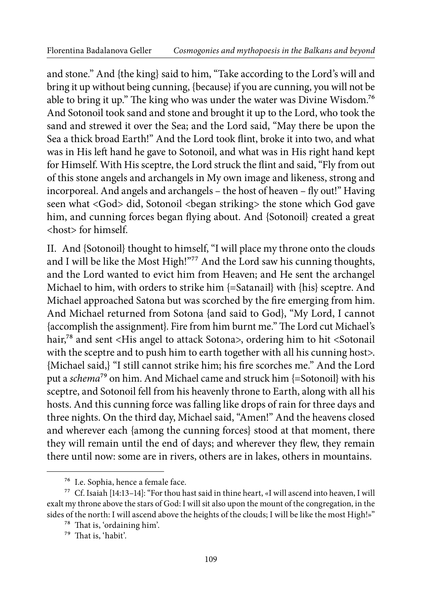and stone." And {the king} said to him, "Take according to the Lord's will and bring it up without being cunning, {because} if you are cunning, you will not be able to bring it up." The king who was under the water was Divine Wisdom.<sup>76</sup> And Sotonoil took sand and stone and brought it up to the Lord, who took the sand and strewed it over the Sea; and the Lord said, "May there be upon the Sea a thick broad Earth!" And the Lord took lint, broke it into two, and what was in His left hand he gave to Sotonoil, and what was in His right hand kept for Himself. With His sceptre, the Lord struck the lint and said, "Fly from out of this stone angels and archangels in My own image and likeness, strong and incorporeal. And angels and archangels – the host of heaven – fly out!" Having seen what <God> did, Sotonoil <br/>began striking> the stone which God gave him, and cunning forces began flying about. And {Sotonoil} created a great <host> for himself.

II. And {Sotonoil} thought to himself, "I will place my throne onto the clouds and I will be like the Most High!"<sup>77</sup> And the Lord saw his cunning thoughts, and the Lord wanted to evict him from Heaven; and He sent the archangel Michael to him, with orders to strike him {=Satanail} with {his} sceptre. And Michael approached Satona but was scorched by the ire emerging from him. And Michael returned from Sotona {and said to God}, "My Lord, I cannot {accomplish the assignment}. Fire from him burnt me." The Lord cut Michael's hair,<sup>78</sup> and sent <His angel to attack Sotona>, ordering him to hit <Sotonail with the sceptre and to push him to earth together with all his cunning host>. {Michael said,} "I still cannot strike him; his ire scorches me." And the Lord put a schema<sup>79</sup> on him. And Michael came and struck him  $=$  Sotonoil} with his sceptre, and Sotonoil fell from his heavenly throne to Earth, along with all his hosts. And this cunning force was falling like drops of rain for three days and three nights. On the third day, Michael said, "Amen!" And the heavens closed and wherever each {among the cunning forces} stood at that moment, there they will remain until the end of days; and wherever they lew, they remain there until now: some are in rivers, others are in lakes, others in mountains.

<sup>76</sup> I.e. Sophia, hence a female face.

<sup>77</sup> Cf. Isaiah [14:13–14]: "For thou hast said in thine heart, «I will ascend into heaven, I will exalt my throne above the stars of God: I will sit also upon the mount of the congregation, in the sides of the north: I will ascend above the heights of the clouds; I will be like the most High!»"

<sup>&</sup>lt;sup>78</sup> That is, 'ordaining him'.

<sup>&</sup>lt;sup>79</sup> That is, 'habit'.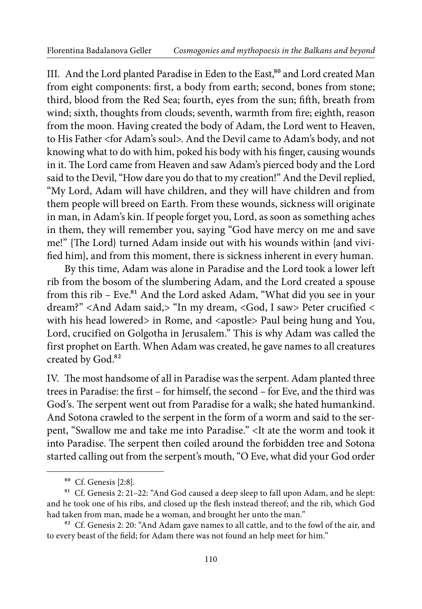III. And the Lord planted Paradise in Eden to the East,<sup>80</sup> and Lord created Man from eight components: first, a body from earth; second, bones from stone; third, blood from the Red Sea; fourth, eyes from the sun; fifth, breath from wind; sixth, thoughts from clouds; seventh, warmth from fire; eighth, reason from the moon. Having created the body of Adam, the Lord went to Heaven, to His Father <for Adam's soul>. And the Devil came to Adam's body, and not knowing what to do with him, poked his body with his finger, causing wounds in it. The Lord came from Heaven and saw Adam's pierced body and the Lord said to the Devil, "How dare you do that to my creation!" And the Devil replied, "My Lord, Adam will have children, and they will have children and from them people will breed on Earth. From these wounds, sickness will originate in man, in Adam's kin. If people forget you, Lord, as soon as something aches in them, they will remember you, saying "God have mercy on me and save me!" {The Lord} turned Adam inside out with his wounds within {and vivified him}, and from this moment, there is sickness inherent in every human.

By this time, Adam was alone in Paradise and the Lord took a lower left rib from the bosom of the slumbering Adam, and the Lord created a spouse from this rib - Eve.<sup>81</sup> And the Lord asked Adam, "What did you see in your dream?" <And Adam said,> "In my dream, <God, I saw> Peter crucified < with his head lowered> in Rome, and <apostle> Paul being hung and You, Lord, crucified on Golgotha in Jerusalem." This is why Adam was called the first prophet on Earth. When Adam was created, he gave names to all creatures created by God.<sup>82</sup>

IV. The most handsome of all in Paradise was the serpent. Adam planted three trees in Paradise: the first – for himself, the second – for Eve, and the third was God's. The serpent went out from Paradise for a walk; she hated humankind. And Sotona crawled to the serpent in the form of a worm and said to the serpent, "Swallow me and take me into Paradise." <It ate the worm and took it into Paradise. The serpent then coiled around the forbidden tree and Sotona started calling out from the serpent's mouth, "O Eve, what did your God order

<sup>80</sup> Cf. Genesis [2:8].

<sup>&</sup>lt;sup>81</sup> Cf. Genesis 2: 21-22: "And God caused a deep sleep to fall upon Adam, and he slept: and he took one of his ribs, and closed up the lesh instead thereof; and the rib, which God had taken from man, made he a woman, and brought her unto the man."

<sup>&</sup>lt;sup>82</sup> Cf. Genesis 2: 20: "And Adam gave names to all cattle, and to the fowl of the air, and to every beast of the field; for Adam there was not found an help meet for him."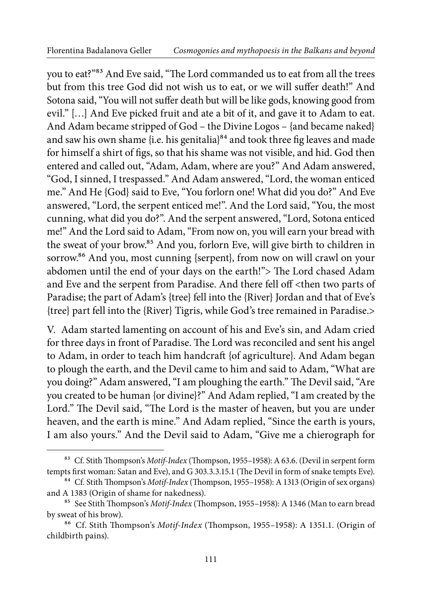you to eat?"<sup>83</sup> And Eve said, "The Lord commanded us to eat from all the trees but from this tree God did not wish us to eat, or we will sufer death!" And Sotona said, "You will not suffer death but will be like gods, knowing good from evil." […] And Eve picked fruit and ate a bit of it, and gave it to Adam to eat. And Adam became stripped of God – the Divine Logos – {and became naked} and saw his own shame {i.e. his genitalia}<sup>84</sup> and took three fig leaves and made for himself a shirt of igs, so that his shame was not visible, and hid. God then entered and called out, "Adam, Adam, where are you?" And Adam answered, "God, I sinned, I trespassed." And Adam answered, "Lord, the woman enticed me." And He {God} said to Eve, "You forlorn one! What did you do?" And Eve answered, "Lord, the serpent enticed me!". And the Lord said, "You, the most cunning, what did you do?". And the serpent answered, "Lord, Sotona enticed me!" And the Lord said to Adam, "From now on, you will earn your bread with the sweat of your brow.<sup>85</sup> And you, forlorn Eve, will give birth to children in sorrow.<sup>86</sup> And you, most cunning {serpent}, from now on will crawl on your abdomen until the end of your days on the earth!"> The Lord chased Adam and Eve and the serpent from Paradise. And there fell off <then two parts of Paradise; the part of Adam's {tree} fell into the {River} Jordan and that of Eve's {tree} part fell into the {River} Tigris, while God's tree remained in Paradise.>

V. Adam started lamenting on account of his and Eve's sin, and Adam cried for three days in front of Paradise. The Lord was reconciled and sent his angel to Adam, in order to teach him handcraft {of agriculture}. And Adam began to plough the earth, and the Devil came to him and said to Adam, "What are you doing?" Adam answered, "I am ploughing the earth." The Devil said, "Are you created to be human {or divine}?" And Adam replied, "I am created by the Lord." The Devil said, "The Lord is the master of heaven, but you are under heaven, and the earth is mine." And Adam replied, "Since the earth is yours, I am also yours." And the Devil said to Adam, "Give me a chierograph for

<sup>&</sup>lt;sup>83</sup> Cf. Stith Thompson's Motif-Index (Thompson, 1955–1958): A 63.6. (Devil in serpent form tempts first woman: Satan and Eve), and G 303.3.3.15.1 (The Devil in form of snake tempts Eve).

<sup>&</sup>lt;sup>84</sup> Cf. Stith Thompson's *Motif-Index* (Thompson, 1955–1958): A 1313 (Origin of sex organs) and A 1383 (Origin of shame for nakedness).

<sup>&</sup>lt;sup>85</sup> See Stith Thompson's Motif-Index (Thompson, 1955–1958): A 1346 (Man to earn bread by sweat of his brow).

<sup>&</sup>lt;sup>86</sup> Cf. Stith Thompson's Motif-Index (Thompson, 1955-1958): A 1351.1. (Origin of childbirth pains).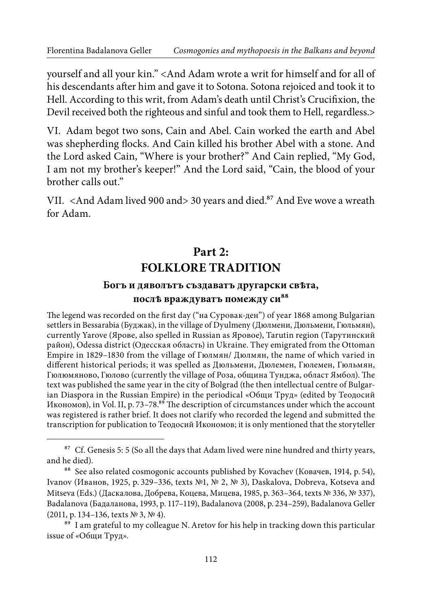yourself and all your kin." <And Adam wrote a writ for himself and for all of his descendants after him and gave it to Sotona. Sotona rejoiced and took it to Hell. According to this writ, from Adam's death until Christ's Crucifixion, the Devil received both the righteous and sinful and took them to Hell, regardless.>

VI. Adam begot two sons, Cain and Abel. Cain worked the earth and Abel was shepherding flocks. And Cain killed his brother Abel with a stone. And the Lord asked Cain, "Where is your brother?" And Cain replied, "My God, I am not my brother's keeper!" And the Lord said, "Cain, the blood of your brother calls out."

VII. <And Adam lived 900 and> 30 years and died.<sup>87</sup> And Eve wove a wreath for Adam.

### **Part 2: FOLKLORE TRADITION**

#### **Богъ и дяволътъ създаватъ другарски свѣта,**  посл*ѣ* враждуватъ помежду си<sup>88</sup>

The legend was recorded on the first day ("на Суровак-ден") of year 1868 among Bulgarian settlers in Bessarabia (Буджак), in the village of Dyulmeny (Дюлмени, Дюльмени, Гюльмян), currently Yarove (Ярове, also spelled in Russian as Яровoе), Tarutin region (Тарутинский район), Odessa district (Одесская область) in Ukraine. Тhey emigrated from the Ottoman Empire in 1829–1830 from the village of Гюлмян/ Дюлмян, the name of which varied in diferent historical periods; it was spelled as Дюльмени, Дюлемен, Гюлемен, Гюльмян, Гюлюмяново, Гюлово (currently the village of Роза, община Тунджа, област Ямбол). The text was published the same year in the city of Bolgrad (the then intellectual centre of Bulgarian Diaspora in the Russian Empire) in the periodical «Общи Труд» (edited by Теодосий Икономов), in Vol. II, p. 73-78.89 The description of circumstances under which the account was registered is rather brief. It does not clarify who recorded the legend and submitted the transcription for publication to Теодосий Икономов; it is only mentioned that the storyteller

<sup>&</sup>lt;sup>87</sup> Cf. Genesis 5: 5 (So all the days that Adam lived were nine hundred and thirty years, and he died).

<sup>&</sup>lt;sup>88</sup> See also related cosmogonic accounts published by Kovachev (Ковачев, 1914, р. 54), Ivanov (Иванов, 1925, p. 329–336, texts №1, № 2, № 3), Daskalova, Dobreva, Kotseva and Mitseva (Eds.) (Даскаловa, Добревa, Коцевa, Мицевa, 1985, p. 363–364, texts № 336, № 337), Badalanova (Бадаланова, 1993, p. 117–119), Badalanova (2008, p. 234–259), Badalanova Geller (2011, p. 134–136, texts № 3, № 4).

 $89$  I am grateful to my colleague N. Aretov for his help in tracking down this particular issue of «Общи Труд».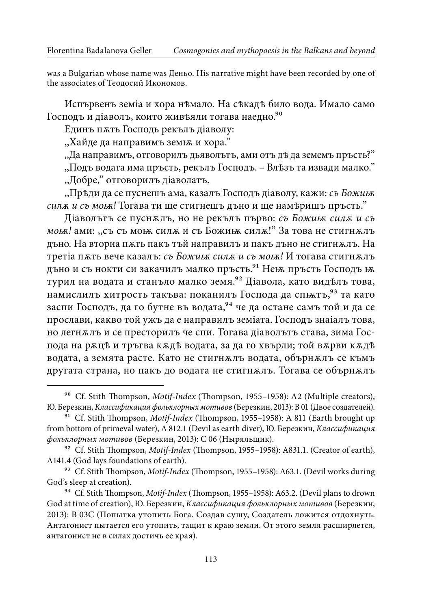was a Bulgarian whose name was Деньо. His narrative might have been recorded by one of the associates of Теодосий Икономов.

Испървенъ земia и хора нѣмало. На сѣкадѣ било вода. Имало само Господъ и діаволъ, които живъяли тогава наедно.<sup>90</sup>

Единъ пѫть Господь рекълъ дiаволу:

"Хайде да направимъ земь и хора."

,,Да направимъ, отговорилъ дьяволътъ, ами отъ дѣ да земемъ пръсть?" ,,Подъ водата има пръсть, рекълъ Господъ. – Влѣзъ та извади малко." ,,Добре," отговорилъ дiаволатъ.

,,Прѣди да се пуснешъ ама, казалъ Господъ дiаволу, кажи: съ Божи*ѭ* сил*ѫ* и съ мо*ѭ*! Tогава ти ще стигнешъ дъно и ще намѣришъ пръсть."

Дiаволътъ се пуснѫлъ, но не рекълъ първо: съ Божи*ѭ* сил*ѫ* и съ мо*ѭ*! ами: ,,съ съ моѭ силѫ и съ Божиѭ силѫ!" За това не стигнѫлъ дъно. На вториа пѫть пакъ тъй направилъ и пакъ дъно не стигнѫлъ. На третia пѫть вече казалъ: съ Божи*ѭ* сил*ѫ* и съ мо*ѭ*! И тогава стигнѫлъ дъно и съ нокти си закачилъ малко пръсть.<sup>91</sup> Неь пръсть Господъ ь к турил на водата и станъло малко земя.92 Дiавола, като видѣлъ това, намислилъ хитрость такъва: поканилъ Господа да спытъ, 93 та като заспи Господъ, да го бутне въ водата, <sup>94</sup> че да остане самъ той и да се прослави, какво той ужъ да е направилъ земiaта. Господъ знаiалъ това, но легнѫлъ и се престорилъ че спи. Tогава дiаволътъ става, зима Господа на рѫцѣ и тръгва кѫдѣ водата, за да го хвърли; той вѫрви кѫдѣ водата, а земята расте. Като не стигнѫлъ водата, обърнѫлъ се къмъ другата страна, но пакъ до водата не стигнѫлъ. Тогава се обърнѫлъ

<sup>&</sup>lt;sup>90</sup> Cf. Stith Thompson, *Motif-Index* (Thompson, 1955–1958): A2 (Multiple creators), Ю. Березкин, Классификация фольклорных мотивов (Березкин, 2013): B 01 (Двое создателей).

<sup>&</sup>lt;sup>91</sup> Cf. Stith Thompson, Motif-Index (Thompson, 1955-1958): A 811 (Earth brought up from bottom of primeval water), A 812.1 (Devil as earth diver), Ю. Березкин, Классификация фольклорных мотивов (Березкин, 2013): C 06 (Ныряльщик).

<sup>&</sup>lt;sup>92</sup> Cf. Stith Thompson, Motif-Index (Thompson, 1955–1958): A831.1. (Creator of earth), A141.4 (God lays foundations of earth).

<sup>&</sup>lt;sup>93</sup> Cf. Stith Thompson, *Motif-Index* (Thompson, 1955–1958): A63.1. (Devil works during God's sleep at creation).

<sup>&</sup>lt;sup>94</sup> Cf. Stith Thompson, *Motif-Index* (Thompson, 1955-1958): A63.2. (Devil plans to drown God at time of creation), Ю. Березкин, Классификация фольклорных мотивов (Березкин, 2013): B 03С (Попытка утопить Бога. Создав сушу, Создатель ложится отдохнуть. Антагонист пытается его утопить, тащит к краю земли. От этого земля расширяется, антагонист не в силах достичь ее края).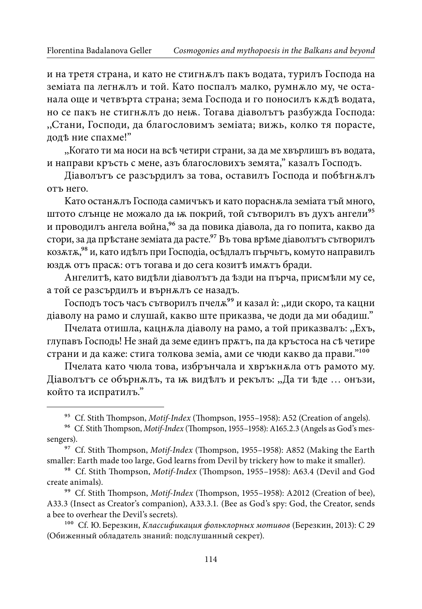и на третя страна, и като не стигнѫлъ пакъ водата, турилъ Господа на земiaта па легнѫлъ и той. Кaто поспалъ малко, румнѫло му, че останала още и четвърта страна; зема Господа и го поносилъ кѫдѣ водата, но се пакъ не стигнѫлъ до неѭ. Tогава дiаволътъ разбужда Господа: ,,Стани, Господи, да благословимъ земiата; вижь, колко тя порасте, додѣ ние спахме!"

,,Когато ти ма носи на всѣ четири страни, за да ме хвърлишъ въ водата, и направи кръсть с мене, азъ благословихъ земята," казалъ Господъ.

Дiаволътъ се разсърдилъ за това, оставилъ Господа и побѣгнѫлъ отъ него.

Kато останѫлъ Господа самичъкъ и като пораснѫла земiата тъй много, штото слънце не можало да ь покрий, той сътворилъ въ духъ ангели<sup>95</sup> и проводилъ ангела война, <sup>96</sup> за да повика діавола, да го попита, какво да стори, за да прѣстане земiaта да расте.97 Въ това врѣме дiaволътъ сътворилъ козѫтѫ,98 и, като идѣлъ при Господiа, осѣдлалъ пърчьтъ, комуто направилъ юздѫ отъ прасѫ: отъ тогава и до сега козитѣ имѫтъ бради.

Ангелитѣ, като видѣли дiaволътъ да ѣзди на пърча, присмѣли му се, а той се разсърдилъ и върнѫлъ се назадъ.

Господъ тосъ часъ сътворилъ пчелж<sup>99</sup> и казал ѝ: "иди скоро, та кацни дiаволу на рамо и слушай, какво ште приказва, че доди да ми обадиш."

Пчелата отишла, кацнѫла дiаволу на рамо, а той прикaзвалъ: ,,Ехъ, глупавъ Господь! Не знай да земе единъ прѫтъ, па да кръстоса на сѣ четире страни и да каже: стига толкова земiа, ами се чюди какво да прави."100

Пчелата като чюла това, избрънчала и хвръкнѫлa отъ рамото му. Дiаволътъ се обърнѫлъ, та ѭ видѣлъ и рекълъ: ,,Да ти ѣде … онъзи, който та испратилъ."

<sup>&</sup>lt;sup>95</sup> Cf. Stith Thompson, *Motif-Index* (Thompson, 1955–1958): A52 (Creation of angels).

<sup>&</sup>lt;sup>96</sup> Cf. Stith Thompson, Motif-Index (Thompson, 1955-1958): A165.2.3 (Angels as God's messengers).

<sup>&</sup>lt;sup>97</sup> Cf. Stith Thompson, Motif-Index (Thompson, 1955-1958): A852 (Making the Earth smaller: Earth made too large, God learns from Devil by trickery how to make it smaller).

<sup>&</sup>lt;sup>98</sup> Cf. Stith Thompson, *Motif-Index* (Thompson, 1955-1958): A63.4 (Devil and God create animals).

<sup>&</sup>lt;sup>99</sup> Cf. Stith Thompson, *Motif-Index* (Thompson, 1955-1958): A2012 (Creation of bee), A33.3 (Insect as Creator's companion), A33.3.1. (Bee as God's spy: God, the Creator, sends a bee to overhear the Devil's secrets).

<sup>100</sup> Cf. Ю. Березкин, Классификация фольклорных мотивов (Березкин, 2013): C 29 (Обиженный обладатель знаний: подслушанный секрет).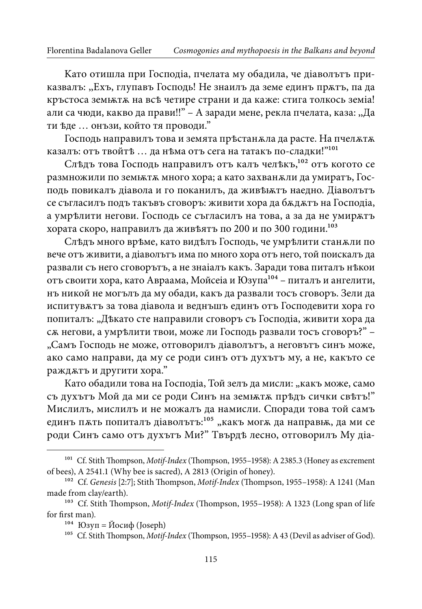Kaто отишла при Господiа, пчелата му обадила, че дiаволътъ приказвалъ: ,,Ехъ, глупавъ Господь! Не знаилъ да земе единъ прѫтъ, па да кръстоса земѭтѫ на всѣ четире страни и да каже: стига толкось земiа! али сa чюди, какво да прави!!" – A заради мене, рекла пчелата, каза: ,,Да ти ѣде … онъзи, който тя проводи."

Господь направилъ това и земята прѣстанѫла да расте. На пчелѫтѫ казалъ: отъ твойтѣ ... да нѣма отъ сега на татакъ по-сладки!"<sup>101</sup>

Слѣдъ това Господь направилъ отъ калъ челѣкъ,102 отъ когото се размножили по земь та много хора; а като захван жли да умиратъ, Господь повикалъ дiавола и го поканилъ, да живѣѭтъ наедно. Дiавoлътъ се съгласилъ подъ такъвъ сговоръ: живити хора да бѫдѫтъ на Господia, а умрѣлити негови. Господь се съгласилъ на това, а за да не умирѫтъ хората скоро, направилъ да живѣятъ по 200 и по 300 години.103

Слѣдъ много врѣме, като видѣлъ Господь, че умрѣлити станѫли по вече отъ живити, а дiаволътъ има по много хора отъ него, той поискалъ да развали съ него сговорътъ, а не знаiалъ какъ. Заради това питалъ нѣкои отъ своити хора, като Авраама, Мойсеiа и Юзупа104 – питалъ и ангелити, нъ никой не могълъ да му обади, какъ да развали тосъ сговоръ. Зели да испитувѫтъ за това дiавола и веднъшъ единъ отъ Господевити хора го попиталъ: "Дъкато сте направили сговоръ съ Господіа, живити хора да сѫ негови, а умрѣлити твои, може ли Господь развали тосъ сговоръ?" – "Самъ Господь не може, отговорилъ діаволътъ, а неговътъ синъ може, ако само направи, да му се роди синъ отъ духътъ му, а не, какъто се раждѫтъ и другити хора."

Като обадили това на Господіа, Той зелъ да мисли: "какъ може, само съ духътъ Mой да ми се роди Синъ на земѭтѫ прѣдъ сички свѣтъ!" Мислилъ, мислилъ и не можалъ да намисли. Споради това той самъ единъ п $\pi$ ть попиталъ діаволътъ: $^{105}$  "какъ мог $\pi$  да направь, да ми се роди Синъ само отъ духътъ Ми?" Твърдѣ лесно, отговорилъ Му дiа-

 $101$  Cf. Stith Thompson, *Motif-Index* (Thompson, 1955–1958): A 2385.3 (Honey as excrement of bees), A 2541.1 (Why bee is sacred), A 2813 (Origin of honey).

<sup>&</sup>lt;sup>102</sup> Cf. Genesis [2:7]; Stith Thompson, Motif-Index (Thompson, 1955–1958): A 1241 (Man made from clay/earth).

<sup>&</sup>lt;sup>103</sup> Cf. Stith Thompson, *Motif-Index* (Thompson, 1955–1958): A 1323 (Long span of life for first man).

<sup>&</sup>lt;sup>104</sup> Юзуп = Йосиф (Joseph)

<sup>&</sup>lt;sup>105</sup> Cf. Stith Thompson, *Motif-Index* (Thompson, 1955–1958): A 43 (Devil as adviser of God).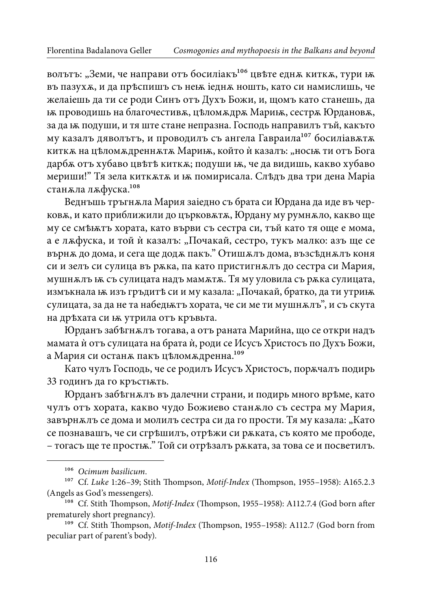волътъ: "Земи, че направи отъ босилiакъ<sup>106</sup> цвѣте еднѫ киткѫ, тури ѭ въ пазухѫ, и да прѣспишъ съ неѭ iеднѫ ношть, като си намислишь, че желаiешь да ти се роди Синъ отъ Духъ Божи, и, щомъ като станешь, да ѭ проводишь на благочестивѫ, цѣломѫдрѫ Мариѭ, сестрѫ Юрдановѫ, за да ѭ подуши, и тя ште стане непразна. Господь направилъ тъй, какъто му казалъ дяволътъ, и проводилъ съ ангела Гавраила<sup>107</sup> босиліавжтж киткѫ на цѣломѫдреннѫтѫ Мариѭ, който ѝ казалъ: "носѭ ти отъ Бога дарбѫ отъ хубаво цвѣтѣ киткѫ; подуши ѭ, че да видишь, какво хубаво мериши!" Тя зела киткѫтѫ и ѭ помирисала. Слѣдъ два три дена Маріа станѫла лѫфуска.108

Веднъшь тръгнѫла Мария заiедно съ брата си Юрдана да иде въ черковѫ, и като приближили до църковѫтѫ, Юрдану му румнѫло, какво ще му се смѣѭтъ хората, като върви съ сестра си, тъй като тя още е мома, а е лжфуска, и той ѝ казалъ: "Почакай, сестро, тукъ малко: азъ ще се върнѫ до дома, и сега ще додѫ пакъ." Отишѫлъ дома, възсѣднѫлъ коня си и зелъ си сулица въ рѫка, па като пристигнѫлъ до сестра си Мария, мушнжлъ ѭ съ сулицата надъ мамжтж. Тя му уловила съ ржка сулицата, измъкнала ъ изъ гръдитъ си и му казала: "Почакай, братко, да ти утриъх сулицата, за да не та набедѭтъ хората, че си ме ти мушнѫлъ", и съ скута на дрѣхата си ѭ утрила отъ кръвьта.

Юрданъ забѣгнѫлъ тогава, а отъ раната Марийна, що се откри надъ мамата ѝ отъ сулицата на брата ѝ, роди се Исусъ Христосъ по Духъ Божи, а Мария си останѫ пакъ цѣломѫдренна.109

Като чулъ Господь, че се родилъ Исусъ Христосъ, порѫчалъ подирь 33 годинъ да го кръстѭть.

Юрданъ забѣгнѫлъ въ далечни страни, и подирь много врѣме, като чулъ отъ хората, какво чудо Божиево станѫло съ сестра му Мария, завърнжлъ се дома и молилъ сестра си да го прости. Тя му казала: "Като се познавашъ, че си сгрѣшилъ, отрѣжи си рѫката, съ която ме прободе, – тогасъ ще те простѭ." Той си отрѣзалъ рѫката, за това се и посветилъ.

<sup>106</sup> Ocimum basilicum.

<sup>&</sup>lt;sup>107</sup> Cf. Luke 1:26-39; Stith Thompson, Motif-Index (Thompson, 1955-1958): A165.2.3 (Angels as God's messengers).

<sup>&</sup>lt;sup>108</sup> Cf. Stith Thompson, Motif-Index (Thompson, 1955–1958): A112.7.4 (God born after prematurely short pregnancy).

<sup>&</sup>lt;sup>109</sup> Cf. Stith Thompson, *Motif-Index* (Thompson, 1955–1958): A112.7 (God born from peculiar part of parent's body).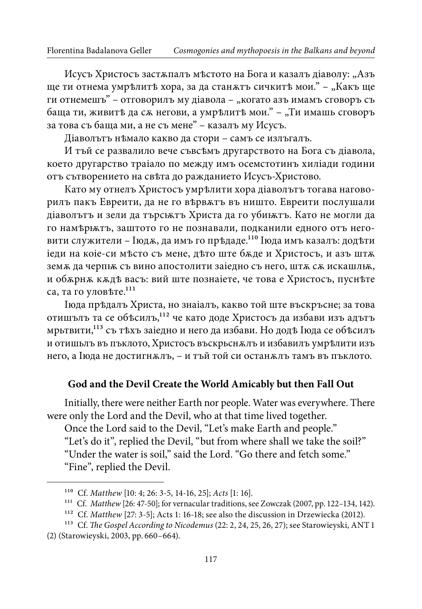Исусъ Христосъ застжпалъ мъстото на Бога и казалъ діаволу: "Азъ ще ти отнема умрѣлитѣ хора, за да станжтъ сичкитѣ мои." – "Какъ ще ги отнемешъ" – отговорилъ му діавола – "когато азъ имамъ сговоръ съ баща ти, живитѣ да сж негови, а умрѣлитѣ мои." - "Ти имашь сговоръ за това съ баща ми, а не съ мене" – казалъ му Исусъ.

Дiаволътъ нѣмало какво да стори – самъ се излъгалъ.

И тъй се развалило вече съвсѣмъ другарството на Бога съ дiавола, което другарство траiало по между имъ осемстотинъ хилiади години отъ сътворението на свъта до ражданието Исусъ-Христово.

Като му отнелъ Христосъ умрѣлити хора дiаволътъ тогава наговорилъ пакъ Евреити, да не го вѣрвѫтъ въ ништо. Евреити послушали дiаволътъ и зели да търсѭтъ Христа да го убиѭтъ. Като не могли да го намѣрѭтъ, заштото го не познавали, подканили едного отъ неговити служители – Iюдж, да имъ го прѣдаде.<sup>110</sup> Iюда имъ казалъ: додѣти iеди на коiеси мѣсто съ мене, дѣто ште бѫде и Христосъ, и азъ штѫ земж да черпых съ вино апостолити заiедно съ него, штж сж искашлых, и обѫрнѫ кѫдѣ васъ: вий ште познаiете, че това е Христосъ, пуснѣте са, та го уловъте.<sup>111</sup>

Iюда прѣдалъ Христа, но знаiалъ, какво той ште въскръсне; за това отишълъ та се объсилъ, 112 че като доде Христосъ да избави изъ адътъ мрьтвити,113 съ тѣхъ заiедно и него да избави. Но додѣ Iюда се обѣсилъ и отишьлъ въ пъклото, Христосъ въскрьснѫлъ и избавилъ умрѣлити изъ него, а Iюда не достигнѫлъ, – и тъй той си останѫлъ тамъ въ пъклото.

#### **God and the Devil Create the World Amicably but then Fall Out**

Initially, there were neither Earth nor people. Water was everywhere. There were only the Lord and the Devil, who at that time lived together.

Once the Lord said to the Devil, "Let's make Earth and people." "Let's do it", replied the Devil, "but from where shall we take the soil?" "Under the water is soil," said the Lord. "Go there and fetch some." "Fine", replied the Devil.

<sup>&</sup>lt;sup>110</sup> Cf. Matthew [10: 4; 26: 3-5, 14-16, 25]; Acts [1: 16].

<sup>&</sup>lt;sup>111</sup> Cf. Matthew [26: 47-50]; for vernacular traditions, see Zowczak (2007, pp. 122-134, 142).

<sup>&</sup>lt;sup>112</sup> Cf. Matthew [27: 3-5]; Acts 1: 16-18; see also the discussion in Drzewiecka (2012).

<sup>&</sup>lt;sup>113</sup> Cf. The Gospel According to Nicodemus (22: 2, 24, 25, 26, 27); see Starowieyski, ANT 1 (2) (Starowieyski, 2003, pp. 660–664).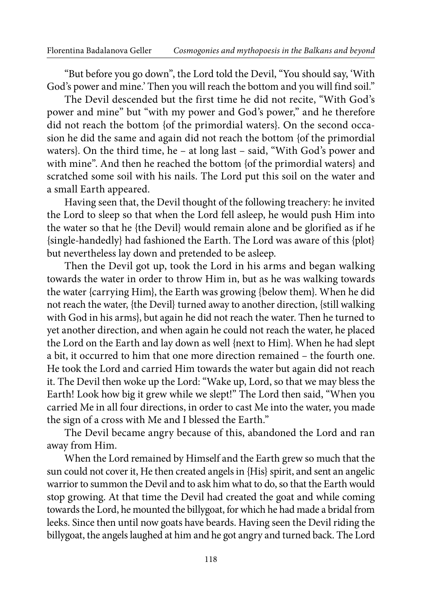"But before you go down", the Lord told the Devil, "You should say, 'With God's power and mine.' Then you will reach the bottom and you will find soil."

The Devil descended but the first time he did not recite, "With God's power and mine" but "with my power and God's power," and he therefore did not reach the bottom {of the primordial waters}. On the second occasion he did the same and again did not reach the bottom {of the primordial waters}. On the third time, he – at long last – said, "With God's power and with mine". And then he reached the bottom {of the primordial waters} and scratched some soil with his nails. The Lord put this soil on the water and a small Earth appeared.

Having seen that, the Devil thought of the following treachery: he invited the Lord to sleep so that when the Lord fell asleep, he would push Him into the water so that he {the Devil} would remain alone and be glorified as if he {single-handedly} had fashioned the Earth. The Lord was aware of this {plot} but nevertheless lay down and pretended to be asleep.

Then the Devil got up, took the Lord in his arms and began walking towards the water in order to throw Him in, but as he was walking towards the water {carrying Him}, the Earth was growing {below them}. When he did not reach the water, {the Devil} turned away to another direction, {still walking with God in his arms}, but again he did not reach the water. Then he turned to yet another direction, and when again he could not reach the water, he placed the Lord on the Earth and lay down as well {next to Him}. When he had slept a bit, it occurred to him that one more direction remained – the fourth one. He took the Lord and carried Him towards the water but again did not reach it. The Devil then woke up the Lord: "Wake up, Lord, so that we may bless the Earth! Look how big it grew while we slept!" The Lord then said, "When you carried Me in all four directions, in order to cast Me into the water, you made the sign of a cross with Me and I blessed the Earth."

The Devil became angry because of this, abandoned the Lord and ran away from Him.

When the Lord remained by Himself and the Earth grew so much that the sun could not cover it, He then created angels in {His} spirit, and sent an angelic warrior to summon the Devil and to ask him what to do, so that the Earth would stop growing. At that time the Devil had created the goat and while coming towards the Lord, he mounted the billygoat, for which he had made a bridal from leeks. Since then until now goats have beards. Having seen the Devil riding the billygoat, the angels laughed at him and he got angry and turned back. The Lord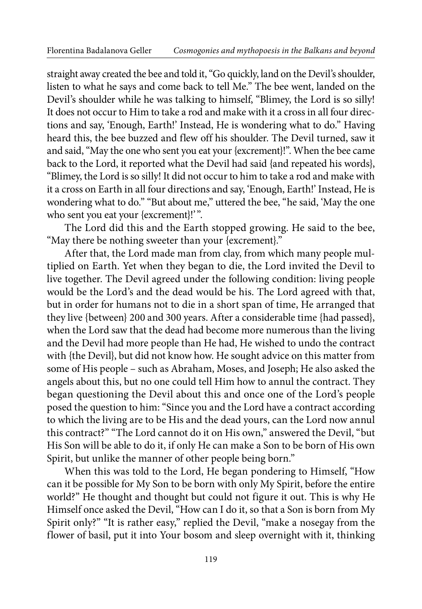straight away created the bee and told it, "Go quickly, land on the Devil's shoulder, listen to what he says and come back to tell Me." The bee went, landed on the Devil's shoulder while he was talking to himself, "Blimey, the Lord is so silly! It does not occur to Him to take a rod and make with it a cross in all four directions and say, 'Enough, Earth!' Instead, He is wondering what to do." Having heard this, the bee buzzed and flew off his shoulder. The Devil turned, saw it and said, "May the one who sent you eat your {excrement}!". When the bee came back to the Lord, it reported what the Devil had said {and repeated his words}, "Blimey, the Lord is so silly! It did not occur to him to take a rod and make with it a cross on Earth in all four directions and say, 'Enough, Earth!' Instead, He is wondering what to do." "But about me," uttered the bee, "he said, 'May the one who sent you eat your {excrement}!'".

The Lord did this and the Earth stopped growing. He said to the bee, "May there be nothing sweeter than your {excrement}."

After that, the Lord made man from clay, from which many people multiplied on Earth. Yet when they began to die, the Lord invited the Devil to live together. The Devil agreed under the following condition: living people would be the Lord's and the dead would be his. The Lord agreed with that, but in order for humans not to die in a short span of time, He arranged that they live {between} 200 and 300 years. After a considerable time {had passed}, when the Lord saw that the dead had become more numerous than the living and the Devil had more people than He had, He wished to undo the contract with {the Devil}, but did not know how. He sought advice on this matter from some of His people – such as Abraham, Moses, and Joseph; He also asked the angels about this, but no one could tell Him how to annul the contract. They began questioning the Devil about this and once one of the Lord's people posed the question to him: "Since you and the Lord have a contract according to which the living are to be His and the dead yours, can the Lord now annul this contract?" "The Lord cannot do it on His own," answered the Devil, "but His Son will be able to do it, if only He can make a Son to be born of His own Spirit, but unlike the manner of other people being born."

When this was told to the Lord, He began pondering to Himself, "How can it be possible for My Son to be born with only My Spirit, before the entire world?" He thought and thought but could not figure it out. This is why He Himself once asked the Devil, "How can I do it, so that a Son is born from My Spirit only?" "It is rather easy," replied the Devil, "make a nosegay from the flower of basil, put it into Your bosom and sleep overnight with it, thinking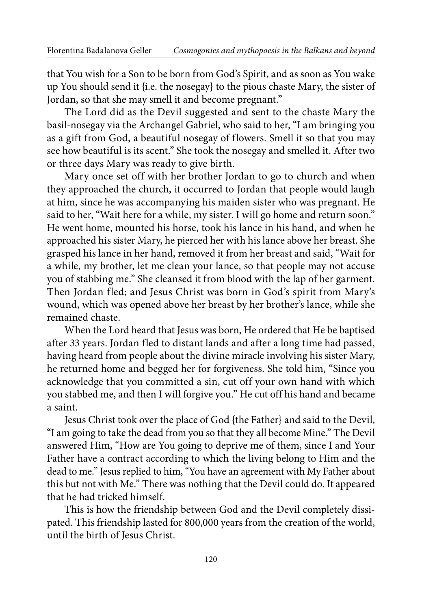that You wish for a Son to be born from God's Spirit, and as soon as You wake up You should send it {i.e. the nosegay} to the pious chaste Mary, the sister of Jordan, so that she may smell it and become pregnant."

The Lord did as the Devil suggested and sent to the chaste Mary the basil nosegay via the Archangel Gabriel, who said to her, "I am bringing you as a gift from God, a beautiful nosegay of flowers. Smell it so that you may see how beautiful is its scent." She took the nosegay and smelled it. After two or three days Mary was ready to give birth.

Mary once set off with her brother Jordan to go to church and when they approached the church, it occurred to Jordan that people would laugh at him, since he was accompanying his maiden sister who was pregnant. He said to her, "Wait here for a while, my sister. I will go home and return soon." He went home, mounted his horse, took his lance in his hand, and when he approached his sister Mary, he pierced her with his lance above her breast. She grasped his lance in her hand, removed it from her breast and said, "Wait for a while, my brother, let me clean your lance, so that people may not accuse you of stabbing me." She cleansed it from blood with the lap of her garment. Then Jordan fled; and Jesus Christ was born in God's spirit from Mary's wound, which was opened above her breast by her brother's lance, while she remained chaste.

When the Lord heard that Jesus was born, He ordered that He be baptised after 33 years. Jordan fled to distant lands and after a long time had passed, having heard from people about the divine miracle involving his sister Mary, he returned home and begged her for forgiveness. She told him, "Since you acknowledge that you committed a sin, cut off your own hand with which you stabbed me, and then I will forgive you." He cut off his hand and became a saint.

Jesus Christ took over the place of God {the Father} and said to the Devil, "I am going to take the dead from you so that they all become Mine." The Devil answered Him, "How are You going to deprive me of them, since I and Your Father have a contract according to which the living belong to Him and the dead to me." Jesus replied to him, "You have an agreement with My Father about this but not with Me." There was nothing that the Devil could do. It appeared that he had tricked himself.

This is how the friendship between God and the Devil completely dissipated. This friendship lasted for 800,000 years from the creation of the world, until the birth of Jesus Christ.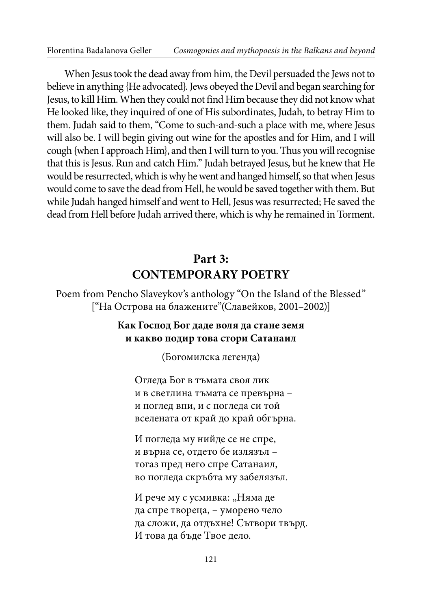When Jesus took the dead away from him, the Devil persuaded the Jews not to believe in anything {He advocated}. Jews obeyed the Devil and began searching for Jesus, to kill Him. When they could not find Him because they did not know what He looked like, they inquired of one of His subordinates, Judah, to betray Him to them. Judah said to them, "Come to such-and-such a place with me, where Jesus will also be. I will begin giving out wine for the apostles and for Him, and I will cough {when I approach Him}, and then I will turn to you. Thus you will recognise that this is Jesus. Run and catch Him." Judah betrayed Jesus, but he knew that He would be resurrected, which is why he went and hanged himself, so that when Jesus would come to save the dead from Hell, he would be saved together with them. But while Judah hanged himself and went to Hell, Jesus was resurrected; He saved the dead from Hell before Judah arrived there, which is why he remained in Torment.

## **Part 3: CONTEMPORARY POETRY**

Poem from Pencho Slaveykov's anthology "On the Island of the Blessed" ["На Острова на блажените"(Славейков, 2001–2002)]

#### **Как Господ Бог даде воля да стане земя и какво подир това стори Сатанаил**

(Богомилска легенда)

Огледа Бог в тъмата своя лик и в светлина тъмата се превърна – и поглед впи, и с погледа си той вселената от край дo край обгърна.

И погледа му нийде се не спре, и върна се, отдето бе излязъл – тогаз пред него спре Сатанаил, во погледа скръбта му забелязъл.

И рече му с усмивка: "Няма де да спре твореца, – уморено чело да сложи, да отдъхне! Сътвори твърд. И това да бъде Твое дело.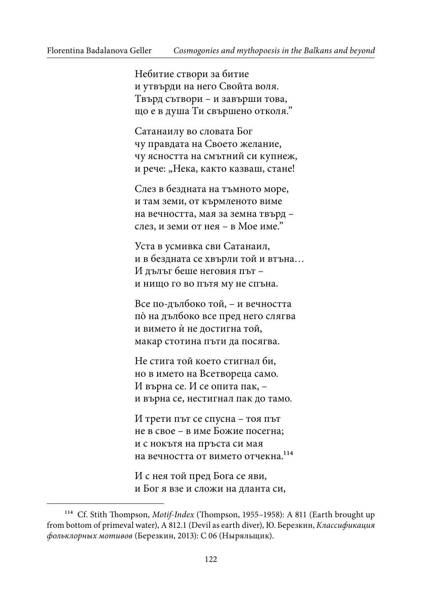Небитие створи за битие и утвърди на него Свойта воля. Твърд сътвори – и завърши това, що е в душа Ти свършено отколя."

Сатанаилу во словата Бог чу правдата на Своето желание, чу ясността на смътний си купнеж, и рече: "Нека, както казваш, стане!

Слез в бездната на тъмното море, и там земи, от кърмленото виме на вечността, мая за земна твърд – слез, и земи от нея – в Мое име."

Уста в усмивка сви Сатанаил, и в бездната се хвърли той и втъна… И дълъг беше неговия път – и нищо го во пътя му не спъна.

Все подълбоко той, – и вечността пò на дълбоко все пред него слягва и вимето ѝ не достигна той, макар стотина пъти да посягва.

Не стига той което стигнал би, но в името на Всетвореца само. И върна се. И се опита пак, – и върна се, нестигнал пак до тамо.

И трети път се спусна – тоя път не в свое – в име Божие посегна; и с нокътя на пръста си мая на вечността от вимето отчекна.<sup>114</sup>

И с нея той пред Бога се яви, и Бог я взе и сложи на дланта си,

<sup>&</sup>lt;sup>114</sup> Cf. Stith Thompson, Motif-Index (Thompson, 1955-1958): A 811 (Earth brought up from bottom of primeval water), A 812.1 (Devil as earth diver), Ю. Березкин, Классификация фольклорных мотивов (Березкин, 2013): C 06 (Ныряльщик).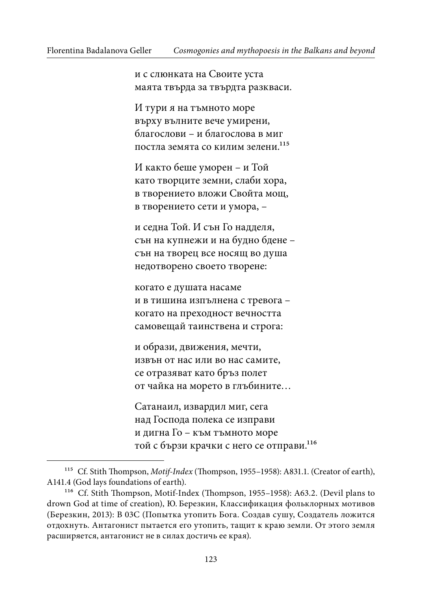и с слюнката на Своите уста маята твърда за твърдта разкваси.

И тури я на тъмното море върху вълните вече умирени, благослови – и благослова в миг постла земята со килим зелени.<sup>115</sup>

И както беше уморен – и Той като творците земни, слаби хора, в творението вложи Свойта мощ, в творението сети и умора, –

и седна Той. И сън Го надделя, сън на купнежи и на будно бдене – сън на творец все носящ во душа недотворено своето творене:

когато е душата насаме и в тишина изпълнена с тревога – когато на преходност вечността самовещай таинствена и строга:

и образи, движения, мечти, извън от нас или во нас самите, се отразяват като бръз полет от чайка на морето в глъбините…

Сатанаил, извардил миг, сега над Господа полека се изправи и дигна Го – към тъмното море той с бързи крачки с него се отправи.116

<sup>&</sup>lt;sup>115</sup> Cf. Stith Thompson, *Motif-Index* (Thompson, 1955–1958): A831.1. (Creator of earth), A141.4 (God lays foundations of earth).

<sup>&</sup>lt;sup>116</sup> Cf. Stith Thompson, Motif-Index (Thompson, 1955–1958): A63.2. (Devil plans to drown God at time of creation), Ю. Березкин, Классификация фольклорных мотивов (Березкин, 2013): B 03С (Попытка утопить Бога. Создав сушу, Создатель ложится отдохнуть. Антагонист пытается его утопить, тащит к краю земли. От этого земля расширяется, антагонист не в силах достичь ее края).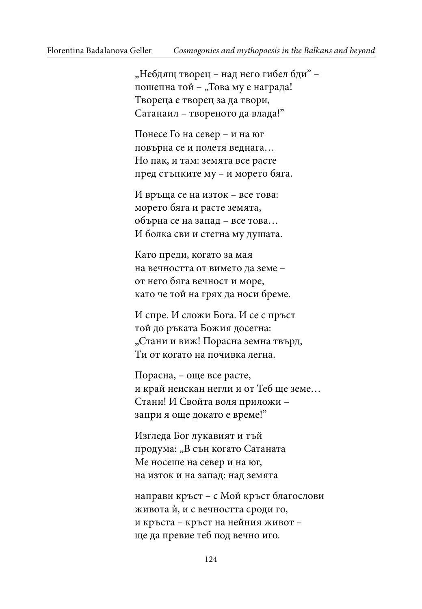"Небдящ творец – над него гибел бди" – пошепна той – "Това му е награда! Твореца е творец за да твори, Сатанаил – твореното да влада!"

Понесе Го на север – и на юг повърна се и полетя веднага… Но пак, и там: земята все расте пред стъпките му – и морето бяга.

И връща се на изток – все това: морето бяга и расте земята, обърна се на запад – все това… И болка сви и стегна му душата.

Като преди, когато за мая на вечността от вимето да земе – от него бяга вечност и море, като че той на грях да носи бреме.

И спре. И сложи Бога. И се с пръст той до ръката Божия досегна: "Стани и виж! Порасна земна твърд, Ти от когато на почивка легна.

Порасна, – още все расте, и край неискан негли и от Теб ще земе… Стани! И Свойта воля приложи – запри я още докато е време!"

Изгледа Бог лукавият и тъй продума: "В сън когато Сатаната Ме носеше на север и на юг, на изток и на запад: над земята

направи кръст – с Мой кръст благослови живота ѝ, и с вечността сроди го, и кръста – кръст на нейния живот – ще да превие теб под вечно иго.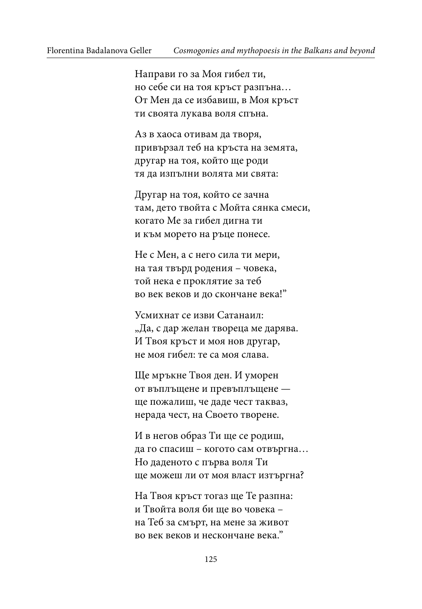Направи го за Моя гибел ти, но себе си на тоя кръст разпъна… От Мен да се избавиш, в Моя кръст ти своята лукава воля спъна.

Аз в хаоса отивам да творя, привързал теб на кръста на земята, другар на тоя, който ще роди тя да изпълни волята ми свята:

Другар на тоя, който се зачна там, дето твойта с Мойта сянка смеси, когато Ме за гибел дигна ти и към морето на ръце понесе.

Не с Мен, а с него сила ти мери, на тая твърд родения – човека, той нека е проклятие за теб во век веков и до скончане века!"

Усмихнат се изви Сатанаил: "Да, с дар желан твореца ме дарява. И Твоя кръст и моя нов другар, не моя гибел: те са моя слава.

Ще мръкне Твоя ден. И уморен от въплъщене и превъплъщене ще пожалиш, че даде чест такваз, нерада чест, на Своето творене.

И в негов образ Ти ще се родиш, да го спасиш – когото сам отвъргна… Но даденото с първа воля Ти ще можеш ли от моя власт изтъргна?

На Твоя кръст тогаз ще Те разпна: и Твойта воля би ще во човека – на Теб за смърт, на мене за живот во век веков и нескончане века."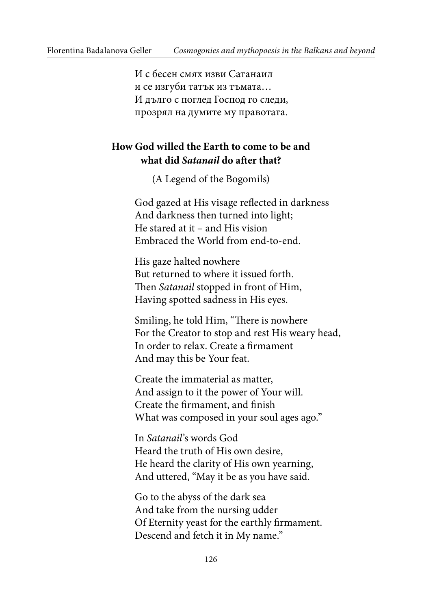И с бесен смях изви Сатанаил и се изгуби татък из тъмата… И дълго с поглед Господ го следи, прозрял на думите му правотата.

### **How God willed the Earth to come to be and what did Satanail do ater that?**

(A Legend of the Bogomils)

God gazed at His visage relected in darkness And darkness then turned into light; He stared at it – and His vision Embraced the World from end-to-end.

His gaze halted nowhere But returned to where it issued forth. hen Satanail stopped in front of Him, Having spotted sadness in His eyes.

Smiling, he told Him, "There is nowhere For the Creator to stop and rest His weary head, In order to relax. Create a firmament And may this be Your feat.

Create the immaterial as matter, And assign to it the power of Your will. Create the firmament, and finish What was composed in your soul ages ago."

In Satanail's words God Heard the truth of His own desire, He heard the clarity of His own yearning, And uttered, "May it be as you have said.

Go to the abyss of the dark sea And take from the nursing udder Of Eternity yeast for the earthly firmament. Descend and fetch it in My name."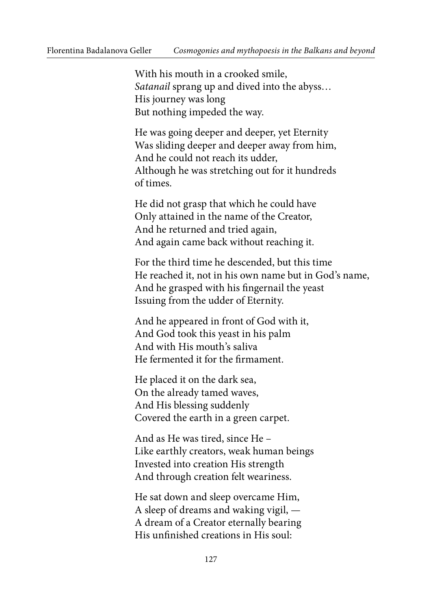With his mouth in a crooked smile, Satanail sprang up and dived into the abyss… His journey was long But nothing impeded the way.

He was going deeper and deeper, yet Eternity Was sliding deeper and deeper away from him, And he could not reach its udder, Although he was stretching out for it hundreds of times.

He did not grasp that which he could have Only attained in the name of the Creator, And he returned and tried again, And again came back without reaching it.

For the third time he descended, but this time He reached it, not in his own name but in God's name, And he grasped with his fingernail the yeast Issuing from the udder of Eternity.

And he appeared in front of God with it, And God took this yeast in his palm And with His mouth's saliva He fermented it for the firmament.

He placed it on the dark sea, On the already tamed waves, And His blessing suddenly Covered the earth in a green carpet.

And as He was tired, since He – Like earthly creators, weak human beings Invested into creation His strength And through creation felt weariness.

He sat down and sleep overcame Him, A sleep of dreams and waking vigil, — A dream of a Creator eternally bearing His unfinished creations in His soul: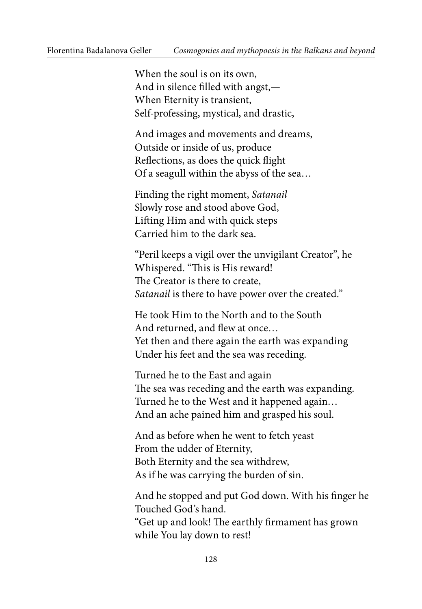When the soul is on its own, And in silence filled with angst,-When Eternity is transient, Self-professing, mystical, and drastic,

And images and movements and dreams, Outside or inside of us, produce Reflections, as does the quick flight Of a seagull within the abyss of the sea…

Finding the right moment, Satanail Slowly rose and stood above God, Liting Him and with quick steps Carried him to the dark sea.

"Peril keeps a vigil over the unvigilant Creator", he Whispered. "This is His reward! The Creator is there to create, Satanail is there to have power over the created."

He took Him to the North and to the South And returned, and flew at once... Yet then and there again the earth was expanding Under his feet and the sea was receding.

Turned he to the East and again he sea was receding and the earth was expanding. Turned he to the West and it happened again… And an ache pained him and grasped his soul.

And as before when he went to fetch yeast From the udder of Eternity, Both Eternity and the sea withdrew, As if he was carrying the burden of sin.

And he stopped and put God down. With his finger he Touched God's hand.

"Get up and look! The earthly firmament has grown while You lay down to rest!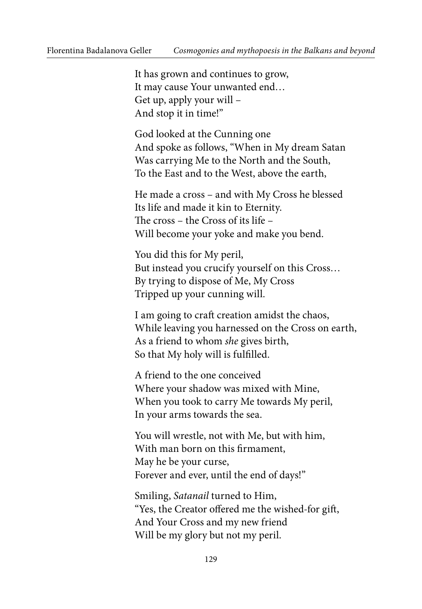It has grown and continues to grow, It may cause Your unwanted end… Get up, apply your will – And stop it in time!"

God looked at the Cunning one And spoke as follows, "When in My dream Satan Was carrying Me to the North and the South, To the East and to the West, above the earth,

He made a cross – and with My Cross he blessed Its life and made it kin to Eternity. he cross – the Cross of its life – Will become your yoke and make you bend.

You did this for My peril, But instead you crucify yourself on this Cross… By trying to dispose of Me, My Cross Tripped up your cunning will.

I am going to crat creation amidst the chaos, While leaving you harnessed on the Cross on earth, As a friend to whom she gives birth, So that My holy will is fulfilled.

A friend to the one conceived Where your shadow was mixed with Mine, When you took to carry Me towards My peril, In your arms towards the sea.

You will wrestle, not with Me, but with him, With man born on this firmament, May he be your curse, Forever and ever, until the end of days!"

Smiling, Satanail turned to Him, "Yes, the Creator offered me the wished-for gift, And Your Cross and my new friend Will be my glory but not my peril.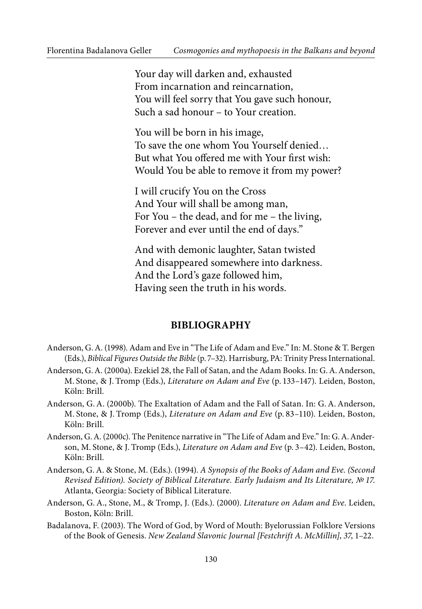Your day will darken and, exhausted From incarnation and reincarnation, You will feel sorry that You gave such honour, Such a sad honour – to Your creation.

You will be born in his image, To save the one whom You Yourself denied… But what You offered me with Your first wish: Would You be able to remove it from my power?

I will crucify You on the Cross And Your will shall be among man, For You – the dead, and for me – the living, Forever and ever until the end of days."

And with demonic laughter, Satan twisted And disappeared somewhere into darkness. And the Lord's gaze followed him, Having seen the truth in his words.

#### **BIBLIOGRAPHY**

- Anderson, G. A. (1998). Adam and Eve in "The Life of Adam and Eve." In: M. Stone & T. Bergen (Eds.), Biblical Figures Outside the Bible (p. 7–32). Harrisburg, PA: Trinity Press International.
- Anderson, G. A. (2000a). Ezekiel 28, the Fall of Satan, and the Adam Books. In: G. A. Anderson, M. Stone, & J. Tromp (Eds.), Literature on Adam and Eve (p. 133–147). Leiden, Boston, Köln: Brill.
- Anderson, G. A. (2000b). The Exaltation of Adam and the Fall of Satan. In: G. A. Anderson, M. Stone, & J. Tromp (Eds.), Literature on Adam and Eve (p. 83–110). Leiden, Boston, Köln: Brill.
- Anderson, G. A. (2000c). The Penitence narrative in "The Life of Adam and Eve." In: G. A. Anderson, M. Stone, & J. Tromp (Eds.), *Literature on Adam and Eve* (p. 3–42). Leiden, Boston, Köln: Brill.
- Anderson, G. A. & Stone, M. (Eds.). (1994). A Synopsis of the Books of Adam and Eve. (Second Revised Edition). Society of Biblical Literature. Early Judaism and Its Literature, № 17. Atlanta, Georgia: Society of Biblical Literature.
- Anderson, G. A., Stone, M., & Tromp, J. (Eds.). (2000). Literature on Adam and Eve. Leiden, Boston, Köln: Brill.
- Badalanova, F. (2003). The Word of God, by Word of Mouth: Byelorussian Folklore Versions of the Book of Genesis. New Zealand Slavonic Journal [Festchrift A. McMillin], 37, 1–22.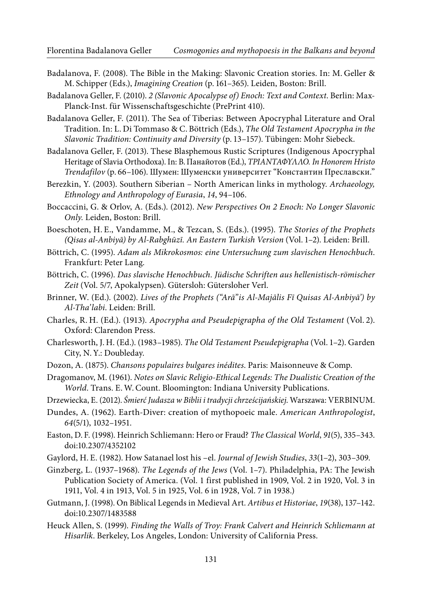- Badalanova, F. (2008). The Bible in the Making: Slavonic Creation stories. In: M. Geller & M. Schipper (Eds.), Imagining Creation (p. 161–365). Leiden, Boston: Brill.
- Badalanova Geller, F. (2010). 2 (Slavonic Apocalypse of) Enoch: Text and Context. Berlin: Max-Planck-Inst. für Wissenschaftsgeschichte (PrePrint 410).
- Badalanova Geller, F. (2011). The Sea of Tiberias: Between Apocryphal Literature and Oral Tradition. In: L. Di Tommaso & C. Böttrich (Eds.), The Old Testament Apocrypha in the Slavonic Tradition: Continuity and Diversity (p. 13–157). Tübingen: Mohr Siebeck.
- Badalanova Geller, F. (2013). These Blasphemous Rustic Scriptures (Indigenous Apocryphal Heritage of Slavia Orthodoxa). In: В. Панайотов (Ed.), ΤΡΙΑΝΤΑΦΥΛΛΟ. In Honorem Hristo Trendafilov (p. 66–106). Шумен: Шуменски университет "Константин Преславски."
- Berezkin, Y. (2003). Southern Siberian North American links in mythology. Archaeology, Ethnology and Anthropology of Eurasia, 14, 94–106.
- Boccaccini, G. & Orlov, A. (Eds.). (2012). New Perspectives On 2 Enoch: No Longer Slavonic Only. Leiden, Boston: Brill.
- Boeschoten, H. E., Vandamme, M., & Tezcan, S. (Eds.). (1995). The Stories of the Prophets (Qisas al-Anbiyā) by Al-Rabghūzī. An Eastern Turkish Version (Vol. 1–2). Leiden: Brill.
- Böttrich, C. (1995). Adam als Mikrokosmos: eine Untersuchung zum slavischen Henochbuch. Frankfurt: Peter Lang.
- Böttrich, C. (1996). Das slavische Henochbuch. Jüdische Schriften aus hellenistisch-römischer Zeit (Vol. 5/7, Apokalypsen). Gütersloh: Gütersloher Verl.
- Brinner, W. (Ed.). (2002). Lives of the Prophets ("Arā"is Al-Majālis Fī Quisas Al-Anbiyā') by Al-Tha'labi. Leiden: Brill.
- Charles, R. H. (Ed.). (1913). Apocrypha and Pseudepigrapha of the Old Testament (Vol. 2). Oxford: Clarendon Press.
- Charlesworth, J. H. (Ed.). (1983–1985). The Old Testament Pseudepigrapha (Vol. 1–2). Garden City, N. Y.: Doubleday.
- Dozon, A. (1875). Chansons populaires bulgares inédites. Paris: Maisonneuve & Comp.
- Dragomanov, M. (1961). Notes on Slavic Religio-Ethical Legends: The Dualistic Creation of the World. Trans. E. W. Count. Bloomington: Indiana University Publications.
- Drzewiecka, E. (2012). Śmierć Judasza w Biblii i tradycji chrześcijańskiej. Warszawa: VERBINUM.
- Dundes, A. (1962). Earth-Diver: creation of mythopoeic male. American Anthropologist, 64(5/1), 1032–1951.
- Easton, D. F. (1998). Heinrich Schliemann: Hero or Fraud? The Classical World, 91(5), 335–343. doi:10.2307/4352102
- Gaylord, H. E. (1982). How Satanael lost his –el. Journal of Jewish Studies, 33(1–2), 303–309.
- Ginzberg, L. (1937–1968). The Legends of the Jews (Vol. 1–7). Philadelphia, PA: The Jewish Publication Society of America. (Vol. 1 first published in 1909, Vol. 2 in 1920, Vol. 3 in 1911, Vol. 4 in 1913, Vol. 5 in 1925, Vol. 6 in 1928, Vol. 7 in 1938.)
- Gutmann, J. (1998). On Biblical Legends in Medieval Art. Artibus et Historiae, 19(38), 137–142. doi:10.2307/1483588
- Heuck Allen, S. (1999). Finding the Walls of Troy: Frank Calvert and Heinrich Schliemann at Hisarlik. Berkeley, Los Angeles, London: University of California Press.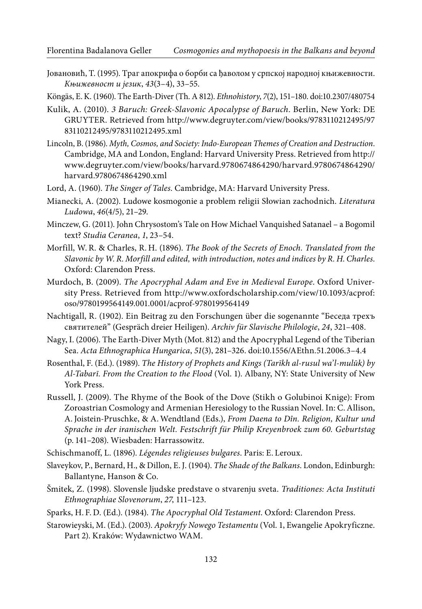Joвановић, Т. (1995). Траг апокрифа о борби са ђаволом у српској народној књижевности. Књижевност и језик, 43(3–4), 33–55.

Köngäs, E. K. (1960). The Earth-Diver (Th. A 812). Ethnohistory, 7(2), 151-180. doi:10.2307/480754

- Kulik, A. (2010). 3 Baruch: Greek-Slavonic Apocalypse of Baruch. Berlin, New York: DE GRUYTER. Retrieved from [http://www.degruyter.com/view/books/9783110212495/97](http://www.degruyter.com/view/books/9783110212495/9783110212495/9783110212495.xml) [83110212495/9783110212495.xml](http://www.degruyter.com/view/books/9783110212495/9783110212495/9783110212495.xml)
- Lincoln, B. (1986). Myth, Cosmos, and Society: Indo-European Themes of Creation and Destruction. Cambridge, MA and London, England: Harvard University Press. Retrieved from [http://](http://www.degruyter.com/view/books/harvard.9780674864290/harvard.9780674864290/harvard.9780674864290.xml) [www.degruyter.com/view/books/harvard.9780674864290/harvard.9780674864290/](http://www.degruyter.com/view/books/harvard.9780674864290/harvard.9780674864290/harvard.9780674864290.xml) [harvard.9780674864290.xml](http://www.degruyter.com/view/books/harvard.9780674864290/harvard.9780674864290/harvard.9780674864290.xml)
- Lord, A. (1960). The Singer of Tales. Cambridge, MA: Harvard University Press.
- Mianecki, A. (2002). Ludowe kosmogonie a problem religii Słowian zachodnich. Literatura Ludowa, 46(4/5), 21–29.
- Minczew, G. (2011). John Chrysostom's Tale on How Michael Vanquished Satanael a Bogomil text? Studia Ceranea, 1, 23–54.
- Morfill, W. R. & Charles, R. H. (1896). The Book of the Secrets of Enoch. Translated from the Slavonic by W. R. Morfill and edited, with introduction, notes and indices by R. H. Charles. Oxford: Clarendon Press.
- Murdoch, B. (2009). The Apocryphal Adam and Eve in Medieval Europe. Oxford University Press. Retrieved from [http://www.oxfordscholarship.com/view/10.1093/acprof:](http://www.oxfordscholarship.com/view/10.1093/acprof:oso/9780199564149.001.0001/acprof-9780199564149) oso/9780199564149.001.0001/acprof-9780199564149
- Nachtigall, R. (1902). Ein Beitrag zu den Forschungen über die sogenannte "Беседа трехъ святителей" (Gespräch dreier Heiligen). Archiv für Slavische Philologie, 24, 321–408.
- Nagy, I. (2006). The Earth-Diver Myth (Mot. 812) and the Apocryphal Legend of the Tiberian Sea. Acta Ethnographica Hungarica, 51(3), 281–326. doi:10.1556/AEthn.51.2006.3–4.4
- Rosenthal, F. (Ed.). (1989). The History of Prophets and Kings (Tarīkh al-rusul wa'l-mulūk) by Al-Tabarī. From the Creation to the Flood (Vol. 1). Albany, NY: State University of New York Press.
- Russell, J. (2009). The Rhyme of the Book of the Dove (Stikh o Golubinoi Knige): From Zoroastrian Cosmology and Armenian Heresiology to the Russian Novel. In: C. Allison, A. Joistein-Pruschke, & A. Wendtland (Eds.), From Daena to Dîn. Religion, Kultur und Sprache in der iranischen Welt. Festschrift für Philip Kreyenbroek zum 60. Geburtstag (p. 141–208). Wiesbaden: Harrassowitz.

Schischmanoff, L. (1896). Légendes religieuses bulgares. Paris: E. Leroux.

- Slaveykov, P., Bernard, H., & Dillon, E. J. (1904). The Shade of the Balkans. London, Edinburgh: Ballantyne, Hanson & Co.
- Šmitek, Z. (1998). Slovensle ljudske predstave o stvarenju sveta. Traditiones: Acta Instituti Ethnographiae Slovenorum, 27, 111–123.
- Sparks, H. F. D. (Ed.). (1984). The Apocryphal Old Testament. Oxford: Clarendon Press.
- Starowieyski, M. (Ed.). (2003). Apokryfy Nowego Testamentu (Vol. 1, Ewangelie Apokryficzne. Part 2). Kraków: Wydawnictwo WAM.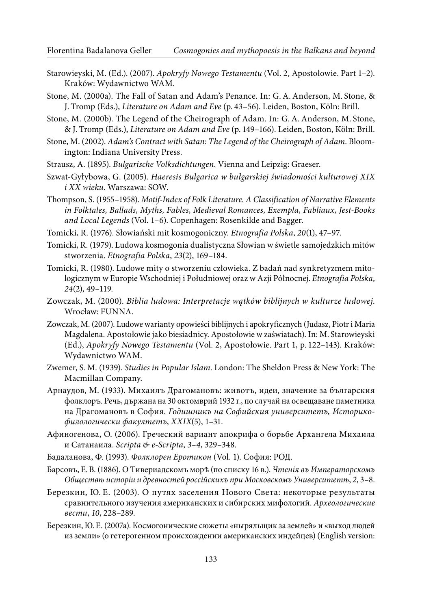- Starowieyski, M. (Ed.). (2007). Apokryfy Nowego Testamentu (Vol. 2, Apostołowie. Part 1–2). Kraków: Wydawnictwo WAM.
- Stone, M. (2000a). The Fall of Satan and Adam's Penance. In: G. A. Anderson, M. Stone, & J. Tromp (Eds.), Literature on Adam and Eve (p. 43–56). Leiden, Boston, Köln: Brill.
- Stone, M. (2000b). The Legend of the Cheirograph of Adam. In: G. A. Anderson, M. Stone, & J. Tromp (Eds.), Literature on Adam and Eve (p. 149–166). Leiden, Boston, Köln: Brill.
- Stone, M. (2002). Adam's Contract with Satan: The Legend of the Cheirograph of Adam. Bloomington: Indiana University Press.
- Strausz, A. (1895). Bulgarische Volksdichtungen. Vienna and Leipzig: Graeser.
- Szwat-Gyłybowa, G. (2005). Haeresis Bulgarica w bułgarskiej świadomości kulturowej XIX i XX wieku. Warszawa: SOW.
- Thompson, S. (1955–1958). Motif-Index of Folk Literature. A Classification of Narrative Elements in Folktales, Ballads, Myths, Fables, Medieval Romances, Exempla, Fabliaux, Jest-Books and Local Legends (Vol. 1–6). Copenhagen: Rosenkilde and Bagger.
- Tomicki, R. (1976). Słowiański mit kosmogoniczny. Etnografia Polska, 20(1), 47–97.
- Tomicki, R. (1979). Ludowa kosmogonia dualistyczna Słowian w świetle samojedzkich mitów stworzenia. Etnografia Polska, 23(2), 169–184.
- Tomicki, R. (1980). Ludowe mity o stworzeniu człowieka. Z badań nad synkretyzmem mitologicznym w Europie Wschodniej i Południowej oraz w Azji Północnej. Etnografia Polska, 24(2), 49–119.
- Zowczak, M. (2000). Biblia ludowa: Interpretacje wątków biblijnych w kulturze ludowej. Wrocław: FUNNA.
- Zowczak, M. (2007). Ludowe warianty opowieści biblijnych i apokryficznych (Judasz, Piotr i Maria Magdalena. Apostołowie jako biesiadnicy. Apostołowie w zaświatach). In: M. Starowieyski (Ed.), Apokryfy Nowego Testamentu (Vol. 2, Apostołowie. Part 1, p. 122–143). Kraków: Wydawnictwo WAM.
- Zwemer, S. M. (1939). Studies in Popular Islam. London: The Sheldon Press & New York: The Macmillan Company.
- Арнаудов, М. (1933). Михаилъ Драгомановъ: животъ, идеи, значение за българския фолклоръ. Речь, държана на 30 октомврий 1932 г., по случай на освещаване паметника на Драгомановъ в София. Годишникъ на Софийския университетъ, Историкофилологически факултетъ, XXIX(5), 1–31.
- Афиногенова, О. (2006). Греческий вариант апокрифа о борьбе Архангела Михаила и Сатанаила. Scripta & e-Scripta, 3–4, 329–348.
- Бадаланова, Ф. (1993). Фолклорен Еротикон (Vol. 1). София: РОД.
- Барсовъ, Е. В. (1886). О Тивериадскомъ морѣ (по списку 16 в.). Чтенiя въ Императорскомъ Обществѣ исторіи и древностей россійскихъ при Московскомъ Университетѣ, 2, 3–8.
- Березкин, Ю. E. (2003). О путях заселения Нового Света: некоторые результаты сравнительного изучения американских и сибирских мифологий. Археологические вести, 10, 228–289.
- Березкин, Ю. E. (2007a). Космогонические сюжеты «ныряльщик за землей» и «выход людей из земли» (о гетерогенном происхождении американских индейцев) (English version: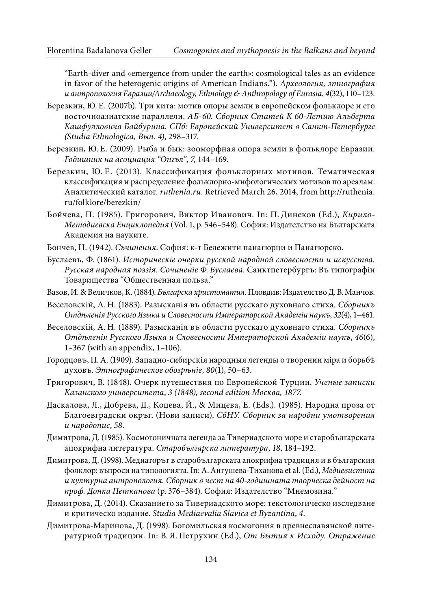"Earth-diver and «emergence from under the earth»: cosmological tales as an evidence in favor of the heterogenic origins of American Indians."). Археология, этнография и антропология Евразии/Archaeology, Ethnology & Anthropology of Eurasia, 4(32), 110–123.

- Березкин, Ю. E. (2007b). Три кита: мотив опоры земли в европейском фольклоре и его восточноазиатские параллели. АБ-60. Сборник Статей К 60-Летию Альберта Кашфулловича Байбурина. СПб: Европейский Университет в Санкт-Петербурге (Studia Ethnologica, Вып. 4), 298–317.
- Березкин, Ю. E. (2009). Рыба и бык: зооморфная опора земли в фольклоре Евразии. Годишник на асоциация "Онгъл", 7, 144–169.
- Березкин, Ю. E. (2013). Классификация фольклорных мотивов. Тематическая классификация и распределение фольклорно-мифологических мотивов по ареалам. Аналитический каталог. ruthenia.ru. Retrieved March 26, 2014, from [http://ruthenia.](http://ruthenia.ru/folklore/berezkin/) [ru/folklore/berezkin/](http://ruthenia.ru/folklore/berezkin/)
- Бойчева, П. (1985). Григорович, Виктор Иванович. In: П. Динеков (Ed.), Кирило-Методиевска Енциклопедия (Vol. 1, p. 546–548). София: Издателство на Българската Академия на науките.
- Бончев, Н. (1942). Съчинения. София: к-т Бележити панагюрци и Панагюрско.
- Буслаевъ, Ф. (1861). Историческiе очерки русской народной словесности и искусства. Русская народная поэзiя. Сочиненiе Ф. Буслаева. Санктпетербургъ: Въ типографiи Tоварищества "Общественная польза."
- Вазов, И. & Величков, К. (1884). Българска христоматия. Пловдив: Издателство Д. В. Манчов.
- Веселовскiй, А. Н. (1883). Разысканiя въ области русскаго духовнаго стиха. Сборникъ Отдѣленія Русского Языка и Словесности Императорской Академіи наукъ, 32(4), 1–461.
- Веселовскiй, А. Н. (1889). Разысканiя въ области русскаго духовнаго стиха. Сборникъ Отдъленія Русского Языка и Словесности Императорской Академіи наукъ, 46(6), 1–367 (with an appendix, 1–106).
- Городцовъ, П. А. (1909). Западно-сибирскія народныя легенды о творении міра и борьбъ духовъ. Этнографическое обозрњніе, 80(1), 50-63.
- Григорович, В. (1848). Очерк путешествия по Европейской Турции. Ученые записки Казанского университета, 3 (1848), second edition Москва, 1877.
- Даскалова, Л., Добрева, Д., Коцева, Й., & Мицева, Е. (Eds.). (1985). Народна проза от Благоевградски окръг. (Нови записи). СбНУ. Сборник за народни умотворения и народопис, 58.
- Димитрова, Д. (1985). Космогоничната легенда за Тивериадското море и старобългарската апокрифна литература. Старобългарска литература, 18, 184–192.
- Димитрова, Д. (1998). Медиаторът в старобългарската апокрифна традиция и в българския фолклор: въпроси на типологията. In: А. Ангушева-Тиханова et al. (Ed.), Медиевистика и културна антропология. Сборник в чест на 40-годишната творческа дейност на проф. Донка Петканова (p. 376–384). София: Издателство "Мнемозина."
- Димитрова, Д. (2014). Сказанието за Тивериадското море: текстологическо изследване и критическо издание. Studia Mediaevalia Slavica et Byzantina, 4.
- Димитрова-Маринова, Д. (1998). Богомильская космогония в древнеславянской литературной традиции. In: В. Я. Петрухин (Ed.), От Бытия к Исходу. Отражение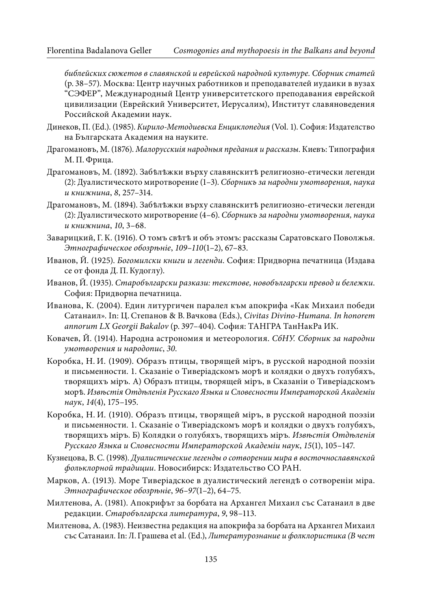библейских сюжетов в славянской и еврейской народной культуре. Сборник статей (p. 38–57). Москва: Центр науч ных работников и преподавателей иудаики в вузах "СЭФЕР", Международный Центр университетского преподавания еврейской цивилизации (Еврейский Университет, Иерусалим), Институт славяноведения Российской Академии наук.

- Динеков, П. (Ed.). (1985). Кирило-Методиевска Енциклопедия (Vol. 1). София: Издателство на Българската Академия на науките.
- Драгомановъ, М. (1876). Малорусскиiя народныя предания и рассказы. Киевъ: Типография М. П. Фрица.
- Драгомановъ, М. (1892). Забележки върху славянските религиозно-етически легенди (2): Дуалистическото миротворение (1–3). Сборникъ за народни умотворения, наука и книжнина, 8, 257–314.
- Драгомановъ, М. (1894). Забѣлѣжки върху славянскитѣ религиозноетически легенди (2): Дуалистическото миротворение (4–6). Сборникъ за народни умотворения, наука и книжнина, 10, 3–68.
- Заварицкий, Г. К. (1916). О томъ свѣтѣ и объ этомъ: рассказы Саратовскаго Поволжья. Этнографическое обозрѣнiе, 109–110(1–2), 67–83.
- Иванов, Й. (1925). Богомилски книги и легенди. София: Придворна печатница (Издава се от фонда Д. П. Кудоглу).
- Иванов, Й. (1935). Старобългарски разкази: текстове, новобългарски превод и бележки. София: Придворна печатница.
- Иванова, К. (2004). Един литургичен паралел към апокрифа «Как Михаил победи Сатанаил». In: Ц. Степанов & В. Вачкова (Eds.), Civitas Divino-Humana. In honorem annorum LX Georgii Bakalov (p. 397–404). София: ТАНГРА ТанНакРа ИК.
- Ковачев, Й. (1914). Народна астрономия и метеорология. СбНУ. Сборник за народни умотворения и народопис, 30.
- Коробка, Н. И. (1909). Образъ птицы, творящей мiръ, в русской народной поэзiи и письменности. 1. Сказанiе о Тиверiaдскoмъ морѣ и колядки о двухъ голубяхъ, творящихъ мiръ. А) Образъ птицы, творящей мiръ, в Сказанiи о Тиверiадскомъ морѣ. Извѣстiя Отдѣленiя Русскаго Языка и Словесности Императорской Академiи наук, 14(4), 175–195.
- Коробка, Н. И. (1910). Образъ птицы, творящей мiръ, в русской народной поэзiи и письменности. 1. Сказанiе о Тиверiaдскoмъ морѣ и колядки о двухъ голубяхъ, творящихъ мiръ. Б) Колядки о голубяхъ, творящихъ мiръ. Извыстiя Отдыленiя Русскаго Языка и Словесности Императорской Академiи наук, 15(1), 105–147.
- Кузнецова, В. С. (1998). Дуалистические легенды о сотворении мира в восточнославянской фольклорной традиции. Новосибирск: Издательство СО РАН.
- Марков, А. (1913). Море Тиверiадское в дуалистический легендѣ о сотворенiи мiра. Этнографическое обозрѣнiе, 96–97(1–2), 64–75.
- Милтенова, А. (1981). Апокрифът за борбата на Архангел Михаил със Сатанаил в две редакции. Старобългарска литература, 9, 98–113.
- Милтенова, А. (1983). Неизвестна редакция на апокрифа за борбата на Архангел Михаил със Сатанаил. In: Л. Грашева et al. (Ed.), Литературознание и фолклористика (В чест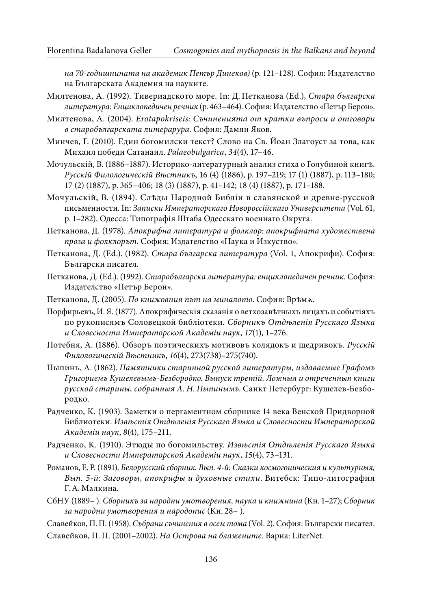на 70-годишнината на академик Петър Динеков) (p. 121–128). София: Издателство на Българската Академия на науките.

- Милтенова, А. (1992). Тивериадското море. In: Д. Петканова (Ed.), Стара българска литература: Енциклопедичен речник (p. 463–464). София: Издателство «Петър Берон».
- Милтенова, А. (2004). Erotapokriseis: Съчиненията от кратки въпроси и отговори в старобългарската литерарура. София: Дамян Яков.
- Минчев, Г. (2010). Един богомилски текст? Слово на Св. Йоан Златоуст за това, как Михаил победи Сатанаил. Palaeobulgarica, 34(4), 17–46.
- Мочульскiй, В. (1886–1887). Историко-литературный анализ стиха о Голубиной книгѣ. Русскiй Филологическiй Вѣстникъ, 16 (4) (1886), p. 197–219; 17 (1) (1887), p. 113–180; 17 (2) (1887), p. 365–406; 18 (3) (1887), p. 41–142; 18 (4) (1887), p. 171–188.
- Мочульскій, В. (1894). Слѣды Народной Библіи в славянской и древне-русской письменности. In: Записки Императорскаго Новороссiйскаго Университета (Vol. 61, p. 1–282). Одесса: Типографiя Штаба Одесскаго военнаго Округа.
- Петканова, Д. (1978). Апокрифна литература и фолклор: апокрифната художествена проза и фолклорът. София: Издателство «Наука и Изкуство».
- Петканова, Д. (Ed.). (1982). Стара българска литература (Vol. 1, Апокрифи). София: Български писател.
- Петканова, Д. (Ed.). (1992). Старобългарска литература: енциклопедичен речник. София: Издателство «Петър Берон».
- Петканова, Д. (2005). По книжовния път на миналото. София: Врѣмѧ.
- Порфирьевъ, И. Я. (1877). Апокрифическiя сказанiя o ветхозавѣтныхъ лицахъ и событiяхъ по рукописямъ Соловецкой библіотеки. Сборникъ Отдрыленія Русскаго Языка и Словесности Императорской Академiи наук, 17(1), 1–276.
- Потебня, А. (1886). Обзоръ поэтическихъ мотивовъ колядокъ и щедривокъ. Русскiй Филологическiй Вѣстникъ, 16(4), 273(738)–275(740).
- Пыпинъ, А. (1862). Памятники старинной русской литературы, издаваемые Графомъ Григориемъ Кушелевымъ-Безбородко. Выпуск третiй. Ложныя и отреченныя книги русской старины, собранныя А. Н. Пыпинымъ. Санкт Петербург: Кушелев-Безбородко.
- Радченко, K. (1903). Заметки о пергаментном сборнике 14 века Венской Придворной Библиотеки. Извњстія Отдњленія Русскаго Языка и Словесности Императорской Академiи наук, 8(4), 175–211.
- Радченко, К. (1910). Этюды по богомильству. Извњстія Отдњленія Русскаго Языка и Словесности Императорской Академiи наук, 15(4), 73–131.
- Романов, Е. Р. (1891). Белорусский сборник. Вып. 4-й: Сказки космогоническия и культурныя; Вып. 5-й: Заговоры, апокрифы и духовные стихи. Витебск: Типолитография Г. А. Малкина.
- СбНУ (1889– ). Сборникъ за народни умотворения, наука и книжнина (Кн. 1–27); Сборник за народни умотворения и народопис (Кн. 28– ).

Славейков, П. П. (1958). Събрани съчинения в осем тома (Vol. 2). София: Български писател.

Славейков, П. П. (2001–2002). На Острова на блажените. Варна: LiterNet.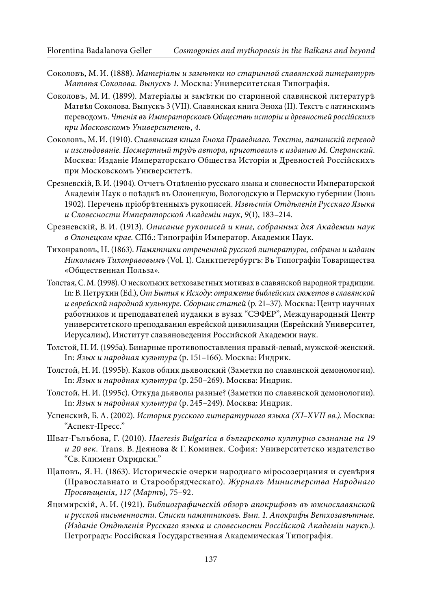- Соколовъ, М. И. (1888). Матеріалы и замютки по старинной славянской литературю Матвѣя Соколова. Выпускъ 1. Moсква: Университетская Типографiя.
- Соколовъ, М. И. (1899). Матерiалы и замѣтки по старинной славянской литературѣ Матвѣя Соколова. Выпускъ 3 (VII). Славянская книга Эноха (II). Текстъ с латинскимъ переводомъ. Чтенія въ Императорскомъ Обществѣ исторіи и древностей россійскихъ при Московскомъ Университеть, 4.
- Соколовъ, М. И. (1910). Славянская книга Еноха Праведнаго. Тексты, латинскiй перевод и изслѣдованiе. Посмертный трудъ автора, приготовилъ к изданию М. Сперанский. Москва: Изданiе Императорскaго Общества Исторiи и Древностей Россiйскихъ при Московскомъ Университетѣ.
- Срезневскiй, В. И. (1904). Отчетъ Отдѣленiю русскаго языка и словесности Императорской Академiи Наук о поѣздкѣ въ Олонецкую, Вологодскую и Пермскую губернии (Iюнь 1902). Перечень пріобретенныхъ рукописей. Извюстія Отдюленія Русскаго Языка и Словесности Императорской Академiи наук, 9(1), 183–214.
- Срезневскiй, В. И. (1913). Описание рукописей и книг, собранных для Академии наук в Олонецком крае. СПб.: Типографiя Император. Академии Наук.
- Тихонравовъ, Н. (1863). Памятники отреченной русской литературы, собраны и изданы Николаемъ Тихонравовымъ (Vol. 1). Санктпетербургъ: Въ Типографiи Товарищества «Общественная Польза».
- Толстая, С. М. (1998). О нескольких ветхозаветных мотивах в славянской народной традиции. In: В. Петрухин (Ed.), От Бытия к Исходу: отражение библейских сюжетов в славянской и еврейской народной культуре. Сборник статей (p. 21–37). Москва: Центр научных работников и преподавателей иудаики в вузах "СЭФЕР", Международный Центр университетского преподавания еврейской цивилизации (Еврейский Университет, Иерусалим), Институт славяноведения Российской Академии наук.
- Толстой, Н. И. (1995а). Бинарные противопоставления правый-левый, мужской-женский. In: Язык и народная культура (p. 151–166). Москва: Индрик.
- Толстой, Н. И. (1995b). Каков облик дьяволский (Заметки по славянской демонологии). In: Язык и народная культура (p. 250–269). Москва: Индрик.
- Толстой, Н. И. (1995c). Откуда дьяволы разные? (Заметки по славянской демонологии). In: Язык и народная культура (p. 245–249). Москва: Индрик.
- Успенский, Б. А. (2002). История русского литературного языка (XI–XVII вв.). Москва: "Аспект-Пресс."
- ШватГълъбова, Г. (2010). Haeresis Bulgarica в българското културно съзнание на 19 и 20 век. Trans. В. Деянова & Г. Коминек. София: Университетско издателство "Св. Климент Охридски."
- Щаповъ, Я. Н. (1863). Историческiе очерки народнаго мiросозерцания и суевѣрия (Православнаго и Старообрядческаго). Журналъ Министерства Народнаго Просвѣщенiя, 117 (Мартъ), 75–92.
- Яцимирскiй, А. И. (1921). Библиографическiй обзоръ апокрифовъ въ южнославянской и русской письменности. Списки памятниковъ. Вып. 1. Апокрифы Ветхозавѣтные. (Изданiе Отдѣленiя Русскаго языка и словесности Россiйской Академiи наукъ.). Петроградъ: Россiйская Государственная Академическая Типографiя.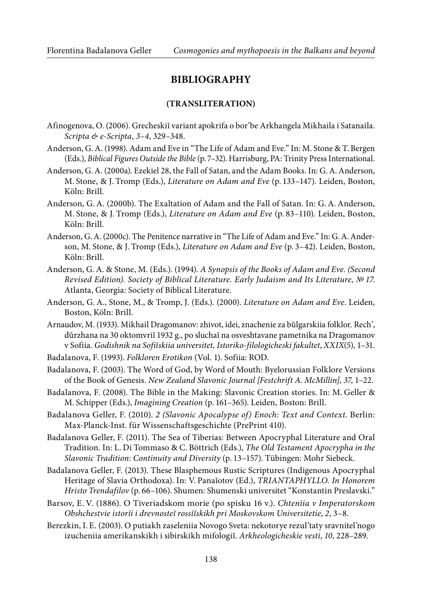#### **BIBLIOGRAPHY**

#### **(TRANSLITERATION)**

- Afinogenova, O. (2006). Grecheskiĭ variant apokrifa o bor'be Arkhangela Mikhaila i Satanaila. Scripta & e-Scripta, 3–4, 329–348.
- Anderson, G. A. (1998). Adam and Eve in "The Life of Adam and Eve." In: M. Stone & T. Bergen (Eds.), Biblical Figures Outside the Bible (p. 7–32). Harrisburg, PA: Trinity Press International.
- Anderson, G. A. (2000a). Ezekiel 28, the Fall of Satan, and the Adam Books. In: G. A. Anderson, M. Stone, & J. Tromp (Eds.), Literature on Adam and Eve (p. 133–147). Leiden, Boston, Köln: Brill.
- Anderson, G. A. (2000b). The Exaltation of Adam and the Fall of Satan. In: G. A. Anderson, M. Stone, & J. Tromp (Eds.), Literature on Adam and Eve (p. 83–110). Leiden, Boston, Köln: Brill.
- Anderson, G. A. (2000c). The Penitence narrative in "The Life of Adam and Eve." In: G. A. Anderson, M. Stone, & J. Tromp (Eds.), Literature on Adam and Eve (p. 3-42). Leiden, Boston, Köln: Brill.
- Anderson, G. A. & Stone, M. (Eds.). (1994). A Synopsis of the Books of Adam and Eve. (Second Revised Edition). Society of Biblical Literature. Early Judaism and Its Literature, № 17. Atlanta, Georgia: Society of Biblical Literature.
- Anderson, G. A., Stone, M., & Tromp, J. (Eds.). (2000). Literature on Adam and Eve. Leiden, Boston, Köln: Brill.
- Arnaudov, M. (1933). Mikhail Dragomanov: zhivot, idei, znachenie za bŭlgarskiia folklor. Rech', dŭrzhana na 30 oktomvriĭ 1932 g., po sluchaĭ na osveshtavane pametnika na Dragomanov v Sofiia. Godishnik na Sofiĭskiia universitet, Istoriko-filologicheski fakultet, XXIX(5), 1–31.
- Badalanova, F. (1993). Folkloren Erotikon (Vol. 1). Sofiia: ROD.
- Badalanova, F. (2003). The Word of God, by Word of Mouth: Byelorussian Folklore Versions of the Book of Genesis. New Zealand Slavonic Journal [Festchrift A. McMillin], 37, 1–22.
- Badalanova, F. (2008). The Bible in the Making: Slavonic Creation stories. In: M. Geller & M. Schipper (Eds.), Imagining Creation (p. 161–365). Leiden, Boston: Brill.
- Badalanova Geller, F. (2010). 2 (Slavonic Apocalypse of) Enoch: Text and Context. Berlin: Max-Planck-Inst. für Wissenschaftsgeschichte (PrePrint 410).
- Badalanova Geller, F. (2011). The Sea of Tiberias: Between Apocryphal Literature and Oral Tradition. In: L. Di Tommaso & C. Böttrich (Eds.), The Old Testament Apocrypha in the Slavonic Tradition: Continuity and Diversity (p. 13–157). Tübingen: Mohr Siebeck.
- Badalanova Geller, F. (2013). These Blasphemous Rustic Scriptures (Indigenous Apocryphal Heritage of Slavia Orthodoxa). In: V. Panaĭotov (Ed.), TRIANTAPHYLLO. In Honorem Hristo Trendafilov (p. 66–106). Shumen: Shumenski universitet "Konstantin Preslavski."
- Barsov, E. V. (1886). O Tiveriadskom morie (po spisku 16 v.). Chtenīia v Imperatorskom Obshchestvie istorīi i drevnosteĭ rossīĭskikh pri Moskovskom Universitetie, 2, 3–8.
- Berezkin, I. E. (2003). O putiakh zaseleniia Novogo Sveta: nekotorye rezul'taty sravnitel'nogo izucheniia amerikanskikh i sibirskikh mifologiĭ. Arkheologicheskie vesti, 10, 228–289.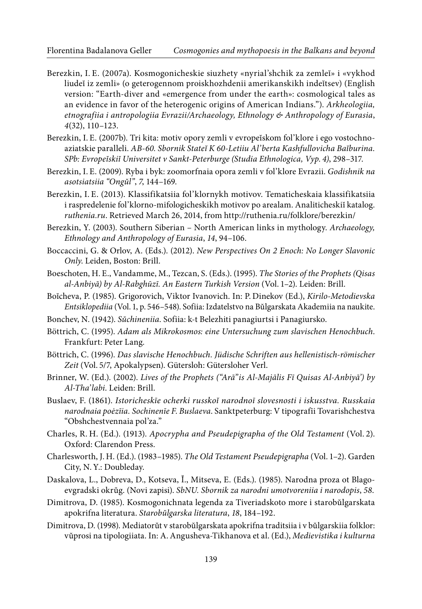- Berezkin, I. E. (2007a). Kosmogonicheskie siuzhety «nyrial'shchik za zemleĭ» i «vykhod liudeĭ iz zemli» (o geterogennom proiskhozhdenii amerikanskikh indeĭtsev) (English version: "Earth-diver and «emergence from under the earth»: cosmological tales as an evidence in favor of the heterogenic origins of American Indians."). Arkheologiia, etnografiia i antropologiia Evrazii/Archaeology, Ethnology & Anthropology of Eurasia, 4(32), 110–123.
- Berezkin, I. E. (2007b). Tri kita: motiv opory zemli v evropeĭskom fol'klore i ego vostochnoaziatskie paralleli. AB-60. Sbornik Stateĭ K 60-Letiiu Al'berta Kashfullovicha Baĭburina. SPb: Evropeĭskiĭ Universitet v Sankt-Peterburge (Studia Ethnologica, Vyp. 4), 298–317.
- Berezkin, I. E. (2009). Ryba i byk: zoomorfnaia opora zemli v fol'klore Evrazii. Godishnik na asotsiatsiia "Ongŭl", 7, 144–169.
- Berezkin, I. E. (2013). Klassifikatsiia fol'klornykh motivov. Tematicheskaia klassifikatsiia i raspredelenie fol'klorno-mifologicheskikh motivov po arealam. Analiticheskiĭ katalog. ruthenia.ru. Retrieved March 26, 2014, from <http://ruthenia.ru/folklore/berezkin/>
- Berezkin, Y. (2003). Southern Siberian North American links in mythology. Archaeology, Ethnology and Anthropology of Eurasia, 14, 94–106.
- Boccaccini, G. & Orlov, A. (Eds.). (2012). New Perspectives On 2 Enoch: No Longer Slavonic Only. Leiden, Boston: Brill.
- Boeschoten, H. E., Vandamme, M., Tezcan, S. (Eds.). (1995). The Stories of the Prophets (Qisas al-Anbiyā) by Al-Rabghūzī. An Eastern Turkish Version (Vol. 1–2). Leiden: Brill.
- Boĭcheva, P. (1985). Grigorovich, Viktor Ivanovich. In: P. Dinekov (Ed.), Kirilo-Metodievska Entsiklopediia (Vol. 1, p. 546–548). Sofiia: Izdatelstvo na Bŭlgarskata Akademiia na naukite.
- Bonchev, N. (1942). Sŭchineniia. Sofiia: k-t Belezhiti panagiurtsi i Panagiursko.
- Böttrich, C. (1995). Adam als Mikrokosmos: eine Untersuchung zum slavischen Henochbuch. Frankfurt: Peter Lang.
- Böttrich, C. (1996). Das slavische Henochbuch. Jüdische Schriften aus hellenistisch-römischer Zeit (Vol. 5/7, Apokalypsen). Gütersloh: Gütersloher Verl.
- Brinner, W. (Ed.). (2002). Lives of the Prophets ("Arā"is Al-Majālis Fī Quisas Al-Anbiyā') by Al-Tha'labi. Leiden: Brill.
- Buslaev, F. (1861). Istoricheskīe ocherki russkoĭ narodnoī slovesnosti i iskusstva. Russkaia narodnaia poėzīia. Sochinenīe F. Buslaeva. Sanktpeterburg: V tipografīi Tovarishchestva "Obshchestvennaia pol'za."
- Charles, R. H. (Ed.). (1913). Apocrypha and Pseudepigrapha of the Old Testament (Vol. 2). Oxford: Clarendon Press.
- Charlesworth, J. H. (Ed.). (1983–1985). The Old Testament Pseudepigrapha (Vol. 1–2). Garden City, N. Y.: Doubleday.
- Daskalova, L., Dobreva, D., Kotseva, Ĭ., Mitseva, E. (Eds.). (1985). Narodna proza ot Blagoevgradski okrŭg. (Novi zapisi). SbNU. Sbornik za narodni umotvoreniia i narodopis, 58.
- Dimitrova, D. (1985). Kosmogonichnata legenda za Tiveriadskoto more i starobŭlgarskata apokrifna literatura. Starobŭlgarska literatura, 18, 184–192.
- Dimitrova, D. (1998). Mediatorŭt v starobŭlgarskata apokrifna traditsiia i v bŭlgarskiia folklor: vŭprosi na tipologiiata. In: A. Angusheva-Tikhanova et al. (Ed.), Medievistika i kulturna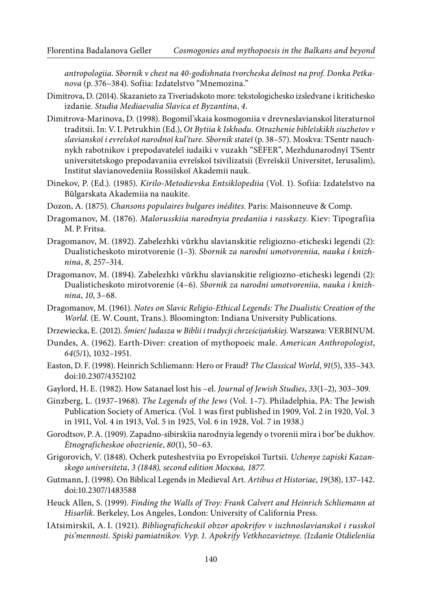antropologiia. Sbornik v chest na 40-godishnata tvorcheska deĭnost na prof. Donka Petkanova (p. 376–384). Sofiia: Izdatelstvo "Mnemozina."

- Dimitrova, D. (2014). Skazanieto za Tiveriadskoto more: tekstologichesko izsledvane i kritichesko izdanie. Studia Mediaevalia Slavica et Byzantina, 4.
- Dimitrova-Marinova, D. (1998). Bogomil'skaia kosmogoniia v drevneslavianskoĭ literaturnoĭ traditsii. In: V. I. Petrukhin (Ed.), Ot Bytiia k Iskhodu. Otrazhenie bibleĭskikh siuzhetov v slavianskoĭ i evreĭskoĭ narodnoĭ kul'ture. Sbornik stateĭ (p. 38–57). Moskva: TSentr nauchnykh rabotnikov i prepodavateleĭ iudaiki v vuzakh "SĖFER", Mezhdunarodnyĭ TSentr universitetskogo prepodavaniia evreĭskoĭ tsivilizatsii (Evreĭskiĭ Universitet, Ierusalim), Institut slavianovedeniia Rossiĭskoĭ Akademii nauk.
- Dinekov, P. (Ed.). (1985). Kirilo-Metodievska Entsiklopediia (Vol. 1). Sofiia: Izdatelstvo na Bŭlgarskata Akademiia na naukite.
- Dozon, A. (1875). Chansons populaires bulgares inédites. Paris: Maisonneuve & Comp.
- Dragomanov, M. (1876). Malorusskiia narodnyia predaniia i rasskazy. Kiev: Tipografiia M. P. Fritsa.
- Dragomanov, M. (1892). Zabelezhki vŭrkhu slavianskitie religiozno-eticheski legendi (2): Dualisticheskoto mirotvorenie (1–3). Sbornik za narodni umotvoreniia, nauka i knizhnina, 8, 257–314.
- Dragomanov, M. (1894). Zabelezhki vŭrkhu slavianskitie religiozno-eticheski legendi (2): Dualisticheskoto mirotvorenie (4–6). Sbornik za narodni umotvoreniia, nauka i knizhnina, 10, 3–68.
- Dragomanov, M. (1961). Notes on Slavic Religio-Ethical Legends: The Dualistic Creation of the World. (E. W. Count, Trans.). Bloomington: Indiana University Publications.
- Drzewiecka, E. (2012). Śmierć Judasza w Biblii i tradycji chrześcijańskiej. Warszawa: VERBINUM.
- Dundes, A. (1962). Earth-Diver: creation of mythopoeic male. American Anthropologist, 64(5/1), 1032–1951.
- Easton, D. F. (1998). Heinrich Schliemann: Hero or Fraud? The Classical World, 91(5), 335–343. doi:10.2307/4352102
- Gaylord, H. E. (1982). How Satanael lost his –el. Journal of Jewish Studies, 33(1–2), 303–309.
- Ginzberg, L. (1937–1968). The Legends of the Jews (Vol. 1–7). Philadelphia, PA: The Jewish Publication Society of America. (Vol. 1 was first published in 1909, Vol. 2 in 1920, Vol. 3 in 1911, Vol. 4 in 1913, Vol. 5 in 1925, Vol. 6 in 1928, Vol. 7 in 1938.)
- Gorodtsov, P. A. (1909). Zapadno-sibirskīia narodnyia legendy o tvorenii mīra i bor'be dukhov. Ėtnograficheskoe obozrienīe, 80(1), 50–63.
- Grigorovich, V. (1848). Ocherk puteshestviia po Evropeĭskoĭ Turtsii. Uchenye zapiski Kazanskogo universiteta, 3 (1848), second edition Москва, 1877.
- Gutmann, J. (1998). On Biblical Legends in Medieval Art. Artibus et Historiae, 19(38), 137–142. doi:10.2307/1483588
- Heuck Allen, S. (1999). Finding the Walls of Troy: Frank Calvert and Heinrich Schliemann at Hisarlik. Berkeley, Los Angeles, London: University of California Press.
- IAtsimirskiĭ, A. I. (1921). Bibliograficheskiĭ obzor apokrifov v iuzhnoslavianskoĭ i russkoĭ pis'mennosti. Spiski pamiatnikov. Vyp. 1. Apokrify Vetkhozavietnye. (Izdanīe Otdielenīia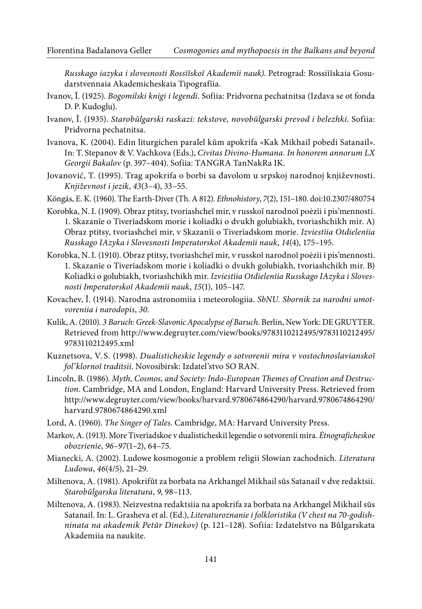Russkago iazyka i slovesnosti Rossīĭskoĭ Akademīi nauk). Petrograd: Rossiīĭskaia Gosudarstvennaia Akademicheskaia Tipografīia.

- Ivanov, Ĭ. (1925). Bogomilski knigi i legendi. Sofiia: Pridvorna pechatnitsa (Izdava se ot fonda D. P. Kudoglu).
- Ivanov, Ĭ. (1935). Starobŭlgarski raskazi: tekstove, novobŭlgarski prevod i belezhki. Sofiia: Pridvorna pechatnitsa.
- Ivanova, K. (2004). Edin liturgichen paralel kŭm apokrifa «Kak Mikhail pobedi Satanail». In: T. Stepanov & V. Vachkova (Eds.), Civitas Divino-Humana. In honorem annorum LX Georgii Bakalov (p. 397–404). Sofiia: TANGRA TanNakRa IK.
- Jovanović, T. (1995). Trag apokrifa o borbi sa đavolom u srpskoј narodnoј književnosti. Književnost i jezik, 43(3–4), 33–55.
- Köngäs, E. K. (1960). The Earth-Diver (Th. A 812). Ethnohistory, 7(2), 151-180. doi:10.2307/480754
- Korobka, N. I. (1909). Obraz ptitsy, tvoriashcheĭ mir, v russkoĭ narodnoĭ poėzīi i pis'mennosti. 1. Skazanīe o Tiverīadskom morie i koliadki o dvukh golubiakh, tvoriashchikh mir. А) Obraz ptitsy, tvoriashcheĭ mir, v Skazanīi o Tiverīadskom morie. Izviestīia Otdielenīia Russkago IAzyka i Slovesnosti Imperatorskoĭ Akademīi nauk, 14(4), 175–195.
- Korobka, N. I. (1910). Obraz ptitsy, tvoriashcheĭ mir, v russkoĭ narodnoĭ poėzīi i pis'mennosti. 1. Skazanīe o Tiverīadskom morie i koliadki o dvukh golubiakh, tvoriashchikh mir. B) Koliadki o golubiakh, tvoriashchikh mir. Izviestīia Otdielenīia Russkago IAzyka i Slovesnosti Imperatorskoĭ Akademīi nauk, 15(1), 105–147.
- Kovachev, Ĭ. (1914). Narodna astronomiia i meteorologiia. SbNU. Sbornik za narodni umotvoreniia i narodopis, 30.
- Kulik, A. (2010). 3 Baruch: Greek-Slavonic Apocalypse of Baruch. Berlin, New York: DE GRUYTER. Retrieved from [http://www.degruyter.com/view/books/9783110212495/9783110212495/](http://www.degruyter.com/view/books/9783110212495/9783110212495/9783110212495.xml) [9783110212495.xml](http://www.degruyter.com/view/books/9783110212495/9783110212495/9783110212495.xml)
- Kuznetsova, V. S. (1998). Dualisticheskie legendy o sotvorenii mira v vostochnoslavianskoĭ fol'klornoĭ traditsii. Novosibirsk: Izdatel'stvo SO RAN.
- Lincoln, B. (1986). Myth, Cosmos, and Society: Indo-European Themes of Creation and Destruction. Cambridge, MA and London, England: Harvard University Press. Retrieved from [http://www.degruyter.com/view/books/harvard.9780674864290/harvard.9780674864290/](http://www.degruyter.com/view/books/harvard.9780674864290/harvard.9780674864290/harvard.9780674864290.xml) [harvard.9780674864290.xml](http://www.degruyter.com/view/books/harvard.9780674864290/harvard.9780674864290/harvard.9780674864290.xml)
- Lord, A. (1960). The Singer of Tales. Cambridge, MA: Harvard University Press.
- Markov, A. (1913). More Tiverīadskoe v dualisticheskiĭ legendie o sotvorenīi mīra. *Ėtnograficheskoe* obozrienīe, 96–97(1–2), 64–75.
- Mianecki, A. (2002). Ludowe kosmogonie a problem religii Słowian zachodnich. Literatura Ludowa, 46(4/5), 21–29.
- Miltenova, A. (1981). Apokrifŭt za borbata na Arkhangel Mikhail sŭs Satanail v dve redaktsii. Starobŭlgarska literatura, 9, 98–113.
- Miltenova, A. (1983). Neizvestna redaktsiia na apokrifa za borbata na Arkhangel Mikhail sŭs Satanail. In: L. Grasheva et al. (Ed.), Literaturoznanie i folkloristika (V chest na 70-godishninata na akademik Petŭr Dinekov) (p. 121–128). Sofiia: Izdatelstvo na Bŭlgarskata Akademiia na naukite.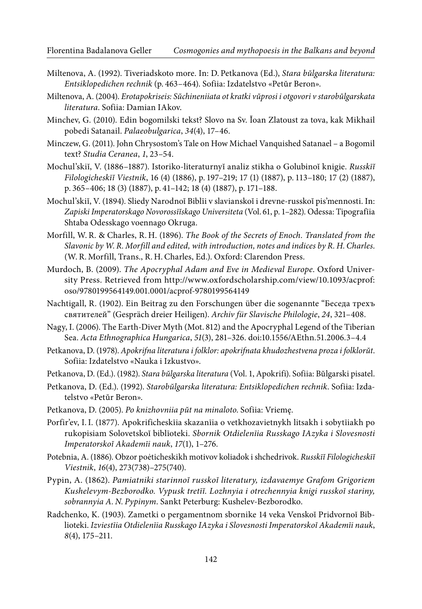- Miltenova, A. (1992). Tiveriadskoto more. In: D. Petkanova (Ed.), Stara bŭlgarska literatura: Entsiklopedichen rechnik (p. 463–464). Sofiia: Izdatelstvo «Petŭr Beron».
- Miltenova, A. (2004). Erotapokriseis: Sŭchineniiata ot kratki vŭprosi i otgovori v starobŭlgarskata literatura. Sofiia: Damian IAkov.
- Minchev, G. (2010). Edin bogomilski tekst? Slovo na Sv. Ĭoan Zlatoust za tova, kak Mikhail pobedi Satanail. Palaeobulgarica, 34(4), 17–46.
- Minczew, G. (2011). John Chrysostom's Tale on How Michael Vanquished Satanael a Bogomil text? Studia Ceranea, 1, 23–54.
- Mochul'skiĭ, V. (1886-1887). Istoriko-literaturnyĭ analiz stikha o Golubinoĭ knigie. Russkīĭ Filologicheskīĭ Viestnik, 16 (4) (1886), p. 197–219; 17 (1) (1887), p. 113–180; 17 (2) (1887), p. 365–406; 18 (3) (1887), p. 41–142; 18 (4) (1887), p. 171–188.
- Mochul'skiĭ, V. (1894). Sliedy Narodnoĭ Biblīi v slavianskoĭ i drevne-russkoĭ pis'mennosti. In: Zapiski Imperatorskago Novorossīĭskago Universiteta (Vol. 61, p. 1–282). Odessa: Tipografīia Shtaba Odesskago voennago Okruga.
- Morfill, W. R. & Charles, R. H. (1896). The Book of the Secrets of Enoch. Translated from the Slavonic by W. R. Morfill and edited, with introduction, notes and indices by R. H. Charles. (W. R. Morfill, Trans., R. H. Charles, Ed.). Oxford: Clarendon Press.
- Murdoch, B. (2009). The Apocryphal Adam and Eve in Medieval Europe. Oxford University Press. Retrieved from [http://www.oxfordscholarship.com/view/10.1093/acprof:](http://www.oxfordscholarship.com/view/10.1093/acprof:oso/9780199564149.001.0001/acprof-9780199564149) oso/9780199564149.001.0001/acprof-9780199564149
- Nachtigall, R. (1902). Ein Beitrag zu den Forschungen über die sogenannte "Беседа трехъ святителей" (Gespräch dreier Heiligen). Archiv für Slavische Philologie, 24, 321–408.
- Nagy, I. (2006). The Earth-Diver Myth (Mot. 812) and the Apocryphal Legend of the Tiberian Sea. Acta Ethnographica Hungarica, 51(3), 281–326. doi:10.1556/AEthn.51.2006.3–4.4
- Petkanova, D. (1978). Apokrifna literatura i folklor: apokrifnata khudozhestvena proza i folklorŭt. Sofiia: Izdatelstvo «Nauka i Izkustvo».
- Petkanova, D. (Ed.). (1982). Stara bŭlgarska literatura (Vol. 1, Apokrifi). Sofiia: Bŭlgarski pisatel.
- Petkanova, D. (Ed.). (1992). Starobŭlgarska literatura: Entsiklopedichen rechnik. Sofiia: Izdatelstvo «Petŭr Beron».
- Petkanova, D. (2005). Po knizhovniia pŭt na minaloto. Sofiia: Vriemę.
- Porfir'ev, I. I. (1877). Apokrificheskīia skazanīia o vetkhozavietnykh litsakh i sobytīiakh po rukopisiam Solovetskoĭ biblīoteki. Sbornik Otdielenīia Russkago IAzyka i Slovesnosti Imperatorskoĭ Akademīi nauk, 17(1), 1–276.
- Potebnia, A. (1886). Obzor poėticheskikh motivov koliadok i shchedrivok. Russkīĭ Filologicheskīĭ Viestnik, 16(4), 273(738)–275(740).
- Pypin, A. (1862). Pamiatniki starinnoĭ russkoĭ literatury, izdavaemye Grafom Grigoriem Kushelevym-Bezborodko. Vypusk tretīĭ. Lozhnyia i otrechennyia knigi russkoĭ stariny, sobrannyia A. N. Pypinym. Sankt Peterburg: Kushelev-Bezborodko.
- Radchenko, K. (1903). Zametki o pergamentnom sbornike 14 veka Venskoĭ Pridvornoĭ Biblioteki. Izviestīia Otdielenīia Russkago IAzyka i Slovesnosti Imperatorskoĭ Akademīi nauk, 8(4), 175–211.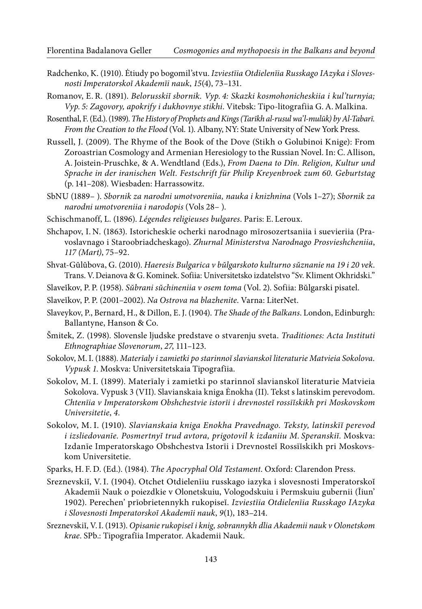- Radchenko, K. (1910). Ėtiudy po bogomil'stvu. Izviestīia Otdielenīia Russkago IAzyka i Slovesnosti Imperatorskoĭ Akademīi nauk, 15(4), 73–131.
- Romanov, E. R. (1891). Belorusskiĭ sbornik. Vyp. 4: Skazki kosmohonicheskiia i kul'turnyia; Vyp. 5: Zagovory, apokrify i dukhovnye stikhi. Vitebsk: Tipo-litografiia G. A. Malkina.
- Rosenthal, F. (Ed.). (1989). The History of Prophets and Kings (Tarīkh al-rusul wa'l-mulūk) by Al-Tabarī. From the Creation to the Flood (Vol. 1). Albany, NY: State University of New York Press.
- Russell, J. (2009). The Rhyme of the Book of the Dove (Stikh o Golubinoi Knige): From Zoroastrian Cosmology and Armenian Heresiology to the Russian Novel. In: C. Allison, A. Joistein-Pruschke, & A. Wendtland (Eds.), From Daena to Dîn. Religion, Kultur und Sprache in der iranischen Welt. Festschrift für Philip Kreyenbroek zum 60. Geburtstag (p. 141–208). Wiesbaden: Harrassowitz.
- SbNU (1889– ). Sbornik za narodni umotvoreniia, nauka i knizhnina (Vols 1–27); Sbornik za narodni umotvoreniia i narodopis (Vols 28– ).
- Schischmanoff, L. (1896). Légendes religieuses bulgares. Paris: E. Leroux.
- Shchapov, I. N. (1863). Istoricheskīe ocherki narodnago mīrosozertsaniia i suevieriia (Pravoslavnago i Staroobriadcheskago). Zhurnal Ministerstva Narodnago Prosvieshcheniia, 117 (Мart), 75–92.
- Shvat-Gŭlŭbova, G. (2010). Haeresis Bulgarica v bŭlgarskoto kulturno sŭznanie na 19 i 20 vek. Trans. V. Deianova & G. Kominek. Sofiia: Universitetsko izdatelstvo "Sv. Kliment Okhridski."
- Slaveĭkov, P. P. (1958). Sŭbrani sŭchineniia v osem toma (Vol. 2). Sofiia: Bŭlgarski pisatel.
- Slaveĭkov, P. P. (2001–2002). Na Ostrova na blazhenite. Varna: LiterNet.
- Slaveykov, P., Bernard, H., & Dillon, E. J. (1904). The Shade of the Balkans. London, Edinburgh: Ballantyne, Hanson & Co.
- Šmitek, Z. (1998). Slovensle ljudske predstave o stvarenju sveta. Traditiones: Acta Instituti Ethnographiae Slovenorum, 27, 111–123.
- Sokolov, M. I. (1888). Materīaly i zamietki po starinnoĭ slavianskoĭ literaturie Matvieia Sokolova. Vypusk 1. Moskva: Universitetskaia Tipografīia.
- Sokolov, M. I. (1899). Materīaly i zamietki po starinnoĭ slavianskoĭ literaturie Matvieia Sokolova. Vypusk 3 (VII). Slavianskaia kniga Ėnokha (II). Tekst s latinskim perevodom. Chtenīia v Imperatorskom Obshchestvie istorīi i drevnosteĭ rossīĭskikh pri Moskovskom Universitetie, 4.
- Sokolov, M. I. (1910). Slavianskaia kniga Enokha Pravednago. Teksty, latinskīĭ perevod i izsliedovanīe. Posmertnyĭ trud avtora, prigotovil k izdaniiu M. Speranskiĭ. Moskva: Izdanīe Imperatorskago Obshchestva Istorīi i Drevnosteĭ Rossīĭskikh pri Moskovskom Universitetie.
- Sparks, H. F. D. (Ed.). (1984). The Apocryphal Old Testament. Oxford: Clarendon Press.
- Sreznevskiĭ, V. I. (1904). Оtchet Otdielenīiu russkago iazyka i slovesnosti Imperatorskoĭ Akademīi Nauk o poiezdkie v Olonetskuiu, Vologodskuiu i Permskuiu gubernii (Īiun' 1902). Perechen' prīobrietennykh rukopiseĭ. Izviestīia Otdielenīia Russkago IAzyka i Slovesnosti Imperatorskoĭ Akademīi nauk, 9(1), 183–214.
- Sreznevskiĭ, V. I. (1913). Opisanie rukopiseĭ i knig, sobrannykh dlia Akademii nauk v Olonetskom krae. SPb.: Tipografīia Imperator. Akademii Nauk.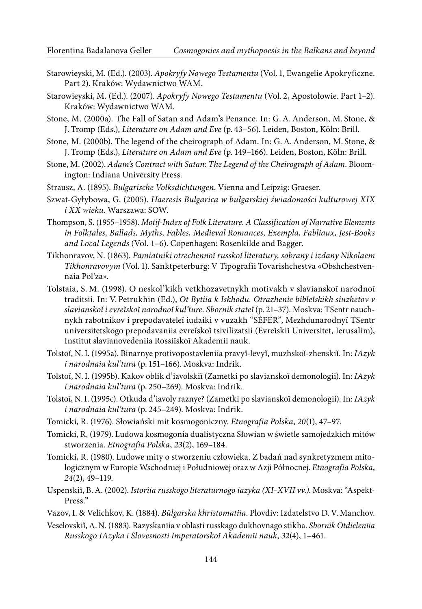- Starowieyski, M. (Ed.). (2003). Apokryfy Nowego Testamentu (Vol. 1, Ewangelie Apokryficzne. Part 2). Kraków: Wydawnictwo WAM.
- Starowieyski, M. (Ed.). (2007). Apokryfy Nowego Testamentu (Vol. 2, Apostołowie. Part 1–2). Kraków: Wydawnictwo WAM.
- Stone, M. (2000a). The Fall of Satan and Adam's Penance. In: G. A. Anderson, M. Stone, & J. Tromp (Eds.), Literature on Adam and Eve (p. 43–56). Leiden, Boston, Köln: Brill.
- Stone, M. (2000b). The legend of the cheirograph of Adam. In: G. A. Anderson, M. Stone, & J. Tromp (Eds.), Literature on Adam and Eve (p. 149-166). Leiden, Boston, Köln: Brill.
- Stone, M. (2002). Adam's Contract with Satan: The Legend of the Cheirograph of Adam. Bloomington: Indiana University Press.
- Strausz, A. (1895). Bulgarische Volksdichtungen. Vienna and Leipzig: Graeser.
- Szwat-Gyłybowa, G. (2005). Haeresis Bulgarica w bułgarskiej świadomości kulturowej XIX i XX wieku. Warszawa: SOW.
- Thompson, S. (1955–1958). Motif-Index of Folk Literature. A Classification of Narrative Elements in Folktales, Ballads, Myths, Fables, Medieval Romances, Exempla, Fabliaux, Jest-Books and Local Legends (Vol. 1–6). Copenhagen: Rosenkilde and Bagger.
- Tikhonravov, N. (1863). Pamiatniki otrechennoĭ russkoĭ literatury, sobrany i izdany Nikolaem Tikhonravovym (Vol. 1). Sanktpeterburg: V Tipografīi Tovarishchestva «Obshchestvennaia Pol'za».
- Tolstaia, S. M. (1998). O neskol'kikh vetkhozavetnykh motivakh v slavianskoĭ narodnoĭ traditsii. In: V. Petrukhin (Ed.), Ot Bytiia k Iskhodu. Otrazhenie bibleĭskikh siuzhetov v slavianskoĭ i evreĭskoĭ narodnoĭ kul'ture. Sbornik stateĭ (p. 21–37). Moskva: TSentr nauchnykh rabotnikov i prepodavateleĭ iudaiki v vuzakh "SĖFER", Mezhdunarodnyĭ TSentr universitetskogo prepodavaniia evreĭskoĭ tsivilizatsii (Evreĭskiĭ Universitet, Ierusalim), Institut slavianovedeniia Rossiĭskoĭ Akademii nauk.
- Tolstoĭ, N. I. (1995a). Binarnye protivopostavleniia pravyĭ-levyĭ, muzhskoĭ-zhenskiĭ. In: IAzyk i narodnaia kul'tura (p. 151–166). Moskva: Indrik.
- Tolstoĭ, N. I. (1995b). Kakov oblik d'iavolskiĭ (Zametki po slavianskoĭ demonologii). In: IAzyk i narodnaia kul'tura (p. 250–269). Moskva: Indrik.
- Tolstoĭ, N. I. (1995c). Otkuda d'iavoly raznye? (Zametki po slavianskoĭ demonologii). In: IAzyk i narodnaia kul'tura (p. 245–249). Moskva: Indrik.
- Tomicki, R. (1976). Słowiański mit kosmogoniczny. Etnografia Polska, 20(1), 47–97.
- Tomicki, R. (1979). Ludowa kosmogonia dualistyczna Słowian w świetle samojedzkich mitów stworzenia. Etnografia Polska, 23(2), 169–184.
- Tomicki, R. (1980). Ludowe mity o stworzeniu człowieka. Z badań nad synkretyzmem mitologicznym w Europie Wschodniej i Południowej oraz w Azji Północnej. Etnografia Polska, 24(2), 49–119.
- Uspenskiĭ, B. A. (2002). Istoriia russkogo literaturnogo iazyka (XI–XVII vv.). Moskva: "Aspekt-Press."
- Vazov, I. & Velichkov, K. (1884). Bŭlgarska khristomatiia. Plovdiv: Izdatelstvo D. V. Manchov.
- Veselovskiĭ, A. N. (1883). Razyskanīia v oblasti russkago dukhovnago stikha. Sbornik Otdielenīia Russkogo IAzyka i Slovesnosti Imperatorskoĭ Akademīi nauk, 32(4), 1–461.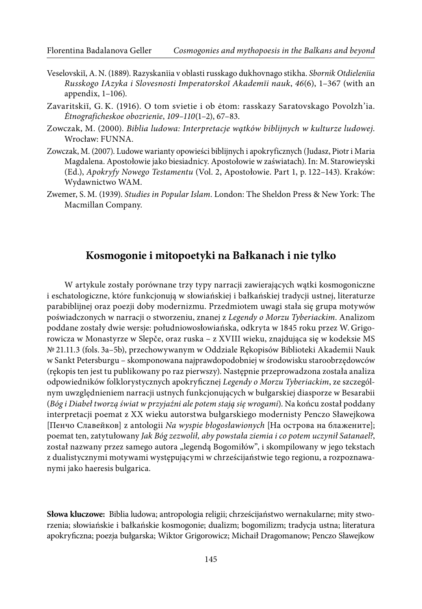- Veselovskiĭ, A. N. (1889). Razyskanīia v oblasti russkago dukhovnago stikha. Sbornik Otdielenīia Russkogo IAzyka i Slovesnosti Imperatorskoĭ Akademīi nauk, 46(6), 1–367 (with an appendix, 1–106).
- Zavaritskiĭ, G. K. (1916). O tom svietie i ob ėtom: rasskazy Saratovskago Povolzh'ia. Ėtnograficheskoe obozrienīe, 109–110(1–2), 67–83.
- Zowczak, M. (2000). Biblia ludowa: Interpretacje wątków biblijnych w kulturze ludowej. Wrocław: FUNNA.
- Zowczak, M. (2007). Ludowe warianty opowieści biblijnych i apokryficznych (Judasz, Piotr i Maria Magdalena. Apostołowie jako biesiadnicy. Apostołowie w zaświatach). In: M. Starowieyski (Ed.), Apokryfy Nowego Testamentu (Vol. 2, Apostołowie. Part 1, p. 122–143). Kraków: Wydawnictwo WAM.
- Zwemer, S. M. (1939). Studies in Popular Islam. London: The Sheldon Press & New York: The Macmillan Company.

#### **Kosmogonie i mitopoetyki na Bałkanach i nie tylko**

W artykule zostały porównane trzy typy narracji zawierających wątki kosmogoniczne i eschatologiczne, które funkcjonują w słowiańskiej i bałkańskiej tradycji ustnej, literaturze parabiblijnej oraz poezji doby modernizmu. Przedmiotem uwagi stała się grupa motywów poświadczonych w narracji o stworzeniu, znanej z Legendy o Morzu Tyberiackim. Analizom poddane zostały dwie wersje: południowosłowiańska, odkryta w 1845 roku przez W. Grigorowicza w Monastyrze w Slepče, oraz ruska – z XVIII wieku, znajdująca się w kodeksie MS № 21.11.3 (fols. 3a–5b), przechowywanym w Oddziale Rękopisów Biblioteki Akademii Nauk w Sankt Petersburgu – skomponowana najprawdopodobniej w środowisku staroobrzędowców (rękopis ten jest tu publikowany po raz pierwszy). Następnie przeprowadzona została analiza odpowiedników folklorystycznych apokryicznej Legendy o Morzu Tyberiackim, ze szczególnym uwzględnieniem narracji ustnych funkcjonujących w bułgarskiej diasporze w Besarabii (Bóg i Diabeł tworzą świat w przyjaźni ale potem stają się wrogami). Na końcu został poddany interpretacji poemat z XX wieku autorstwa bułgarskiego modernisty Penczo Sławejkowa [Пенчо Славейков] z antologii Na wyspie błogosławionych [На острова на блажените]; poemat ten, zatytułowany Jak Bóg zezwolił, aby powstała ziemia i co potem uczynił Satanael?, został nazwany przez samego autora "legendą Bogomiłów", i skompilowany w jego tekstach z dualistycznymi motywami występującymi w chrześcijaństwie tego regionu, a rozpoznawanymi jako haeresis bulgarica.

**Słowa kluczowe:** Biblia ludowa; antropologia religii; chrześcijaństwo wernakularne; mity stworzenia; słowiańskie i bałkańskie kosmogonie; dualizm; bogomilizm; tradycja ustna; literatura apokryiczna; poezja bułgarska; Wiktor Grigorowicz; Michaił Dragomanow; Penczo Sławejkow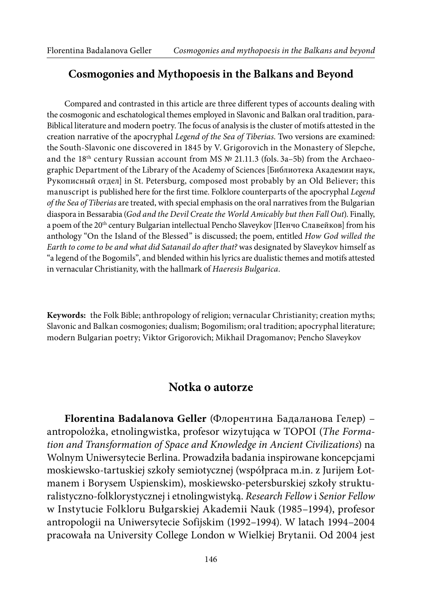#### **Cosmogonies and Mythopoesis in the Balkans and Beyond**

Compared and contrasted in this article are three diferent types of accounts dealing with the cosmogonic and eschatological themes employed in Slavonic and Balkan oral tradition, para-Biblical literature and modern poetry. The focus of analysis is the cluster of motifs attested in the creation narrative of the apocryphal Legend of the Sea of Tiberias. Two versions are examined: the South-Slavonic one discovered in 1845 by V. Grigorovich in the Monastery of Slepche, and the 18<sup>th</sup> century Russian account from MS  $\mathbb{N}^{\circ}$  21.11.3 (fols. 3a–5b) from the Archaeographic Department of the Library of the Academy of Sciences [Библиотека Академии наук, Рукописный отдел] in St. Petersburg, composed most probably by an Old Believer; this manuscript is published here for the first time. Folklore counterparts of the apocryphal Legend of the Sea of Tiberias are treated, with special emphasis on the oral narratives from the Bulgarian diaspora in Bessarabia (God and the Devil Create the World Amicably but then Fall Out). Finally, a poem of the 20th century Bulgarian intellectual Pencho Slaveykov [Пенчо Славейков] from his anthology "On the Island of the Blessed" is discussed; the poem, entitled How God willed the Earth to come to be and what did Satanail do after that? was designated by Slaveykov himself as "a legend of the Bogomils", and blended within his lyrics are dualistic themes and motifs attested in vernacular Christianity, with the hallmark of Haeresis Bulgarica.

**Keywords:** the Folk Bible; anthropology of religion; vernacular Christianity; creation myths; Slavonic and Balkan cosmogonies; dualism; Bogomilism; oral tradition; apocryphal literature; modern Bulgarian poetry; Viktor Grigorovich; Mikhail Dragomanov; Pencho Slaveykov

#### **Notka o autorze**

**Florentina Badalanova Geller** (Флорентина Бадаланова Гелер) – antropolożka, etnolingwistka, profesor wizytująca w TOPOI (The Formation and Transformation of Space and Knowledge in Ancient Civilizations) na Wolnym Uniwersytecie Berlina. Prowadziła badania inspirowane koncepcjami moskiewsko-tartuskiej szkoły semiotycznej (współpraca m.in. z Jurijem Łotmanem i Borysem Uspienskim), moskiewsko-petersburskiej szkoły strukturalistyczno-folklorystycznej i etnolingwistyką. Research Fellow i Senior Fellow w Instytucie Folkloru Bułgarskiej Akademii Nauk (1985–1994), profesor antropologii na Uniwersytecie Sofijskim (1992–1994). W latach 1994–2004 pracowała na University College London w Wielkiej Brytanii. Od 2004 jest